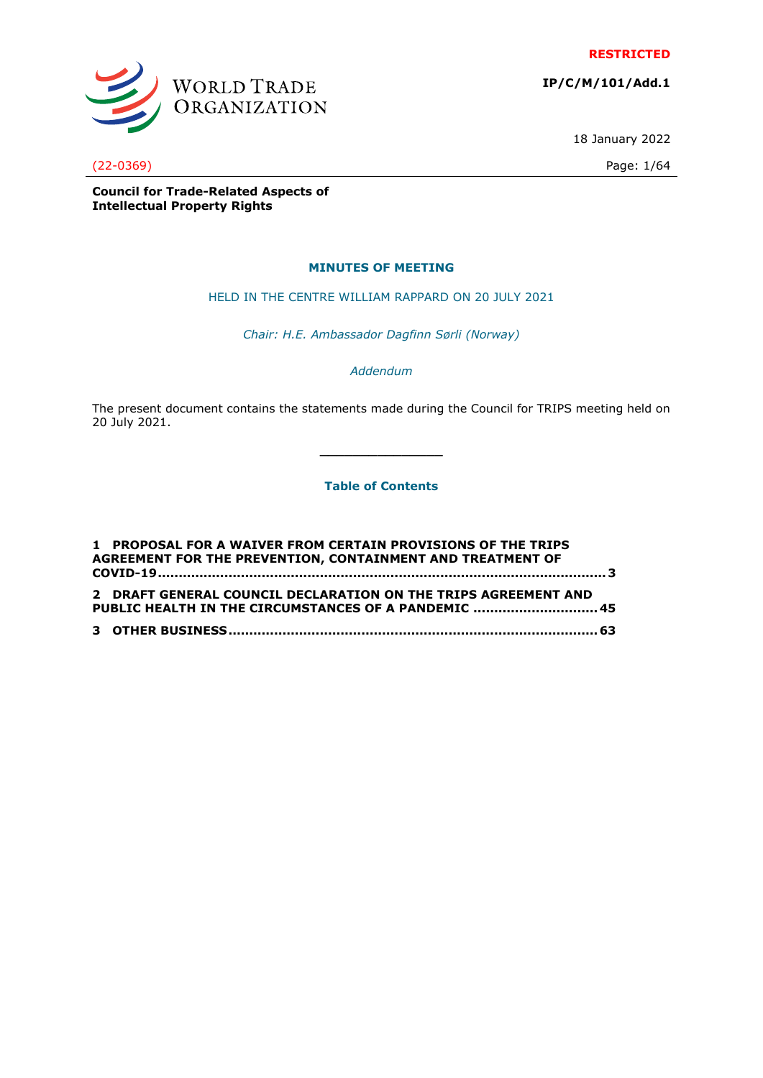**RESTRICTED**

WORLD TRADE<br>ORGANIZATION

**IP/C/M/101/Add.1**

18 January 2022

(22-0369) Page: 1/64

**Council for Trade-Related Aspects of Intellectual Property Rights**

# **MINUTES OF MEETING**

HELD IN THE CENTRE WILLIAM RAPPARD ON 20 JULY 2021

*Chair: H.E. Ambassador Dagfinn Sørli (Norway)*

*Addendum*

The present document contains the statements made during the Council for TRIPS meeting held on 20 July 2021.

**Table of Contents**

**\_\_\_\_\_\_\_\_\_\_\_\_\_\_\_**

| 1 PROPOSAL FOR A WAIVER FROM CERTAIN PROVISIONS OF THE TRIPS   |  |
|----------------------------------------------------------------|--|
| AGREEMENT FOR THE PREVENTION, CONTAINMENT AND TREATMENT OF     |  |
|                                                                |  |
|                                                                |  |
| 2 DRAFT GENERAL COUNCIL DECLARATION ON THE TRIPS AGREEMENT AND |  |
| PUBLIC HEALTH IN THE CIRCUMSTANCES OF A PANDEMIC  45           |  |
|                                                                |  |
|                                                                |  |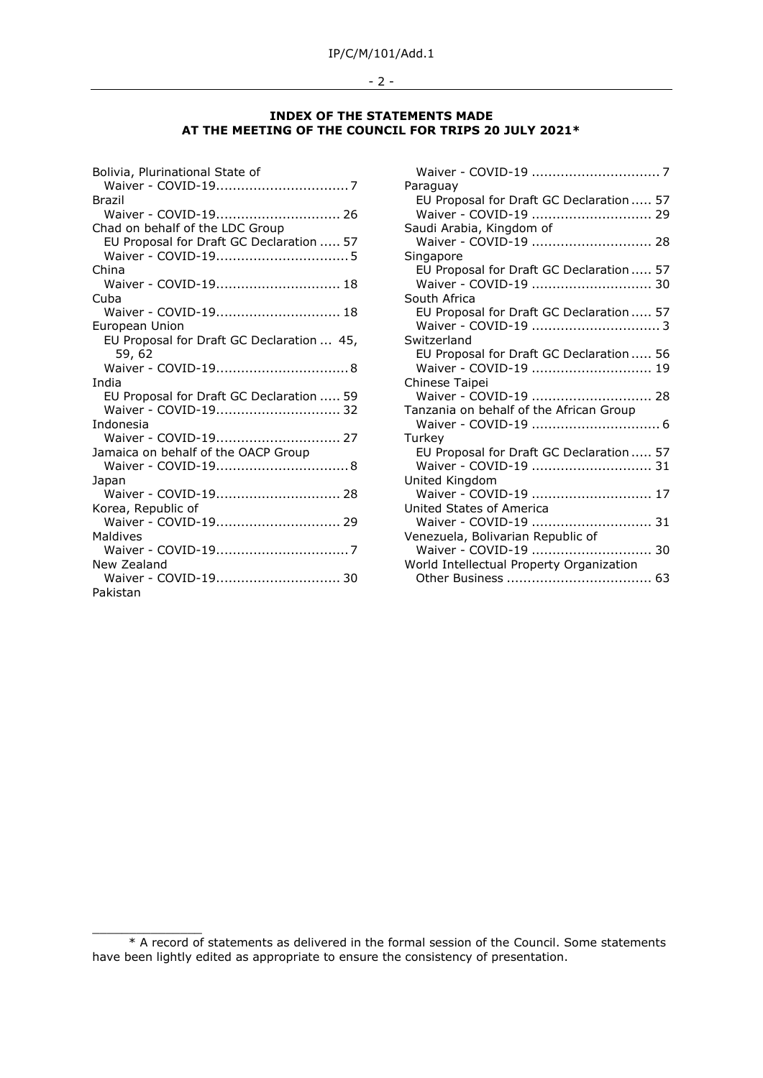### - 2 -

# **INDEX OF THE STATEMENTS MADE AT THE MEETING OF THE COUNCIL FOR TRIPS 20 JULY 2021\***

| Bolivia, Plurinational State of           |
|-------------------------------------------|
| <b>Brazil</b>                             |
|                                           |
| Chad on behalf of the LDC Group           |
| EU Proposal for Draft GC Declaration  57  |
|                                           |
| China                                     |
| Waiver - COVID-19 18                      |
| Cuba                                      |
| Waiver - COVID-19 18                      |
| European Union                            |
| EU Proposal for Draft GC Declaration  45, |
| 59, 62                                    |
|                                           |
| India                                     |
| EU Proposal for Draft GC Declaration  59  |
|                                           |
| Indonesia                                 |
| Waiver - COVID-19 27                      |
| Jamaica on behalf of the OACP Group       |
|                                           |
| Japan                                     |
| Waiver - COVID-19 28                      |
| Korea, Republic of                        |
| Waiver - COVID-19 29                      |
| Maldives                                  |
|                                           |
| New Zealand                               |
| Waiver - COVID-19 30                      |
| Pakistan                                  |

 $\frac{1}{2}$  ,  $\frac{1}{2}$  ,  $\frac{1}{2}$  ,  $\frac{1}{2}$  ,  $\frac{1}{2}$  ,  $\frac{1}{2}$  ,  $\frac{1}{2}$  ,  $\frac{1}{2}$  ,  $\frac{1}{2}$  ,  $\frac{1}{2}$  ,  $\frac{1}{2}$  ,  $\frac{1}{2}$  ,  $\frac{1}{2}$  ,  $\frac{1}{2}$  ,  $\frac{1}{2}$  ,  $\frac{1}{2}$  ,  $\frac{1}{2}$  ,  $\frac{1}{2}$  ,  $\frac{1$ 

| Paraguay                                 |  |
|------------------------------------------|--|
| EU Proposal for Draft GC Declaration  57 |  |
| Waiver - COVID-19  29                    |  |
| Saudi Arabia, Kingdom of                 |  |
| Waiver - COVID-19  28                    |  |
| Singapore                                |  |
| EU Proposal for Draft GC Declaration  57 |  |
|                                          |  |
| South Africa                             |  |
| EU Proposal for Draft GC Declaration  57 |  |
| Waiver - COVID-19  3                     |  |
| Switzerland                              |  |
| EU Proposal for Draft GC Declaration  56 |  |
| Waiver - COVID-19  19                    |  |
| Chinese Taipei                           |  |
| Waiver - COVID-19  28                    |  |
| Tanzania on behalf of the African Group  |  |
|                                          |  |
| Turkey                                   |  |
| EU Proposal for Draft GC Declaration  57 |  |
| Waiver - COVID-19  31                    |  |
| United Kingdom                           |  |
| Waiver - COVID-19  17                    |  |
| United States of America                 |  |
| Waiver - COVID-19  31                    |  |
| Venezuela, Bolivarian Republic of        |  |
|                                          |  |
| World Intellectual Property Organization |  |
|                                          |  |

<sup>\*</sup> A record of statements as delivered in the formal session of the Council. Some statements have been lightly edited as appropriate to ensure the consistency of presentation.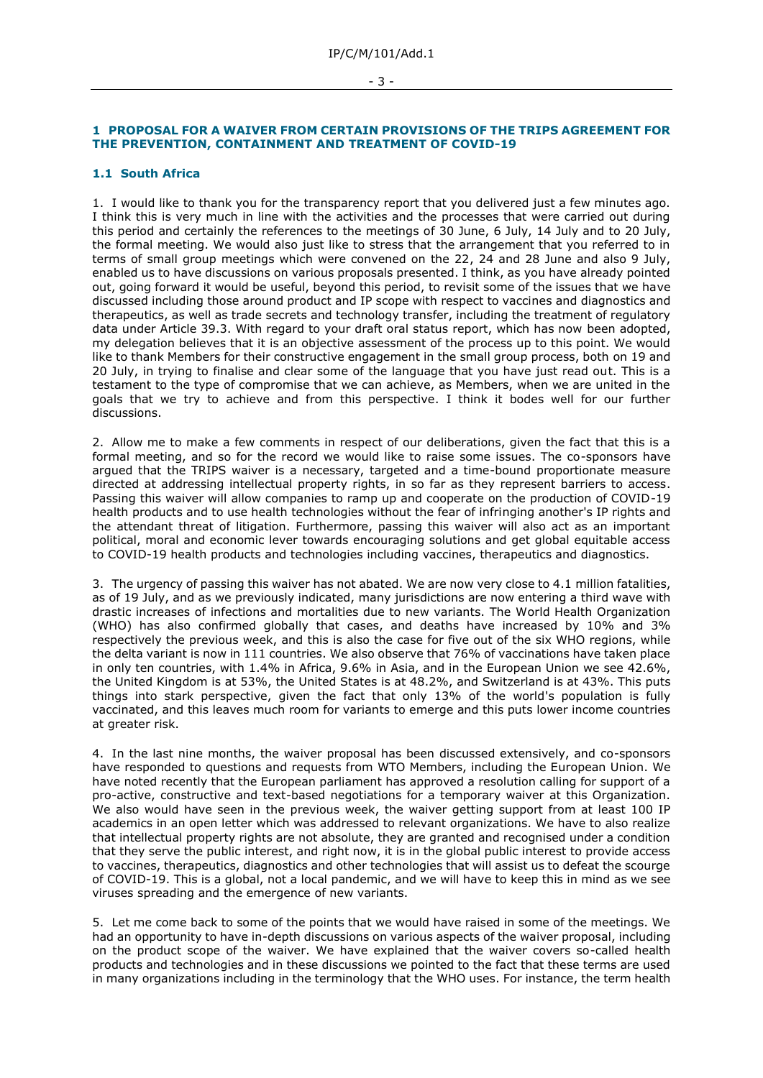#### - 3 -

# <span id="page-2-0"></span>**1 PROPOSAL FOR A WAIVER FROM CERTAIN PROVISIONS OF THE TRIPS AGREEMENT FOR THE PREVENTION, CONTAINMENT AND TREATMENT OF COVID-19**

### **1.1 South Africa**

1. I would like to thank you for the transparency report that you delivered just a few minutes ago. I think this is very much in line with the activities and the processes that were carried out during this period and certainly the references to the meetings of 30 June, 6 July, 14 July and to 20 July, the formal meeting. We would also just like to stress that the arrangement that you referred to in terms of small group meetings which were convened on the 22, 24 and 28 June and also 9 July, enabled us to have discussions on various proposals presented. I think, as you have already pointed out, going forward it would be useful, beyond this period, to revisit some of the issues that we have discussed including those around product and IP scope with respect to vaccines and diagnostics and therapeutics, as well as trade secrets and technology transfer, including the treatment of regulatory data under Article 39.3. With regard to your draft oral status report, which has now been adopted, my delegation believes that it is an objective assessment of the process up to this point. We would like to thank Members for their constructive engagement in the small group process, both on 19 and 20 July, in trying to finalise and clear some of the language that you have just read out. This is a testament to the type of compromise that we can achieve, as Members, when we are united in the goals that we try to achieve and from this perspective. I think it bodes well for our further discussions.

2. Allow me to make a few comments in respect of our deliberations, given the fact that this is a formal meeting, and so for the record we would like to raise some issues. The co-sponsors have argued that the TRIPS waiver is a necessary, targeted and a time-bound proportionate measure directed at addressing intellectual property rights, in so far as they represent barriers to access. Passing this waiver will allow companies to ramp up and cooperate on the production of COVID-19 health products and to use health technologies without the fear of infringing another's IP rights and the attendant threat of litigation. Furthermore, passing this waiver will also act as an important political, moral and economic lever towards encouraging solutions and get global equitable access to COVID-19 health products and technologies including vaccines, therapeutics and diagnostics.

3. The urgency of passing this waiver has not abated. We are now very close to 4.1 million fatalities, as of 19 July, and as we previously indicated, many jurisdictions are now entering a third wave with drastic increases of infections and mortalities due to new variants. The World Health Organization (WHO) has also confirmed globally that cases, and deaths have increased by 10% and 3% respectively the previous week, and this is also the case for five out of the six WHO regions, while the delta variant is now in 111 countries. We also observe that 76% of vaccinations have taken place in only ten countries, with 1.4% in Africa, 9.6% in Asia, and in the European Union we see 42.6%, the United Kingdom is at 53%, the United States is at 48.2%, and Switzerland is at 43%. This puts things into stark perspective, given the fact that only 13% of the world's population is fully vaccinated, and this leaves much room for variants to emerge and this puts lower income countries at greater risk.

4. In the last nine months, the waiver proposal has been discussed extensively, and co-sponsors have responded to questions and requests from WTO Members, including the European Union. We have noted recently that the European parliament has approved a resolution calling for support of a pro-active, constructive and text-based negotiations for a temporary waiver at this Organization. We also would have seen in the previous week, the waiver getting support from at least 100 IP academics in an open letter which was addressed to relevant organizations. We have to also realize that intellectual property rights are not absolute, they are granted and recognised under a condition that they serve the public interest, and right now, it is in the global public interest to provide access to vaccines, therapeutics, diagnostics and other technologies that will assist us to defeat the scourge of COVID-19. This is a global, not a local pandemic, and we will have to keep this in mind as we see viruses spreading and the emergence of new variants.

5. Let me come back to some of the points that we would have raised in some of the meetings. We had an opportunity to have in-depth discussions on various aspects of the waiver proposal, including on the product scope of the waiver. We have explained that the waiver covers so-called health products and technologies and in these discussions we pointed to the fact that these terms are used in many organizations including in the terminology that the WHO uses. For instance, the term health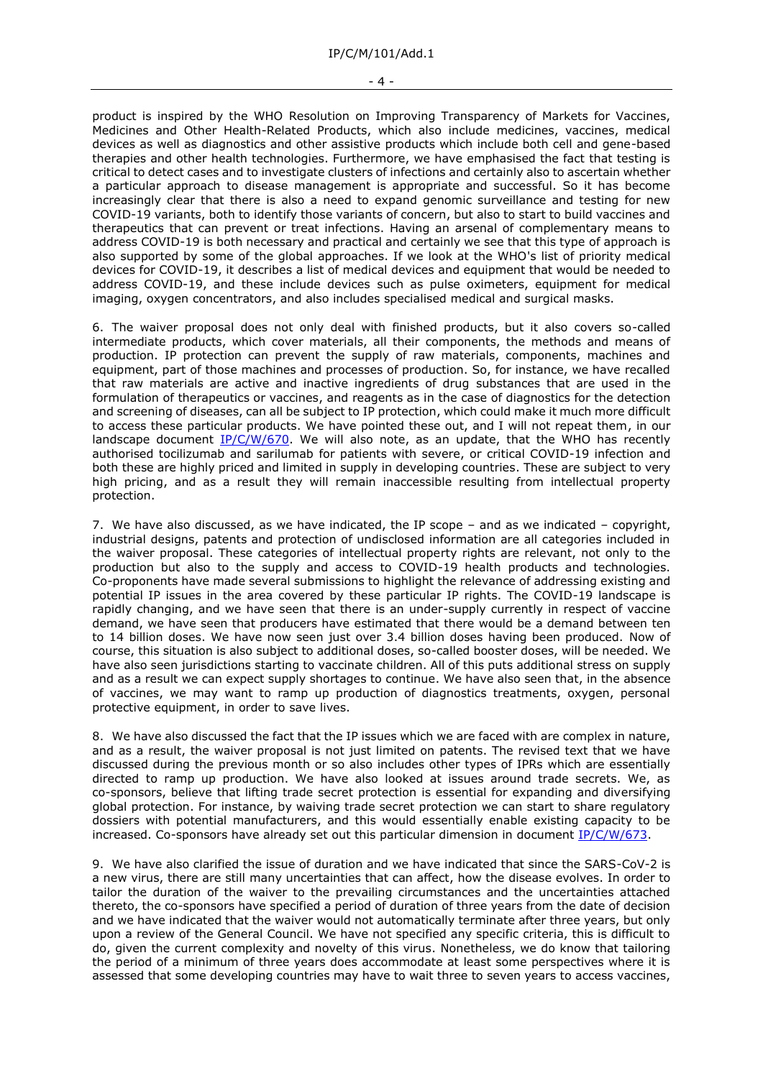product is inspired by the WHO Resolution on Improving Transparency of Markets for Vaccines, Medicines and Other Health-Related Products, which also include medicines, vaccines, medical devices as well as diagnostics and other assistive products which include both cell and gene-based therapies and other health technologies. Furthermore, we have emphasised the fact that testing is critical to detect cases and to investigate clusters of infections and certainly also to ascertain whether a particular approach to disease management is appropriate and successful. So it has become increasingly clear that there is also a need to expand genomic surveillance and testing for new COVID-19 variants, both to identify those variants of concern, but also to start to build vaccines and therapeutics that can prevent or treat infections. Having an arsenal of complementary means to address COVID-19 is both necessary and practical and certainly we see that this type of approach is also supported by some of the global approaches. If we look at the WHO's list of priority medical devices for COVID-19, it describes a list of medical devices and equipment that would be needed to address COVID-19, and these include devices such as pulse oximeters, equipment for medical imaging, oxygen concentrators, and also includes specialised medical and surgical masks.

6. The waiver proposal does not only deal with finished products, but it also covers so-called intermediate products, which cover materials, all their components, the methods and means of production. IP protection can prevent the supply of raw materials, components, machines and equipment, part of those machines and processes of production. So, for instance, we have recalled that raw materials are active and inactive ingredients of drug substances that are used in the formulation of therapeutics or vaccines, and reagents as in the case of diagnostics for the detection and screening of diseases, can all be subject to IP protection, which could make it much more difficult to access these particular products. We have pointed these out, and I will not repeat them, in our landscape document  $IP/C/W/670$ . We will also note, as an update, that the WHO has recently authorised tocilizumab and sarilumab for patients with severe, or critical COVID-19 infection and both these are highly priced and limited in supply in developing countries. These are subject to very high pricing, and as a result they will remain inaccessible resulting from intellectual property protection.

7. We have also discussed, as we have indicated, the IP scope – and as we indicated – copyright, industrial designs, patents and protection of undisclosed information are all categories included in the waiver proposal. These categories of intellectual property rights are relevant, not only to the production but also to the supply and access to COVID-19 health products and technologies. Co-proponents have made several submissions to highlight the relevance of addressing existing and potential IP issues in the area covered by these particular IP rights. The COVID-19 landscape is rapidly changing, and we have seen that there is an under-supply currently in respect of vaccine demand, we have seen that producers have estimated that there would be a demand between ten to 14 billion doses. We have now seen just over 3.4 billion doses having been produced. Now of course, this situation is also subject to additional doses, so-called booster doses, will be needed. We have also seen jurisdictions starting to vaccinate children. All of this puts additional stress on supply and as a result we can expect supply shortages to continue. We have also seen that, in the absence of vaccines, we may want to ramp up production of diagnostics treatments, oxygen, personal protective equipment, in order to save lives.

8. We have also discussed the fact that the IP issues which we are faced with are complex in nature, and as a result, the waiver proposal is not just limited on patents. The revised text that we have discussed during the previous month or so also includes other types of IPRs which are essentially directed to ramp up production. We have also looked at issues around trade secrets. We, as co-sponsors, believe that lifting trade secret protection is essential for expanding and diversifying global protection. For instance, by waiving trade secret protection we can start to share regulatory dossiers with potential manufacturers, and this would essentially enable existing capacity to be increased. Co-sponsors have already set out this particular dimension in document [IP/C/W/673.](https://docs.wto.org/dol2fe/Pages/FE_Search/FE_S_S006.aspx?DataSource=Cat&query=@Symbol=%22IP/C/W/673%22%20OR%20@Symbol=%22IP/C/W/673/*%22&Language=English&Context=ScriptedSearches&languageUIChanged=true)

9. We have also clarified the issue of duration and we have indicated that since the SARS-CoV-2 is a new virus, there are still many uncertainties that can affect, how the disease evolves. In order to tailor the duration of the waiver to the prevailing circumstances and the uncertainties attached thereto, the co-sponsors have specified a period of duration of three years from the date of decision and we have indicated that the waiver would not automatically terminate after three years, but only upon a review of the General Council. We have not specified any specific criteria, this is difficult to do, given the current complexity and novelty of this virus. Nonetheless, we do know that tailoring the period of a minimum of three years does accommodate at least some perspectives where it is assessed that some developing countries may have to wait three to seven years to access vaccines,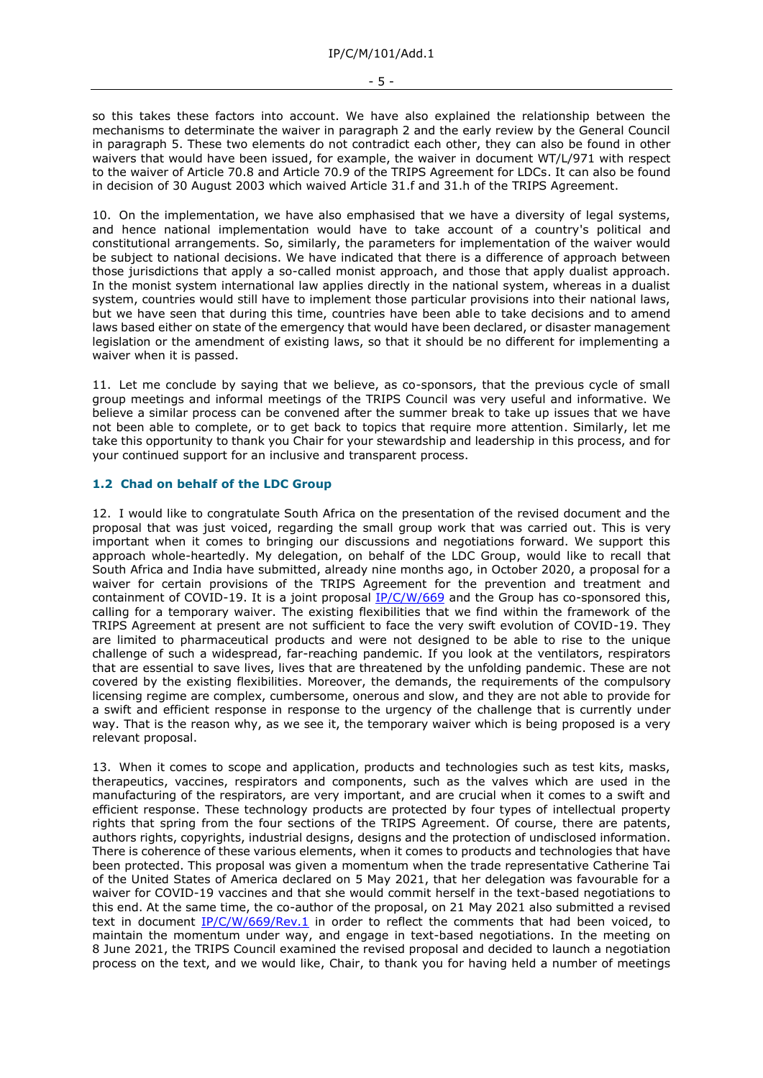- 5 -

so this takes these factors into account. We have also explained the relationship between the mechanisms to determinate the waiver in paragraph 2 and the early review by the General Council in paragraph 5. These two elements do not contradict each other, they can also be found in other waivers that would have been issued, for example, the waiver in document WT/L/971 with respect to the waiver of Article 70.8 and Article 70.9 of the TRIPS Agreement for LDCs. It can also be found in decision of 30 August 2003 which waived Article 31.f and 31.h of the TRIPS Agreement.

10. On the implementation, we have also emphasised that we have a diversity of legal systems, and hence national implementation would have to take account of a country's political and constitutional arrangements. So, similarly, the parameters for implementation of the waiver would be subject to national decisions. We have indicated that there is a difference of approach between those jurisdictions that apply a so-called monist approach, and those that apply dualist approach. In the monist system international law applies directly in the national system, whereas in a dualist system, countries would still have to implement those particular provisions into their national laws, but we have seen that during this time, countries have been able to take decisions and to amend laws based either on state of the emergency that would have been declared, or disaster management legislation or the amendment of existing laws, so that it should be no different for implementing a waiver when it is passed.

11. Let me conclude by saying that we believe, as co-sponsors, that the previous cycle of small group meetings and informal meetings of the TRIPS Council was very useful and informative. We believe a similar process can be convened after the summer break to take up issues that we have not been able to complete, or to get back to topics that require more attention. Similarly, let me take this opportunity to thank you Chair for your stewardship and leadership in this process, and for your continued support for an inclusive and transparent process.

# **1.2 Chad on behalf of the LDC Group**

12. I would like to congratulate South Africa on the presentation of the revised document and the proposal that was just voiced, regarding the small group work that was carried out. This is very important when it comes to bringing our discussions and negotiations forward. We support this approach whole-heartedly. My delegation, on behalf of the LDC Group, would like to recall that South Africa and India have submitted, already nine months ago, in October 2020, a proposal for a waiver for certain provisions of the TRIPS Agreement for the prevention and treatment and containment of COVID-19. It is a joint proposal [IP/C/W/669](https://docs.wto.org/dol2fe/Pages/FE_Search/FE_S_S006.aspx?DataSource=Cat&query=@Symbol=%22IP/C/W/669%22%20OR%20@Symbol=%22IP/C/W/669/*%22&Language=English&Context=ScriptedSearches&languageUIChanged=true) and the Group has co-sponsored this, calling for a temporary waiver. The existing flexibilities that we find within the framework of the TRIPS Agreement at present are not sufficient to face the very swift evolution of COVID-19. They are limited to pharmaceutical products and were not designed to be able to rise to the unique challenge of such a widespread, far-reaching pandemic. If you look at the ventilators, respirators that are essential to save lives, lives that are threatened by the unfolding pandemic. These are not covered by the existing flexibilities. Moreover, the demands, the requirements of the compulsory licensing regime are complex, cumbersome, onerous and slow, and they are not able to provide for a swift and efficient response in response to the urgency of the challenge that is currently under way. That is the reason why, as we see it, the temporary waiver which is being proposed is a very relevant proposal.

13. When it comes to scope and application, products and technologies such as test kits, masks, therapeutics, vaccines, respirators and components, such as the valves which are used in the manufacturing of the respirators, are very important, and are crucial when it comes to a swift and efficient response. These technology products are protected by four types of intellectual property rights that spring from the four sections of the TRIPS Agreement. Of course, there are patents, authors rights, copyrights, industrial designs, designs and the protection of undisclosed information. There is coherence of these various elements, when it comes to products and technologies that have been protected. This proposal was given a momentum when the trade representative Catherine Tai of the United States of America declared on 5 May 2021, that her delegation was favourable for a waiver for COVID-19 vaccines and that she would commit herself in the text-based negotiations to this end. At the same time, the co-author of the proposal, on 21 May 2021 also submitted a revised text in document [IP/C/W/669/Rev.1](https://docs.wto.org/dol2fe/Pages/FE_Search/FE_S_S006.aspx?DataSource=Cat&query=@Symbol=%22IP/C/W/669/Rev.1%22%20OR%20@Symbol=%22IP/C/W/669/Rev.1/*%22&Language=English&Context=ScriptedSearches&languageUIChanged=true) in order to reflect the comments that had been voiced, to maintain the momentum under way, and engage in text-based negotiations. In the meeting on 8 June 2021, the TRIPS Council examined the revised proposal and decided to launch a negotiation process on the text, and we would like, Chair, to thank you for having held a number of meetings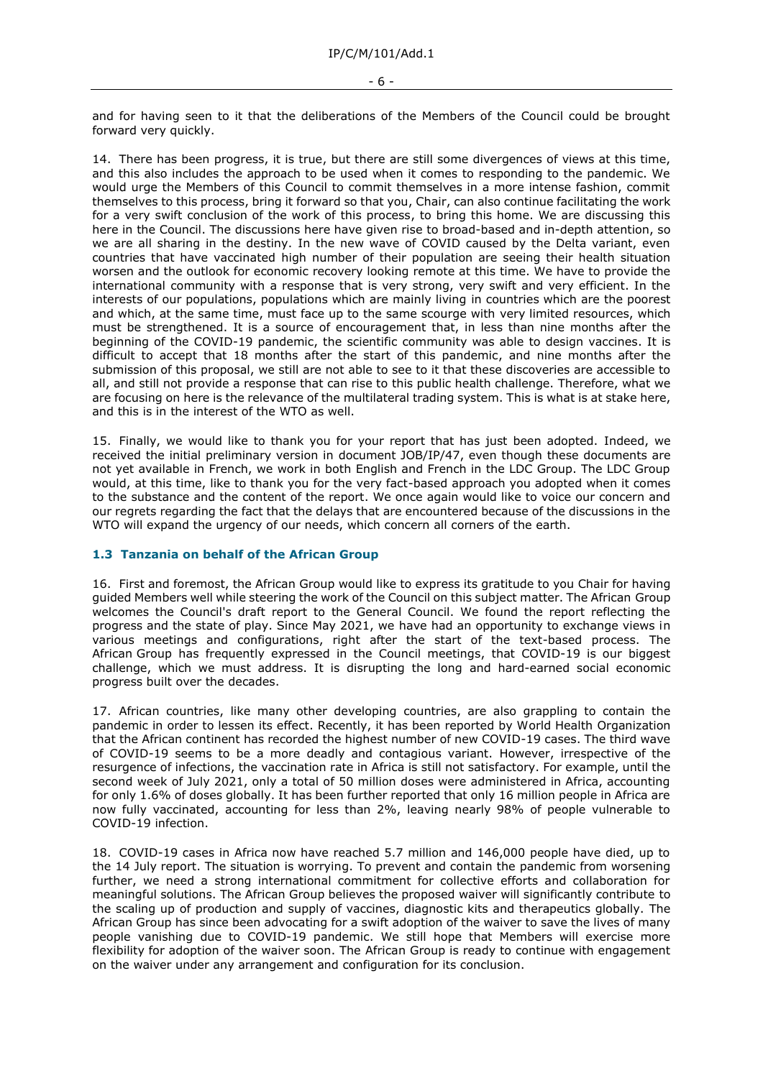and for having seen to it that the deliberations of the Members of the Council could be brought forward very quickly.

14. There has been progress, it is true, but there are still some divergences of views at this time, and this also includes the approach to be used when it comes to responding to the pandemic. We would urge the Members of this Council to commit themselves in a more intense fashion, commit themselves to this process, bring it forward so that you, Chair, can also continue facilitating the work for a very swift conclusion of the work of this process, to bring this home. We are discussing this here in the Council. The discussions here have given rise to broad-based and in-depth attention, so we are all sharing in the destiny. In the new wave of COVID caused by the Delta variant, even countries that have vaccinated high number of their population are seeing their health situation worsen and the outlook for economic recovery looking remote at this time. We have to provide the international community with a response that is very strong, very swift and very efficient. In the interests of our populations, populations which are mainly living in countries which are the poorest and which, at the same time, must face up to the same scourge with very limited resources, which must be strengthened. It is a source of encouragement that, in less than nine months after the beginning of the COVID-19 pandemic, the scientific community was able to design vaccines. It is difficult to accept that 18 months after the start of this pandemic, and nine months after the submission of this proposal, we still are not able to see to it that these discoveries are accessible to all, and still not provide a response that can rise to this public health challenge. Therefore, what we are focusing on here is the relevance of the multilateral trading system. This is what is at stake here, and this is in the interest of the WTO as well.

15. Finally, we would like to thank you for your report that has just been adopted. Indeed, we received the initial preliminary version in document JOB/IP/47, even though these documents are not yet available in French, we work in both English and French in the LDC Group. The LDC Group would, at this time, like to thank you for the very fact-based approach you adopted when it comes to the substance and the content of the report. We once again would like to voice our concern and our regrets regarding the fact that the delays that are encountered because of the discussions in the WTO will expand the urgency of our needs, which concern all corners of the earth.

#### **1.3 Tanzania on behalf of the African Group**

16. First and foremost, the African Group would like to express its gratitude to you Chair for having guided Members well while steering the work of the Council on this subject matter. The African Group welcomes the Council's draft report to the General Council. We found the report reflecting the progress and the state of play. Since May 2021, we have had an opportunity to exchange views in various meetings and configurations, right after the start of the text-based process. The African Group has frequently expressed in the Council meetings, that COVID-19 is our biggest challenge, which we must address. It is disrupting the long and hard-earned social economic progress built over the decades.

17. African countries, like many other developing countries, are also grappling to contain the pandemic in order to lessen its effect. Recently, it has been reported by World Health Organization that the African continent has recorded the highest number of new COVID-19 cases. The third wave of COVID-19 seems to be a more deadly and contagious variant. However, irrespective of the resurgence of infections, the vaccination rate in Africa is still not satisfactory. For example, until the second week of July 2021, only a total of 50 million doses were administered in Africa, accounting for only 1.6% of doses globally. It has been further reported that only 16 million people in Africa are now fully vaccinated, accounting for less than 2%, leaving nearly 98% of people vulnerable to COVID-19 infection.

18. COVID-19 cases in Africa now have reached 5.7 million and 146,000 people have died, up to the 14 July report. The situation is worrying. To prevent and contain the pandemic from worsening further, we need a strong international commitment for collective efforts and collaboration for meaningful solutions. The African Group believes the proposed waiver will significantly contribute to the scaling up of production and supply of vaccines, diagnostic kits and therapeutics globally. The African Group has since been advocating for a swift adoption of the waiver to save the lives of many people vanishing due to COVID-19 pandemic. We still hope that Members will exercise more flexibility for adoption of the waiver soon. The African Group is ready to continue with engagement on the waiver under any arrangement and configuration for its conclusion.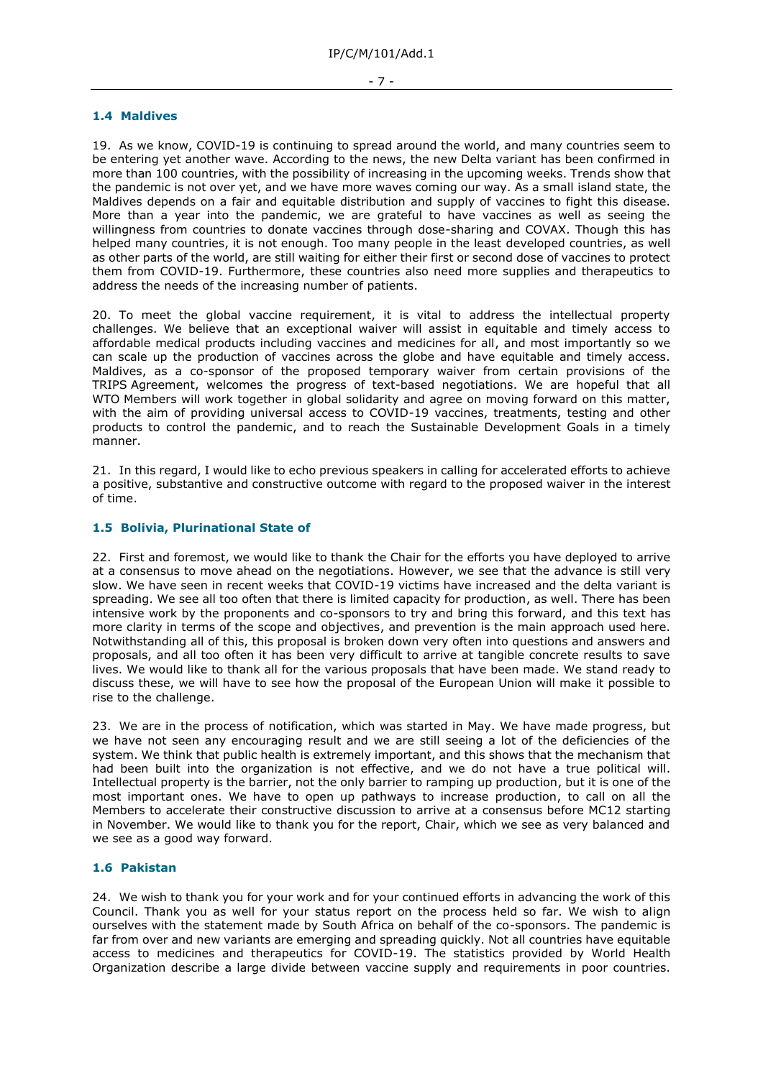#### **1.4 Maldives**

19. As we know, COVID-19 is continuing to spread around the world, and many countries seem to be entering yet another wave. According to the news, the new Delta variant has been confirmed in more than 100 countries, with the possibility of increasing in the upcoming weeks. Trends show that the pandemic is not over yet, and we have more waves coming our way. As a small island state, the Maldives depends on a fair and equitable distribution and supply of vaccines to fight this disease. More than a year into the pandemic, we are grateful to have vaccines as well as seeing the willingness from countries to donate vaccines through dose-sharing and COVAX. Though this has helped many countries, it is not enough. Too many people in the least developed countries, as well as other parts of the world, are still waiting for either their first or second dose of vaccines to protect them from COVID-19. Furthermore, these countries also need more supplies and therapeutics to address the needs of the increasing number of patients.

20. To meet the global vaccine requirement, it is vital to address the intellectual property challenges. We believe that an exceptional waiver will assist in equitable and timely access to affordable medical products including vaccines and medicines for all, and most importantly so we can scale up the production of vaccines across the globe and have equitable and timely access. Maldives, as a co-sponsor of the proposed temporary waiver from certain provisions of the TRIPS Agreement, welcomes the progress of text-based negotiations. We are hopeful that all WTO Members will work together in global solidarity and agree on moving forward on this matter, with the aim of providing universal access to COVID-19 vaccines, treatments, testing and other products to control the pandemic, and to reach the Sustainable Development Goals in a timely manner.

21. In this regard, I would like to echo previous speakers in calling for accelerated efforts to achieve a positive, substantive and constructive outcome with regard to the proposed waiver in the interest of time.

# **1.5 Bolivia, Plurinational State of**

22. First and foremost, we would like to thank the Chair for the efforts you have deployed to arrive at a consensus to move ahead on the negotiations. However, we see that the advance is still very slow. We have seen in recent weeks that COVID-19 victims have increased and the delta variant is spreading. We see all too often that there is limited capacity for production, as well. There has been intensive work by the proponents and co-sponsors to try and bring this forward, and this text has more clarity in terms of the scope and objectives, and prevention is the main approach used here. Notwithstanding all of this, this proposal is broken down very often into questions and answers and proposals, and all too often it has been very difficult to arrive at tangible concrete results to save lives. We would like to thank all for the various proposals that have been made. We stand ready to discuss these, we will have to see how the proposal of the European Union will make it possible to rise to the challenge.

23. We are in the process of notification, which was started in May. We have made progress, but we have not seen any encouraging result and we are still seeing a lot of the deficiencies of the system. We think that public health is extremely important, and this shows that the mechanism that had been built into the organization is not effective, and we do not have a true political will. Intellectual property is the barrier, not the only barrier to ramping up production, but it is one of the most important ones. We have to open up pathways to increase production, to call on all the Members to accelerate their constructive discussion to arrive at a consensus before MC12 starting in November. We would like to thank you for the report, Chair, which we see as very balanced and we see as a good way forward.

# **1.6 Pakistan**

24. We wish to thank you for your work and for your continued efforts in advancing the work of this Council. Thank you as well for your status report on the process held so far. We wish to align ourselves with the statement made by South Africa on behalf of the co-sponsors. The pandemic is far from over and new variants are emerging and spreading quickly. Not all countries have equitable access to medicines and therapeutics for COVID-19. The statistics provided by World Health Organization describe a large divide between vaccine supply and requirements in poor countries.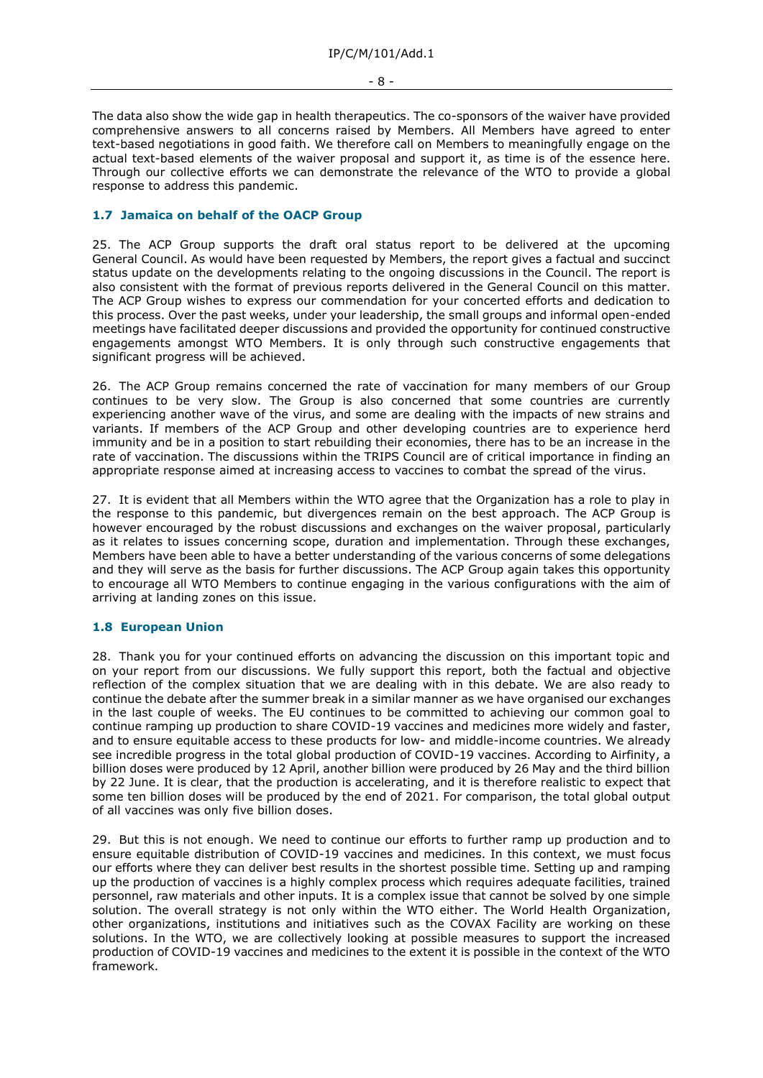- 8 -

The data also show the wide gap in health therapeutics. The co-sponsors of the waiver have provided comprehensive answers to all concerns raised by Members. All Members have agreed to enter text-based negotiations in good faith. We therefore call on Members to meaningfully engage on the actual text-based elements of the waiver proposal and support it, as time is of the essence here. Through our collective efforts we can demonstrate the relevance of the WTO to provide a global response to address this pandemic.

# **1.7 Jamaica on behalf of the OACP Group**

25. The ACP Group supports the draft oral status report to be delivered at the upcoming General Council. As would have been requested by Members, the report gives a factual and succinct status update on the developments relating to the ongoing discussions in the Council. The report is also consistent with the format of previous reports delivered in the General Council on this matter. The ACP Group wishes to express our commendation for your concerted efforts and dedication to this process. Over the past weeks, under your leadership, the small groups and informal open-ended meetings have facilitated deeper discussions and provided the opportunity for continued constructive engagements amongst WTO Members. It is only through such constructive engagements that significant progress will be achieved.

26. The ACP Group remains concerned the rate of vaccination for many members of our Group continues to be very slow. The Group is also concerned that some countries are currently experiencing another wave of the virus, and some are dealing with the impacts of new strains and variants. If members of the ACP Group and other developing countries are to experience herd immunity and be in a position to start rebuilding their economies, there has to be an increase in the rate of vaccination. The discussions within the TRIPS Council are of critical importance in finding an appropriate response aimed at increasing access to vaccines to combat the spread of the virus.

27. It is evident that all Members within the WTO agree that the Organization has a role to play in the response to this pandemic, but divergences remain on the best approach. The ACP Group is however encouraged by the robust discussions and exchanges on the waiver proposal, particularly as it relates to issues concerning scope, duration and implementation. Through these exchanges, Members have been able to have a better understanding of the various concerns of some delegations and they will serve as the basis for further discussions. The ACP Group again takes this opportunity to encourage all WTO Members to continue engaging in the various configurations with the aim of arriving at landing zones on this issue.

# **1.8 European Union**

28. Thank you for your continued efforts on advancing the discussion on this important topic and on your report from our discussions. We fully support this report, both the factual and objective reflection of the complex situation that we are dealing with in this debate. We are also ready to continue the debate after the summer break in a similar manner as we have organised our exchanges in the last couple of weeks. The EU continues to be committed to achieving our common goal to continue ramping up production to share COVID-19 vaccines and medicines more widely and faster, and to ensure equitable access to these products for low- and middle-income countries. We already see incredible progress in the total global production of COVID-19 vaccines. According to Airfinity, a billion doses were produced by 12 April, another billion were produced by 26 May and the third billion by 22 June. It is clear, that the production is accelerating, and it is therefore realistic to expect that some ten billion doses will be produced by the end of 2021. For comparison, the total global output of all vaccines was only five billion doses.

29. But this is not enough. We need to continue our efforts to further ramp up production and to ensure equitable distribution of COVID-19 vaccines and medicines. In this context, we must focus our efforts where they can deliver best results in the shortest possible time. Setting up and ramping up the production of vaccines is a highly complex process which requires adequate facilities, trained personnel, raw materials and other inputs. It is a complex issue that cannot be solved by one simple solution. The overall strategy is not only within the WTO either. The World Health Organization, other organizations, institutions and initiatives such as the COVAX Facility are working on these solutions. In the WTO, we are collectively looking at possible measures to support the increased production of COVID-19 vaccines and medicines to the extent it is possible in the context of the WTO framework.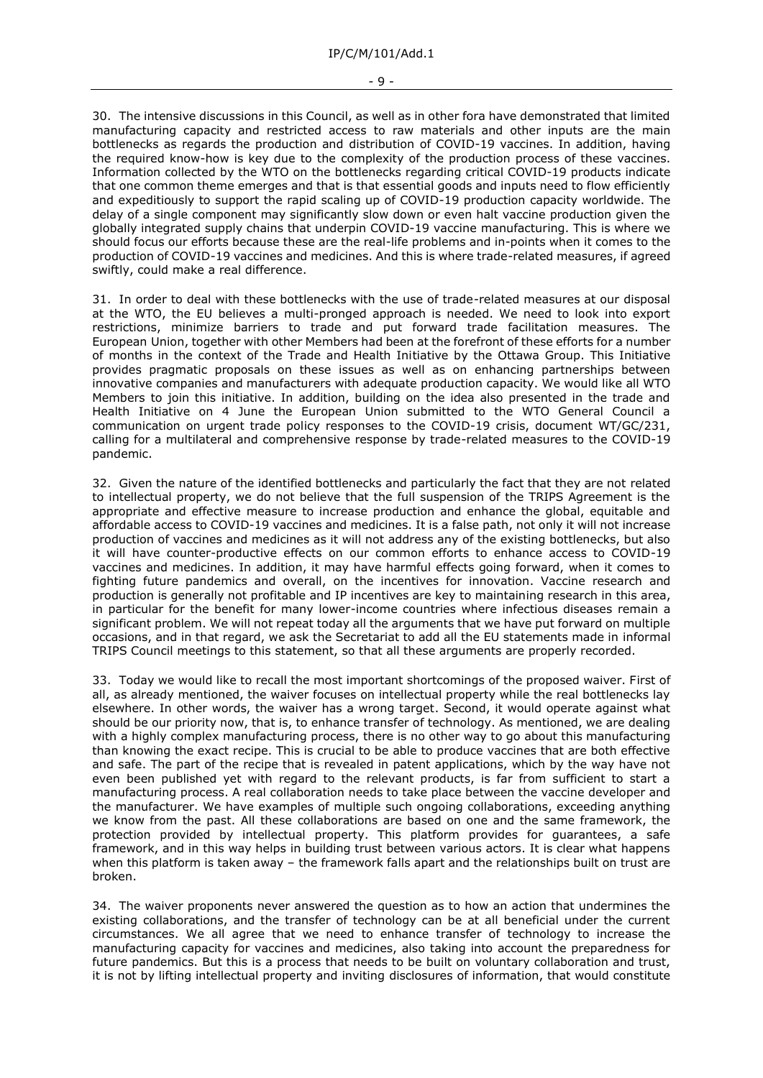30. The intensive discussions in this Council, as well as in other fora have demonstrated that limited manufacturing capacity and restricted access to raw materials and other inputs are the main bottlenecks as regards the production and distribution of COVID-19 vaccines. In addition, having the required know-how is key due to the complexity of the production process of these vaccines. Information collected by the WTO on the bottlenecks regarding critical COVID-19 products indicate that one common theme emerges and that is that essential goods and inputs need to flow efficiently and expeditiously to support the rapid scaling up of COVID-19 production capacity worldwide. The delay of a single component may significantly slow down or even halt vaccine production given the globally integrated supply chains that underpin COVID-19 vaccine manufacturing. This is where we should focus our efforts because these are the real-life problems and in-points when it comes to the production of COVID-19 vaccines and medicines. And this is where trade-related measures, if agreed swiftly, could make a real difference.

31. In order to deal with these bottlenecks with the use of trade-related measures at our disposal at the WTO, the EU believes a multi-pronged approach is needed. We need to look into export restrictions, minimize barriers to trade and put forward trade facilitation measures. The European Union, together with other Members had been at the forefront of these efforts for a number of months in the context of the Trade and Health Initiative by the Ottawa Group. This Initiative provides pragmatic proposals on these issues as well as on enhancing partnerships between innovative companies and manufacturers with adequate production capacity. We would like all WTO Members to join this initiative. In addition, building on the idea also presented in the trade and Health Initiative on 4 June the European Union submitted to the WTO General Council a communication on urgent trade policy responses to the COVID-19 crisis, document WT/GC/231, calling for a multilateral and comprehensive response by trade-related measures to the COVID-19 pandemic.

32. Given the nature of the identified bottlenecks and particularly the fact that they are not related to intellectual property, we do not believe that the full suspension of the TRIPS Agreement is the appropriate and effective measure to increase production and enhance the global, equitable and affordable access to COVID-19 vaccines and medicines. It is a false path, not only it will not increase production of vaccines and medicines as it will not address any of the existing bottlenecks, but also it will have counter-productive effects on our common efforts to enhance access to COVID-19 vaccines and medicines. In addition, it may have harmful effects going forward, when it comes to fighting future pandemics and overall, on the incentives for innovation. Vaccine research and production is generally not profitable and IP incentives are key to maintaining research in this area, in particular for the benefit for many lower-income countries where infectious diseases remain a significant problem. We will not repeat today all the arguments that we have put forward on multiple occasions, and in that regard, we ask the Secretariat to add all the EU statements made in informal TRIPS Council meetings to this statement, so that all these arguments are properly recorded.

33. Today we would like to recall the most important shortcomings of the proposed waiver. First of all, as already mentioned, the waiver focuses on intellectual property while the real bottlenecks lay elsewhere. In other words, the waiver has a wrong target. Second, it would operate against what should be our priority now, that is, to enhance transfer of technology. As mentioned, we are dealing with a highly complex manufacturing process, there is no other way to go about this manufacturing than knowing the exact recipe. This is crucial to be able to produce vaccines that are both effective and safe. The part of the recipe that is revealed in patent applications, which by the way have not even been published yet with regard to the relevant products, is far from sufficient to start a manufacturing process. A real collaboration needs to take place between the vaccine developer and the manufacturer. We have examples of multiple such ongoing collaborations, exceeding anything we know from the past. All these collaborations are based on one and the same framework, the protection provided by intellectual property. This platform provides for guarantees, a safe framework, and in this way helps in building trust between various actors. It is clear what happens when this platform is taken away – the framework falls apart and the relationships built on trust are broken.

34. The waiver proponents never answered the question as to how an action that undermines the existing collaborations, and the transfer of technology can be at all beneficial under the current circumstances. We all agree that we need to enhance transfer of technology to increase the manufacturing capacity for vaccines and medicines, also taking into account the preparedness for future pandemics. But this is a process that needs to be built on voluntary collaboration and trust, it is not by lifting intellectual property and inviting disclosures of information, that would constitute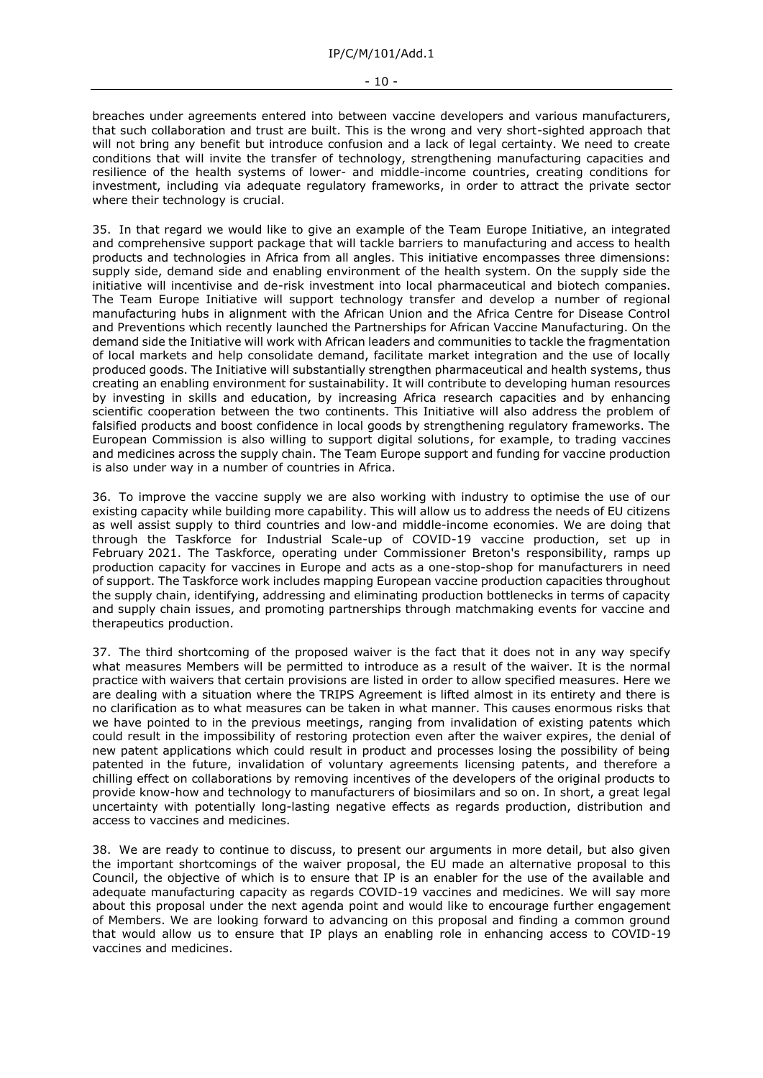breaches under agreements entered into between vaccine developers and various manufacturers, that such collaboration and trust are built. This is the wrong and very short-sighted approach that will not bring any benefit but introduce confusion and a lack of legal certainty. We need to create conditions that will invite the transfer of technology, strengthening manufacturing capacities and resilience of the health systems of lower- and middle-income countries, creating conditions for investment, including via adequate regulatory frameworks, in order to attract the private sector where their technology is crucial.

35. In that regard we would like to give an example of the Team Europe Initiative, an integrated and comprehensive support package that will tackle barriers to manufacturing and access to health products and technologies in Africa from all angles. This initiative encompasses three dimensions: supply side, demand side and enabling environment of the health system. On the supply side the initiative will incentivise and de-risk investment into local pharmaceutical and biotech companies. The Team Europe Initiative will support technology transfer and develop a number of regional manufacturing hubs in alignment with the African Union and the Africa Centre for Disease Control and Preventions which recently launched the Partnerships for African Vaccine Manufacturing. On the demand side the Initiative will work with African leaders and communities to tackle the fragmentation of local markets and help consolidate demand, facilitate market integration and the use of locally produced goods. The Initiative will substantially strengthen pharmaceutical and health systems, thus creating an enabling environment for sustainability. It will contribute to developing human resources by investing in skills and education, by increasing Africa research capacities and by enhancing scientific cooperation between the two continents. This Initiative will also address the problem of falsified products and boost confidence in local goods by strengthening regulatory frameworks. The European Commission is also willing to support digital solutions, for example, to trading vaccines and medicines across the supply chain. The Team Europe support and funding for vaccine production is also under way in a number of countries in Africa.

36. To improve the vaccine supply we are also working with industry to optimise the use of our existing capacity while building more capability. This will allow us to address the needs of EU citizens as well assist supply to third countries and low-and middle-income economies. We are doing that through the Taskforce for Industrial Scale-up of COVID-19 vaccine production, set up in February 2021. The Taskforce, operating under Commissioner Breton's responsibility, ramps up production capacity for vaccines in Europe and acts as a one-stop-shop for manufacturers in need of support. The Taskforce work includes mapping European vaccine production capacities throughout the supply chain, identifying, addressing and eliminating production bottlenecks in terms of capacity and supply chain issues, and promoting partnerships through matchmaking events for vaccine and therapeutics production.

37. The third shortcoming of the proposed waiver is the fact that it does not in any way specify what measures Members will be permitted to introduce as a result of the waiver. It is the normal practice with waivers that certain provisions are listed in order to allow specified measures. Here we are dealing with a situation where the TRIPS Agreement is lifted almost in its entirety and there is no clarification as to what measures can be taken in what manner. This causes enormous risks that we have pointed to in the previous meetings, ranging from invalidation of existing patents which could result in the impossibility of restoring protection even after the waiver expires, the denial of new patent applications which could result in product and processes losing the possibility of being patented in the future, invalidation of voluntary agreements licensing patents, and therefore a chilling effect on collaborations by removing incentives of the developers of the original products to provide know-how and technology to manufacturers of biosimilars and so on. In short, a great legal uncertainty with potentially long-lasting negative effects as regards production, distribution and access to vaccines and medicines.

38. We are ready to continue to discuss, to present our arguments in more detail, but also given the important shortcomings of the waiver proposal, the EU made an alternative proposal to this Council, the objective of which is to ensure that IP is an enabler for the use of the available and adequate manufacturing capacity as regards COVID-19 vaccines and medicines. We will say more about this proposal under the next agenda point and would like to encourage further engagement of Members. We are looking forward to advancing on this proposal and finding a common ground that would allow us to ensure that IP plays an enabling role in enhancing access to COVID-19 vaccines and medicines.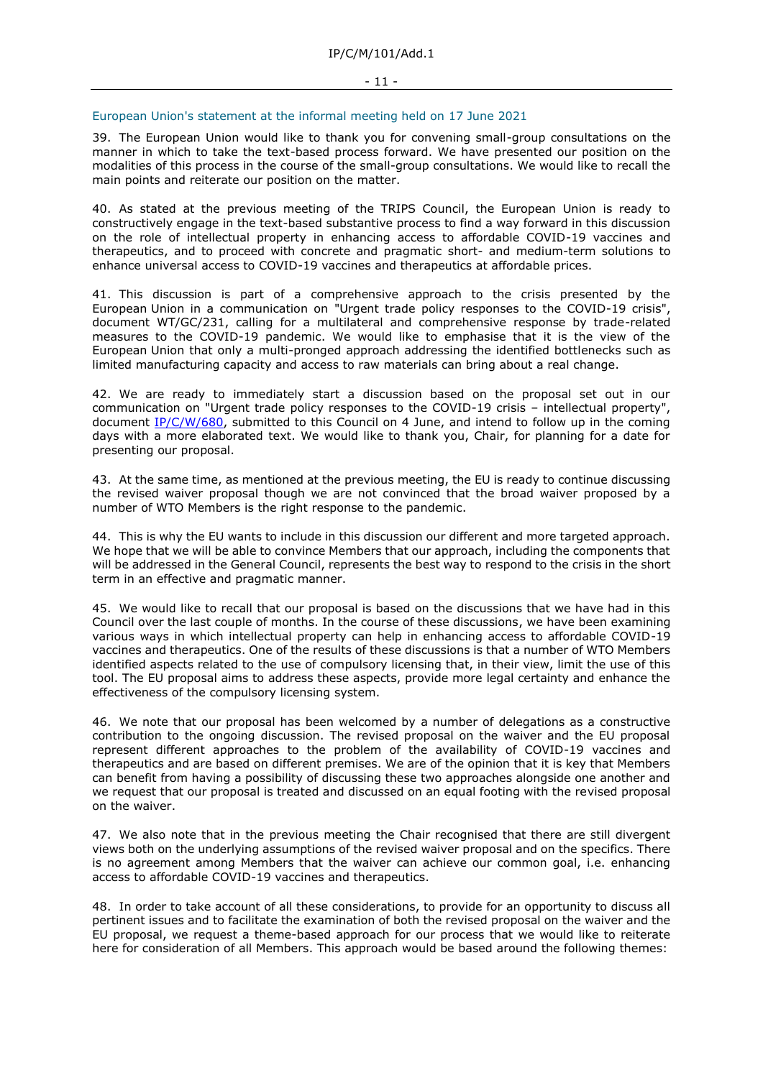#### European Union's statement at the informal meeting held on 17 June 2021

39. The European Union would like to thank you for convening small-group consultations on the manner in which to take the text-based process forward. We have presented our position on the modalities of this process in the course of the small-group consultations. We would like to recall the main points and reiterate our position on the matter.

40. As stated at the previous meeting of the TRIPS Council, the European Union is ready to constructively engage in the text-based substantive process to find a way forward in this discussion on the role of intellectual property in enhancing access to affordable COVID-19 vaccines and therapeutics, and to proceed with concrete and pragmatic short- and medium-term solutions to enhance universal access to COVID-19 vaccines and therapeutics at affordable prices.

41. This discussion is part of a comprehensive approach to the crisis presented by the European Union in a communication on "Urgent trade policy responses to the COVID-19 crisis", document WT/GC/231, calling for a multilateral and comprehensive response by trade-related measures to the COVID-19 pandemic. We would like to emphasise that it is the view of the European Union that only a multi-pronged approach addressing the identified bottlenecks such as limited manufacturing capacity and access to raw materials can bring about a real change.

42. We are ready to immediately start a discussion based on the proposal set out in our communication on "Urgent trade policy responses to the COVID-19 crisis – intellectual property", document [IP/C/W/680,](https://docs.wto.org/dol2fe/Pages/FE_Search/FE_S_S006.aspx?DataSource=Cat&query=@Symbol=%22IP/C/W/680%22%20OR%20@Symbol=%22IP/C/W/680/*%22&Language=English&Context=ScriptedSearches&languageUIChanged=true) submitted to this Council on 4 June, and intend to follow up in the coming days with a more elaborated text. We would like to thank you, Chair, for planning for a date for presenting our proposal.

43. At the same time, as mentioned at the previous meeting, the EU is ready to continue discussing the revised waiver proposal though we are not convinced that the broad waiver proposed by a number of WTO Members is the right response to the pandemic.

44. This is why the EU wants to include in this discussion our different and more targeted approach. We hope that we will be able to convince Members that our approach, including the components that will be addressed in the General Council, represents the best way to respond to the crisis in the short term in an effective and pragmatic manner.

45. We would like to recall that our proposal is based on the discussions that we have had in this Council over the last couple of months. In the course of these discussions, we have been examining various ways in which intellectual property can help in enhancing access to affordable COVID-19 vaccines and therapeutics. One of the results of these discussions is that a number of WTO Members identified aspects related to the use of compulsory licensing that, in their view, limit the use of this tool. The EU proposal aims to address these aspects, provide more legal certainty and enhance the effectiveness of the compulsory licensing system.

46. We note that our proposal has been welcomed by a number of delegations as a constructive contribution to the ongoing discussion. The revised proposal on the waiver and the EU proposal represent different approaches to the problem of the availability of COVID-19 vaccines and therapeutics and are based on different premises. We are of the opinion that it is key that Members can benefit from having a possibility of discussing these two approaches alongside one another and we request that our proposal is treated and discussed on an equal footing with the revised proposal on the waiver.

47. We also note that in the previous meeting the Chair recognised that there are still divergent views both on the underlying assumptions of the revised waiver proposal and on the specifics. There is no agreement among Members that the waiver can achieve our common goal, i.e. enhancing access to affordable COVID-19 vaccines and therapeutics.

48. In order to take account of all these considerations, to provide for an opportunity to discuss all pertinent issues and to facilitate the examination of both the revised proposal on the waiver and the EU proposal, we request a theme-based approach for our process that we would like to reiterate here for consideration of all Members. This approach would be based around the following themes: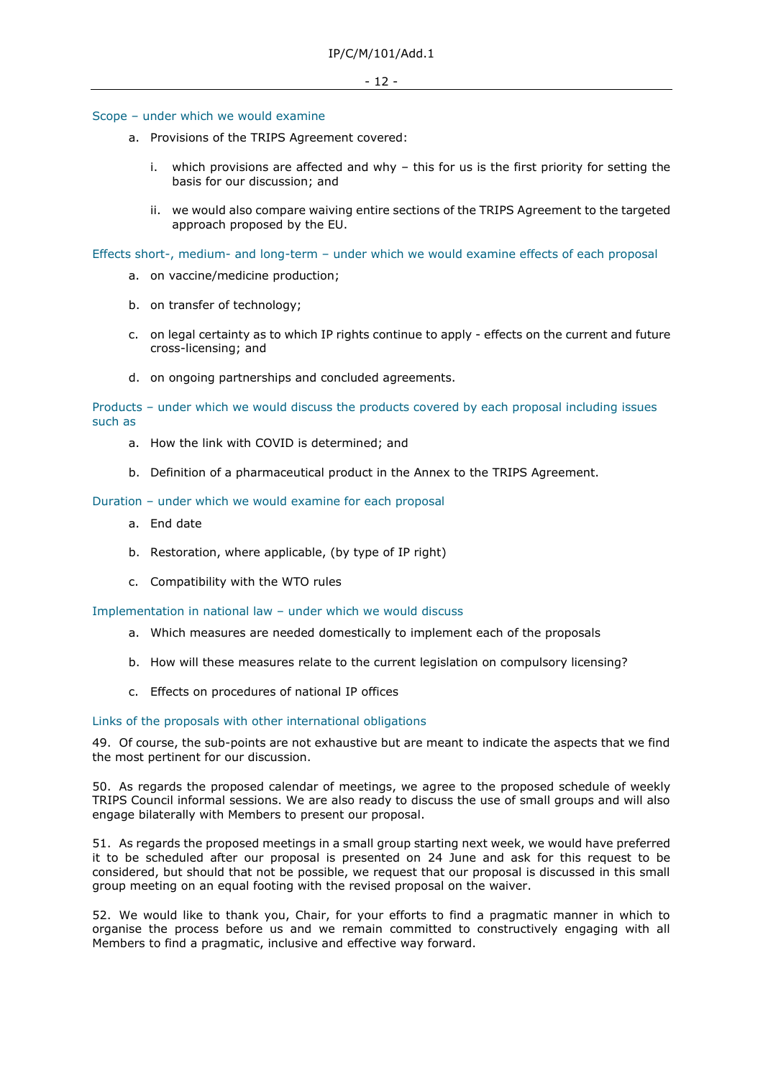#### Scope – under which we would examine

- a. Provisions of the TRIPS Agreement covered:
	- i. which provisions are affected and why this for us is the first priority for setting the basis for our discussion; and
	- ii. we would also compare waiving entire sections of the TRIPS Agreement to the targeted approach proposed by the EU.

Effects short-, medium- and long-term – under which we would examine effects of each proposal

- a. on vaccine/medicine production;
- b. on transfer of technology;
- c. on legal certainty as to which IP rights continue to apply effects on the current and future cross-licensing; and
- d. on ongoing partnerships and concluded agreements.

Products – under which we would discuss the products covered by each proposal including issues such as

- a. How the link with COVID is determined; and
- b. Definition of a pharmaceutical product in the Annex to the TRIPS Agreement.

#### Duration – under which we would examine for each proposal

- a. End date
- b. Restoration, where applicable, (by type of IP right)
- c. Compatibility with the WTO rules

Implementation in national law – under which we would discuss

- a. Which measures are needed domestically to implement each of the proposals
- b. How will these measures relate to the current legislation on compulsory licensing?
- c. Effects on procedures of national IP offices

### Links of the proposals with other international obligations

49. Of course, the sub-points are not exhaustive but are meant to indicate the aspects that we find the most pertinent for our discussion.

50. As regards the proposed calendar of meetings, we agree to the proposed schedule of weekly TRIPS Council informal sessions. We are also ready to discuss the use of small groups and will also engage bilaterally with Members to present our proposal.

51. As regards the proposed meetings in a small group starting next week, we would have preferred it to be scheduled after our proposal is presented on 24 June and ask for this request to be considered, but should that not be possible, we request that our proposal is discussed in this small group meeting on an equal footing with the revised proposal on the waiver.

52. We would like to thank you, Chair, for your efforts to find a pragmatic manner in which to organise the process before us and we remain committed to constructively engaging with all Members to find a pragmatic, inclusive and effective way forward.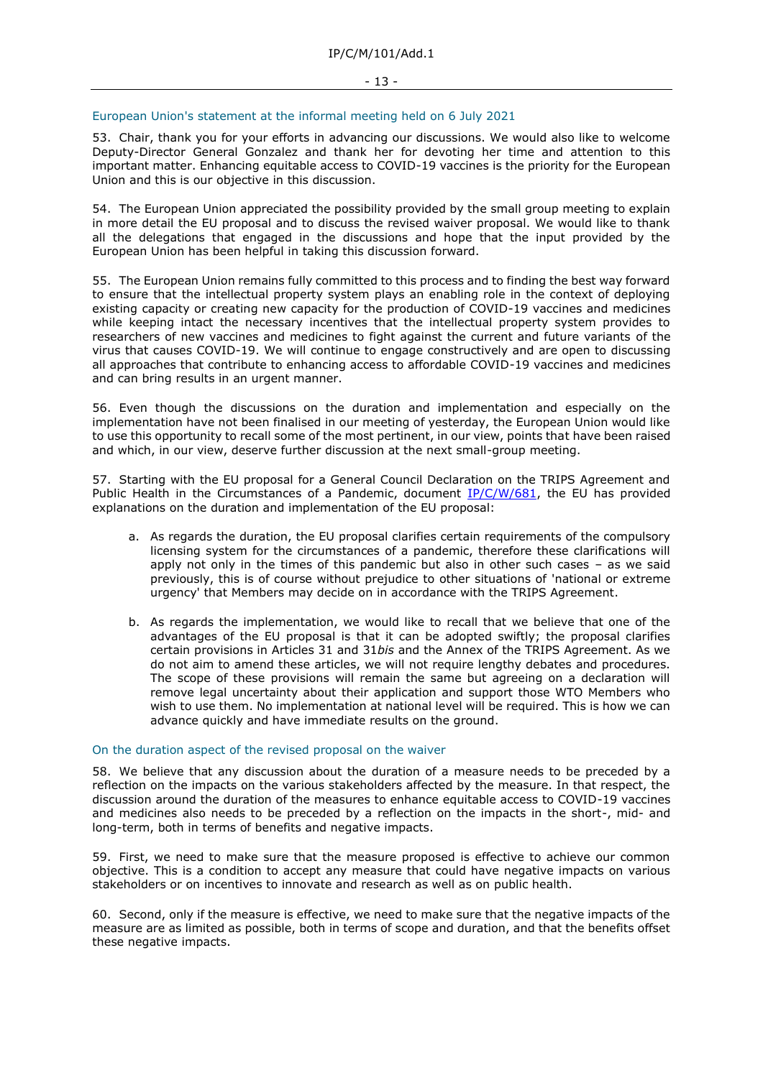#### European Union's statement at the informal meeting held on 6 July 2021

53. Chair, thank you for your efforts in advancing our discussions. We would also like to welcome Deputy-Director General Gonzalez and thank her for devoting her time and attention to this important matter. Enhancing equitable access to COVID-19 vaccines is the priority for the European Union and this is our objective in this discussion.

54. The European Union appreciated the possibility provided by the small group meeting to explain in more detail the EU proposal and to discuss the revised waiver proposal. We would like to thank all the delegations that engaged in the discussions and hope that the input provided by the European Union has been helpful in taking this discussion forward.

55. The European Union remains fully committed to this process and to finding the best way forward to ensure that the intellectual property system plays an enabling role in the context of deploying existing capacity or creating new capacity for the production of COVID-19 vaccines and medicines while keeping intact the necessary incentives that the intellectual property system provides to researchers of new vaccines and medicines to fight against the current and future variants of the virus that causes COVID-19. We will continue to engage constructively and are open to discussing all approaches that contribute to enhancing access to affordable COVID-19 vaccines and medicines and can bring results in an urgent manner.

56. Even though the discussions on the duration and implementation and especially on the implementation have not been finalised in our meeting of yesterday, the European Union would like to use this opportunity to recall some of the most pertinent, in our view, points that have been raised and which, in our view, deserve further discussion at the next small-group meeting.

57. Starting with the EU proposal for a General Council Declaration on the TRIPS Agreement and Public Health in the Circumstances of a Pandemic, document [IP/C/W/681,](https://docs.wto.org/dol2fe/Pages/FE_Search/FE_S_S006.aspx?DataSource=Cat&query=@Symbol=%22IP/C/W/681%22%20OR%20@Symbol=%22IP/C/W/681/*%22&Language=English&Context=ScriptedSearches&languageUIChanged=true) the EU has provided explanations on the duration and implementation of the EU proposal:

- a. As regards the duration, the EU proposal clarifies certain requirements of the compulsory licensing system for the circumstances of a pandemic, therefore these clarifications will apply not only in the times of this pandemic but also in other such cases – as we said previously, this is of course without prejudice to other situations of 'national or extreme urgency' that Members may decide on in accordance with the TRIPS Agreement.
- b. As regards the implementation, we would like to recall that we believe that one of the advantages of the EU proposal is that it can be adopted swiftly; the proposal clarifies certain provisions in Articles 31 and 31*bis* and the Annex of the TRIPS Agreement. As we do not aim to amend these articles, we will not require lengthy debates and procedures. The scope of these provisions will remain the same but agreeing on a declaration will remove legal uncertainty about their application and support those WTO Members who wish to use them. No implementation at national level will be required. This is how we can advance quickly and have immediate results on the ground.

#### On the duration aspect of the revised proposal on the waiver

58. We believe that any discussion about the duration of a measure needs to be preceded by a reflection on the impacts on the various stakeholders affected by the measure. In that respect, the discussion around the duration of the measures to enhance equitable access to COVID-19 vaccines and medicines also needs to be preceded by a reflection on the impacts in the short-, mid- and long-term, both in terms of benefits and negative impacts.

59. First, we need to make sure that the measure proposed is effective to achieve our common objective. This is a condition to accept any measure that could have negative impacts on various stakeholders or on incentives to innovate and research as well as on public health.

60. Second, only if the measure is effective, we need to make sure that the negative impacts of the measure are as limited as possible, both in terms of scope and duration, and that the benefits offset these negative impacts.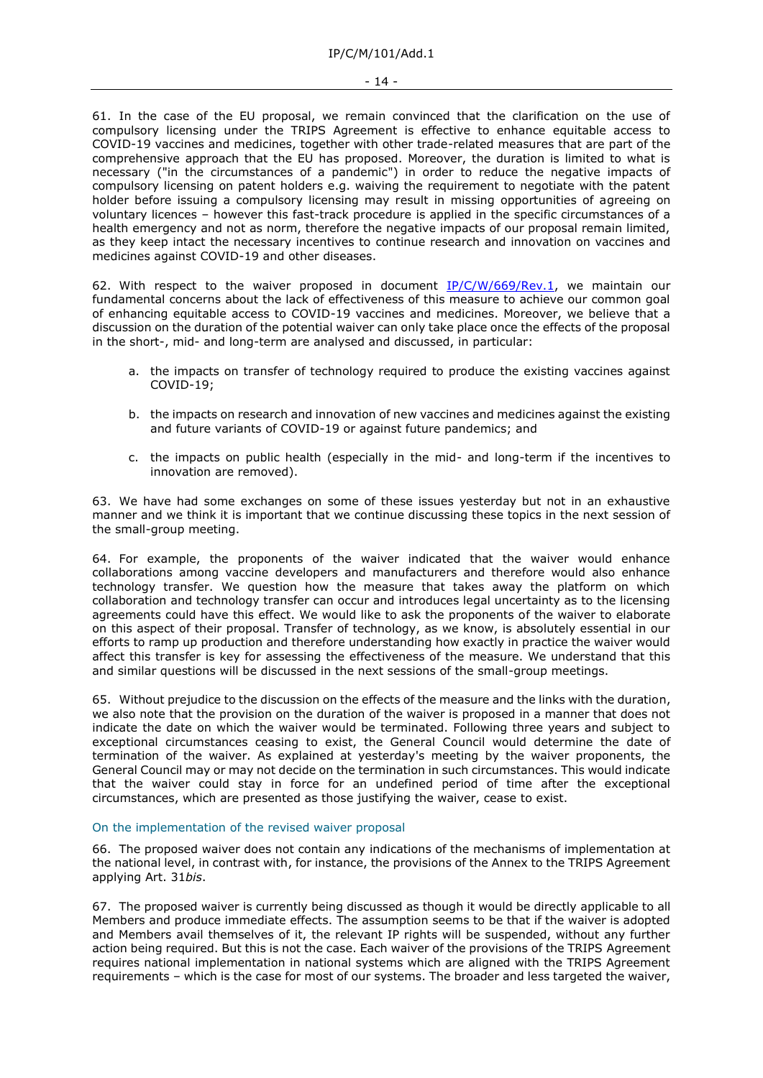61. In the case of the EU proposal, we remain convinced that the clarification on the use of compulsory licensing under the TRIPS Agreement is effective to enhance equitable access to COVID-19 vaccines and medicines, together with other trade-related measures that are part of the comprehensive approach that the EU has proposed. Moreover, the duration is limited to what is necessary ("in the circumstances of a pandemic") in order to reduce the negative impacts of compulsory licensing on patent holders e.g. waiving the requirement to negotiate with the patent holder before issuing a compulsory licensing may result in missing opportunities of agreeing on voluntary licences – however this fast-track procedure is applied in the specific circumstances of a health emergency and not as norm, therefore the negative impacts of our proposal remain limited, as they keep intact the necessary incentives to continue research and innovation on vaccines and medicines against COVID-19 and other diseases.

62. With respect to the waiver proposed in document  $IP/C/W/669/Rev.1$ , we maintain our fundamental concerns about the lack of effectiveness of this measure to achieve our common goal of enhancing equitable access to COVID-19 vaccines and medicines. Moreover, we believe that a discussion on the duration of the potential waiver can only take place once the effects of the proposal in the short-, mid- and long-term are analysed and discussed, in particular:

- a. the impacts on transfer of technology required to produce the existing vaccines against COVID-19;
- b. the impacts on research and innovation of new vaccines and medicines against the existing and future variants of COVID-19 or against future pandemics; and
- c. the impacts on public health (especially in the mid- and long-term if the incentives to innovation are removed).

63. We have had some exchanges on some of these issues yesterday but not in an exhaustive manner and we think it is important that we continue discussing these topics in the next session of the small-group meeting.

64. For example, the proponents of the waiver indicated that the waiver would enhance collaborations among vaccine developers and manufacturers and therefore would also enhance technology transfer. We question how the measure that takes away the platform on which collaboration and technology transfer can occur and introduces legal uncertainty as to the licensing agreements could have this effect. We would like to ask the proponents of the waiver to elaborate on this aspect of their proposal. Transfer of technology, as we know, is absolutely essential in our efforts to ramp up production and therefore understanding how exactly in practice the waiver would affect this transfer is key for assessing the effectiveness of the measure. We understand that this and similar questions will be discussed in the next sessions of the small-group meetings.

65. Without prejudice to the discussion on the effects of the measure and the links with the duration, we also note that the provision on the duration of the waiver is proposed in a manner that does not indicate the date on which the waiver would be terminated. Following three years and subject to exceptional circumstances ceasing to exist, the General Council would determine the date of termination of the waiver. As explained at yesterday's meeting by the waiver proponents, the General Council may or may not decide on the termination in such circumstances. This would indicate that the waiver could stay in force for an undefined period of time after the exceptional circumstances, which are presented as those justifying the waiver, cease to exist.

#### On the implementation of the revised waiver proposal

66. The proposed waiver does not contain any indications of the mechanisms of implementation at the national level, in contrast with, for instance, the provisions of the Annex to the TRIPS Agreement applying Art. 31*bis*.

67. The proposed waiver is currently being discussed as though it would be directly applicable to all Members and produce immediate effects. The assumption seems to be that if the waiver is adopted and Members avail themselves of it, the relevant IP rights will be suspended, without any further action being required. But this is not the case. Each waiver of the provisions of the TRIPS Agreement requires national implementation in national systems which are aligned with the TRIPS Agreement requirements – which is the case for most of our systems. The broader and less targeted the waiver,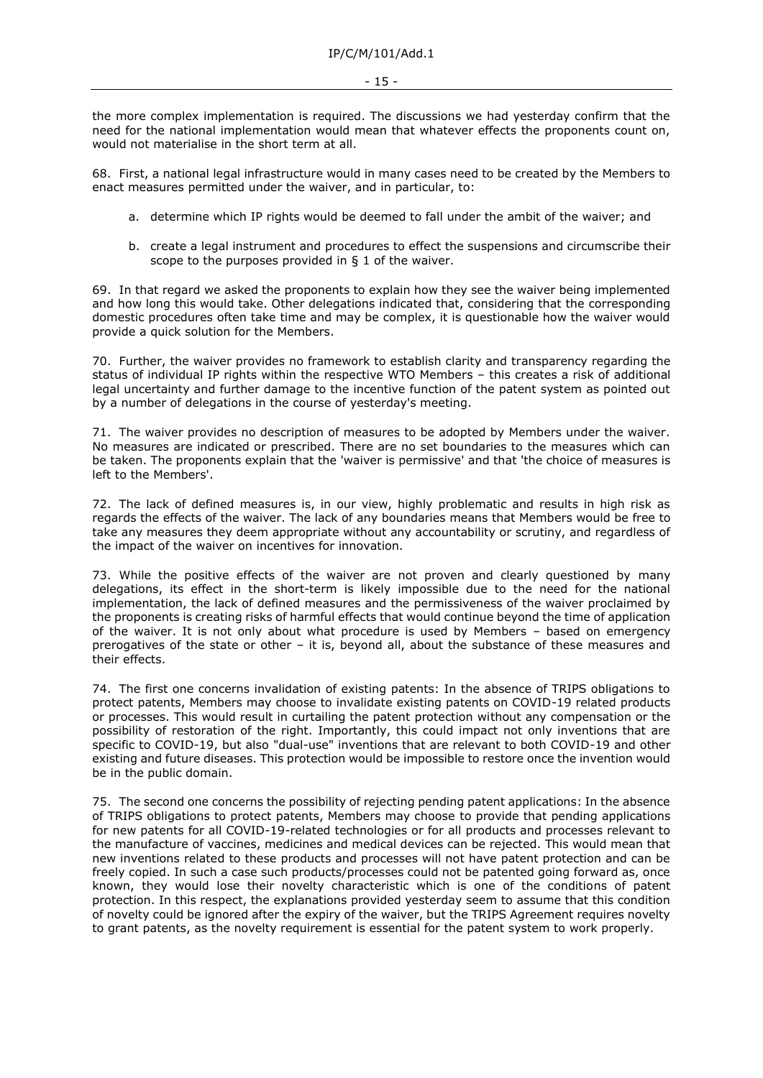the more complex implementation is required. The discussions we had yesterday confirm that the need for the national implementation would mean that whatever effects the proponents count on, would not materialise in the short term at all.

68. First, a national legal infrastructure would in many cases need to be created by the Members to enact measures permitted under the waiver, and in particular, to:

- a. determine which IP rights would be deemed to fall under the ambit of the waiver; and
- b. create a legal instrument and procedures to effect the suspensions and circumscribe their scope to the purposes provided in § 1 of the waiver.

69. In that regard we asked the proponents to explain how they see the waiver being implemented and how long this would take. Other delegations indicated that, considering that the corresponding domestic procedures often take time and may be complex, it is questionable how the waiver would provide a quick solution for the Members.

70. Further, the waiver provides no framework to establish clarity and transparency regarding the status of individual IP rights within the respective WTO Members – this creates a risk of additional legal uncertainty and further damage to the incentive function of the patent system as pointed out by a number of delegations in the course of yesterday's meeting.

71. The waiver provides no description of measures to be adopted by Members under the waiver. No measures are indicated or prescribed. There are no set boundaries to the measures which can be taken. The proponents explain that the 'waiver is permissive' and that 'the choice of measures is left to the Members'.

72. The lack of defined measures is, in our view, highly problematic and results in high risk as regards the effects of the waiver. The lack of any boundaries means that Members would be free to take any measures they deem appropriate without any accountability or scrutiny, and regardless of the impact of the waiver on incentives for innovation.

73. While the positive effects of the waiver are not proven and clearly questioned by many delegations, its effect in the short-term is likely impossible due to the need for the national implementation, the lack of defined measures and the permissiveness of the waiver proclaimed by the proponents is creating risks of harmful effects that would continue beyond the time of application of the waiver. It is not only about what procedure is used by Members – based on emergency prerogatives of the state or other – it is, beyond all, about the substance of these measures and their effects.

74. The first one concerns invalidation of existing patents: In the absence of TRIPS obligations to protect patents, Members may choose to invalidate existing patents on COVID-19 related products or processes. This would result in curtailing the patent protection without any compensation or the possibility of restoration of the right. Importantly, this could impact not only inventions that are specific to COVID-19, but also "dual-use" inventions that are relevant to both COVID-19 and other existing and future diseases. This protection would be impossible to restore once the invention would be in the public domain.

75. The second one concerns the possibility of rejecting pending patent applications: In the absence of TRIPS obligations to protect patents, Members may choose to provide that pending applications for new patents for all COVID-19-related technologies or for all products and processes relevant to the manufacture of vaccines, medicines and medical devices can be rejected. This would mean that new inventions related to these products and processes will not have patent protection and can be freely copied. In such a case such products/processes could not be patented going forward as, once known, they would lose their novelty characteristic which is one of the conditions of patent protection. In this respect, the explanations provided yesterday seem to assume that this condition of novelty could be ignored after the expiry of the waiver, but the TRIPS Agreement requires novelty to grant patents, as the novelty requirement is essential for the patent system to work properly.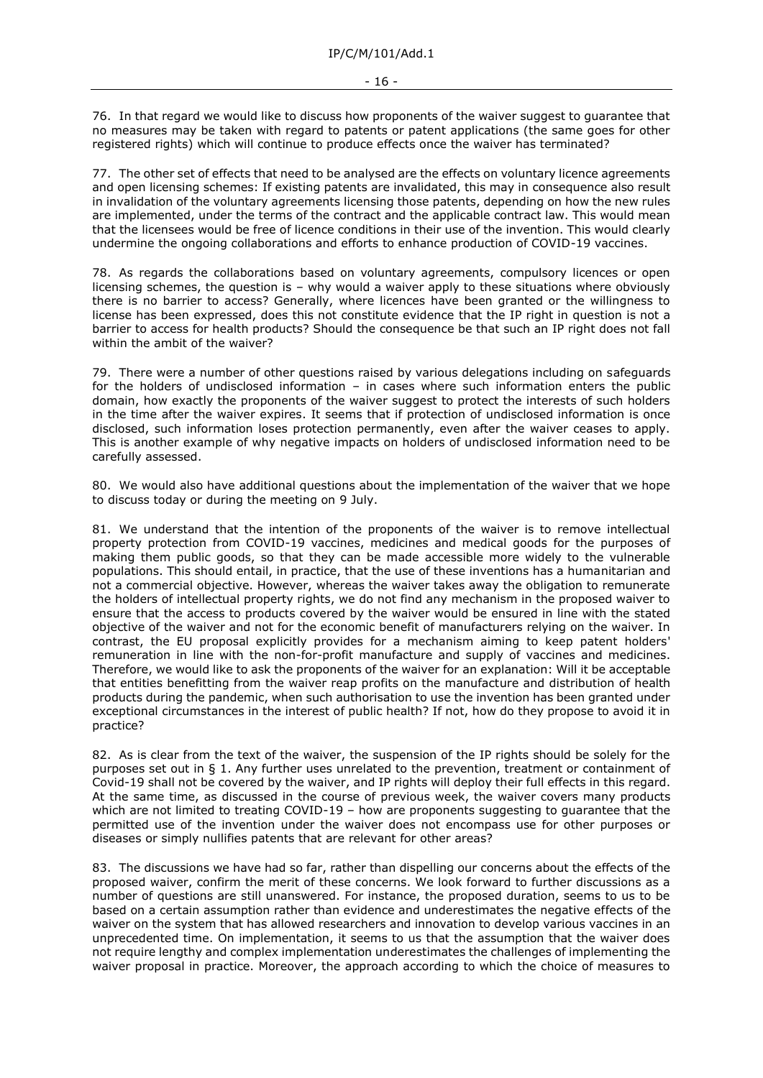76. In that regard we would like to discuss how proponents of the waiver suggest to guarantee that no measures may be taken with regard to patents or patent applications (the same goes for other registered rights) which will continue to produce effects once the waiver has terminated?

77. The other set of effects that need to be analysed are the effects on voluntary licence agreements and open licensing schemes: If existing patents are invalidated, this may in consequence also result in invalidation of the voluntary agreements licensing those patents, depending on how the new rules are implemented, under the terms of the contract and the applicable contract law. This would mean that the licensees would be free of licence conditions in their use of the invention. This would clearly undermine the ongoing collaborations and efforts to enhance production of COVID-19 vaccines.

78. As regards the collaborations based on voluntary agreements, compulsory licences or open licensing schemes, the question is – why would a waiver apply to these situations where obviously there is no barrier to access? Generally, where licences have been granted or the willingness to license has been expressed, does this not constitute evidence that the IP right in question is not a barrier to access for health products? Should the consequence be that such an IP right does not fall within the ambit of the waiver?

79. There were a number of other questions raised by various delegations including on safeguards for the holders of undisclosed information – in cases where such information enters the public domain, how exactly the proponents of the waiver suggest to protect the interests of such holders in the time after the waiver expires. It seems that if protection of undisclosed information is once disclosed, such information loses protection permanently, even after the waiver ceases to apply. This is another example of why negative impacts on holders of undisclosed information need to be carefully assessed.

80. We would also have additional questions about the implementation of the waiver that we hope to discuss today or during the meeting on 9 July.

81. We understand that the intention of the proponents of the waiver is to remove intellectual property protection from COVID-19 vaccines, medicines and medical goods for the purposes of making them public goods, so that they can be made accessible more widely to the vulnerable populations. This should entail, in practice, that the use of these inventions has a humanitarian and not a commercial objective. However, whereas the waiver takes away the obligation to remunerate the holders of intellectual property rights, we do not find any mechanism in the proposed waiver to ensure that the access to products covered by the waiver would be ensured in line with the stated objective of the waiver and not for the economic benefit of manufacturers relying on the waiver. In contrast, the EU proposal explicitly provides for a mechanism aiming to keep patent holders' remuneration in line with the non-for-profit manufacture and supply of vaccines and medicines. Therefore, we would like to ask the proponents of the waiver for an explanation: Will it be acceptable that entities benefitting from the waiver reap profits on the manufacture and distribution of health products during the pandemic, when such authorisation to use the invention has been granted under exceptional circumstances in the interest of public health? If not, how do they propose to avoid it in practice?

82. As is clear from the text of the waiver, the suspension of the IP rights should be solely for the purposes set out in § 1. Any further uses unrelated to the prevention, treatment or containment of Covid-19 shall not be covered by the waiver, and IP rights will deploy their full effects in this regard. At the same time, as discussed in the course of previous week, the waiver covers many products which are not limited to treating COVID-19 – how are proponents suggesting to guarantee that the permitted use of the invention under the waiver does not encompass use for other purposes or diseases or simply nullifies patents that are relevant for other areas?

83. The discussions we have had so far, rather than dispelling our concerns about the effects of the proposed waiver, confirm the merit of these concerns. We look forward to further discussions as a number of questions are still unanswered. For instance, the proposed duration, seems to us to be based on a certain assumption rather than evidence and underestimates the negative effects of the waiver on the system that has allowed researchers and innovation to develop various vaccines in an unprecedented time. On implementation, it seems to us that the assumption that the waiver does not require lengthy and complex implementation underestimates the challenges of implementing the waiver proposal in practice. Moreover, the approach according to which the choice of measures to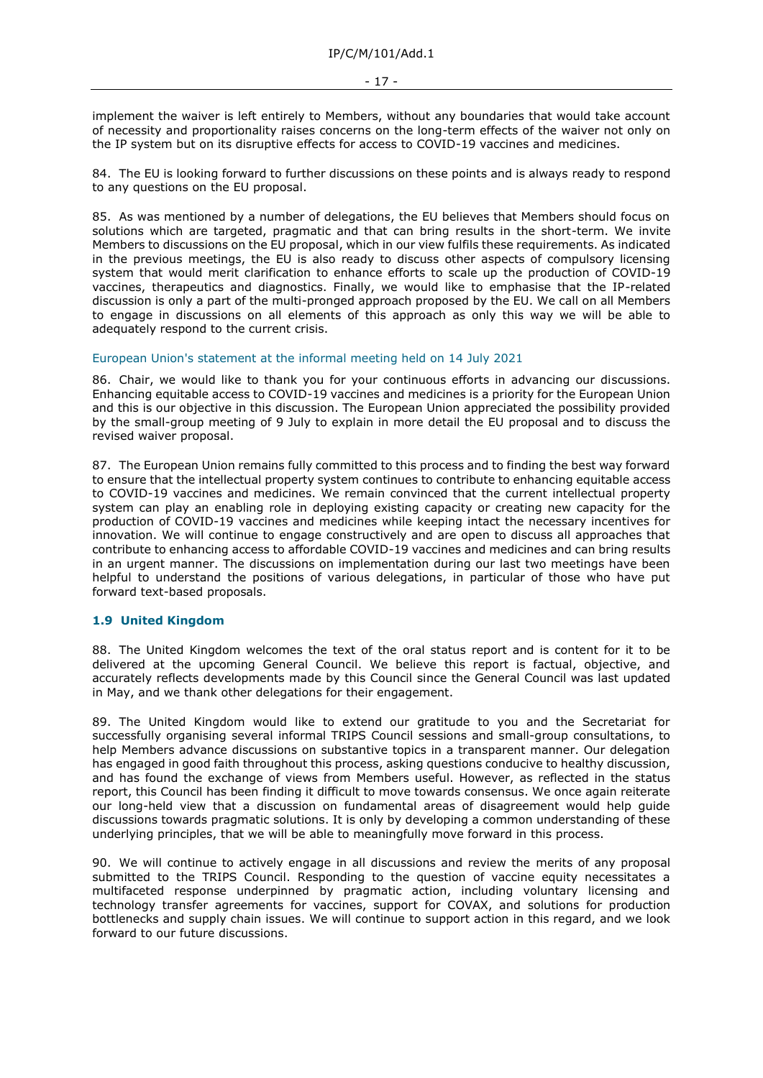implement the waiver is left entirely to Members, without any boundaries that would take account of necessity and proportionality raises concerns on the long-term effects of the waiver not only on the IP system but on its disruptive effects for access to COVID-19 vaccines and medicines.

84. The EU is looking forward to further discussions on these points and is always ready to respond to any questions on the EU proposal.

85. As was mentioned by a number of delegations, the EU believes that Members should focus on solutions which are targeted, pragmatic and that can bring results in the short-term. We invite Members to discussions on the EU proposal, which in our view fulfils these requirements. As indicated in the previous meetings, the EU is also ready to discuss other aspects of compulsory licensing system that would merit clarification to enhance efforts to scale up the production of COVID-19 vaccines, therapeutics and diagnostics. Finally, we would like to emphasise that the IP-related discussion is only a part of the multi-pronged approach proposed by the EU. We call on all Members to engage in discussions on all elements of this approach as only this way we will be able to adequately respond to the current crisis.

### European Union's statement at the informal meeting held on 14 July 2021

86. Chair, we would like to thank you for your continuous efforts in advancing our discussions. Enhancing equitable access to COVID-19 vaccines and medicines is a priority for the European Union and this is our objective in this discussion. The European Union appreciated the possibility provided by the small-group meeting of 9 July to explain in more detail the EU proposal and to discuss the revised waiver proposal.

87. The European Union remains fully committed to this process and to finding the best way forward to ensure that the intellectual property system continues to contribute to enhancing equitable access to COVID-19 vaccines and medicines. We remain convinced that the current intellectual property system can play an enabling role in deploying existing capacity or creating new capacity for the production of COVID-19 vaccines and medicines while keeping intact the necessary incentives for innovation. We will continue to engage constructively and are open to discuss all approaches that contribute to enhancing access to affordable COVID-19 vaccines and medicines and can bring results in an urgent manner. The discussions on implementation during our last two meetings have been helpful to understand the positions of various delegations, in particular of those who have put forward text-based proposals.

#### **1.9 United Kingdom**

88. The United Kingdom welcomes the text of the oral status report and is content for it to be delivered at the upcoming General Council. We believe this report is factual, objective, and accurately reflects developments made by this Council since the General Council was last updated in May, and we thank other delegations for their engagement.

89. The United Kingdom would like to extend our gratitude to you and the Secretariat for successfully organising several informal TRIPS Council sessions and small-group consultations, to help Members advance discussions on substantive topics in a transparent manner. Our delegation has engaged in good faith throughout this process, asking questions conducive to healthy discussion, and has found the exchange of views from Members useful. However, as reflected in the status report, this Council has been finding it difficult to move towards consensus. We once again reiterate our long-held view that a discussion on fundamental areas of disagreement would help guide discussions towards pragmatic solutions. It is only by developing a common understanding of these underlying principles, that we will be able to meaningfully move forward in this process.

90. We will continue to actively engage in all discussions and review the merits of any proposal submitted to the TRIPS Council. Responding to the question of vaccine equity necessitates a multifaceted response underpinned by pragmatic action, including voluntary licensing and technology transfer agreements for vaccines, support for COVAX, and solutions for production bottlenecks and supply chain issues. We will continue to support action in this regard, and we look forward to our future discussions.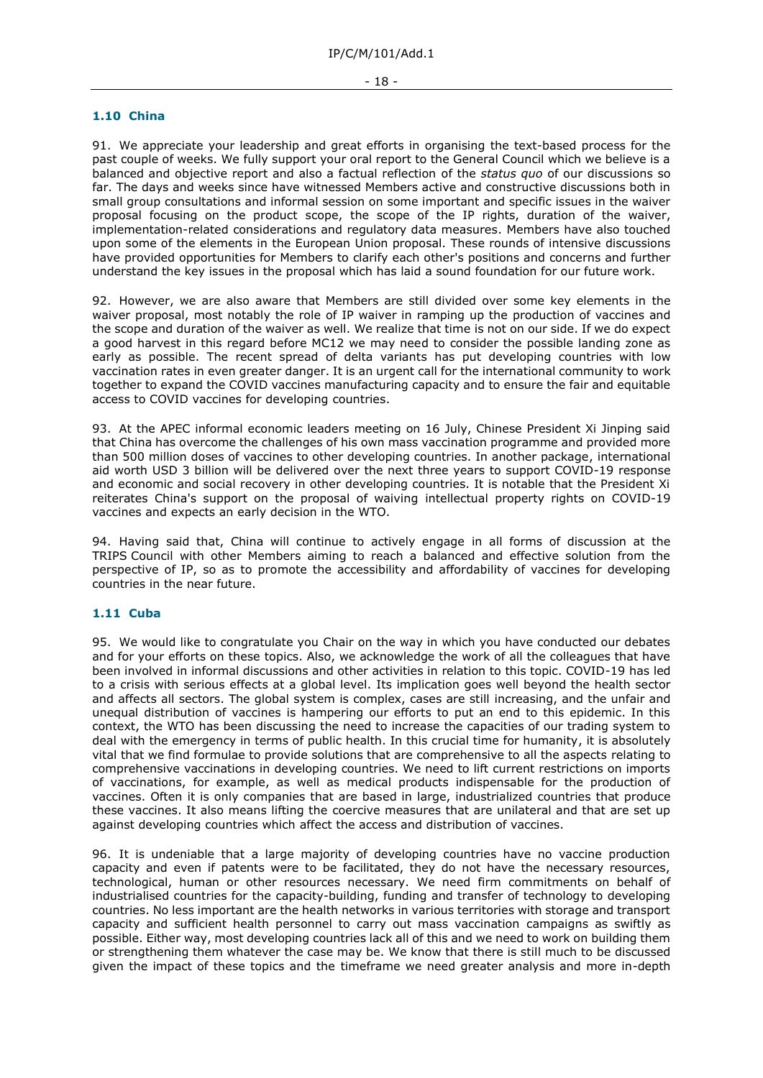#### **1.10 China**

91. We appreciate your leadership and great efforts in organising the text-based process for the past couple of weeks. We fully support your oral report to the General Council which we believe is a balanced and objective report and also a factual reflection of the *status quo* of our discussions so far. The days and weeks since have witnessed Members active and constructive discussions both in small group consultations and informal session on some important and specific issues in the waiver proposal focusing on the product scope, the scope of the IP rights, duration of the waiver, implementation-related considerations and regulatory data measures. Members have also touched upon some of the elements in the European Union proposal. These rounds of intensive discussions have provided opportunities for Members to clarify each other's positions and concerns and further understand the key issues in the proposal which has laid a sound foundation for our future work.

92. However, we are also aware that Members are still divided over some key elements in the waiver proposal, most notably the role of IP waiver in ramping up the production of vaccines and the scope and duration of the waiver as well. We realize that time is not on our side. If we do expect a good harvest in this regard before MC12 we may need to consider the possible landing zone as early as possible. The recent spread of delta variants has put developing countries with low vaccination rates in even greater danger. It is an urgent call for the international community to work together to expand the COVID vaccines manufacturing capacity and to ensure the fair and equitable access to COVID vaccines for developing countries.

93. At the APEC informal economic leaders meeting on 16 July, Chinese President Xi Jinping said that China has overcome the challenges of his own mass vaccination programme and provided more than 500 million doses of vaccines to other developing countries. In another package, international aid worth USD 3 billion will be delivered over the next three years to support COVID-19 response and economic and social recovery in other developing countries. It is notable that the President Xi reiterates China's support on the proposal of waiving intellectual property rights on COVID-19 vaccines and expects an early decision in the WTO.

94. Having said that, China will continue to actively engage in all forms of discussion at the TRIPS Council with other Members aiming to reach a balanced and effective solution from the perspective of IP, so as to promote the accessibility and affordability of vaccines for developing countries in the near future.

#### **1.11 Cuba**

95. We would like to congratulate you Chair on the way in which you have conducted our debates and for your efforts on these topics. Also, we acknowledge the work of all the colleagues that have been involved in informal discussions and other activities in relation to this topic. COVID-19 has led to a crisis with serious effects at a global level. Its implication goes well beyond the health sector and affects all sectors. The global system is complex, cases are still increasing, and the unfair and unequal distribution of vaccines is hampering our efforts to put an end to this epidemic. In this context, the WTO has been discussing the need to increase the capacities of our trading system to deal with the emergency in terms of public health. In this crucial time for humanity, it is absolutely vital that we find formulae to provide solutions that are comprehensive to all the aspects relating to comprehensive vaccinations in developing countries. We need to lift current restrictions on imports of vaccinations, for example, as well as medical products indispensable for the production of vaccines. Often it is only companies that are based in large, industrialized countries that produce these vaccines. It also means lifting the coercive measures that are unilateral and that are set up against developing countries which affect the access and distribution of vaccines.

96. It is undeniable that a large majority of developing countries have no vaccine production capacity and even if patents were to be facilitated, they do not have the necessary resources, technological, human or other resources necessary. We need firm commitments on behalf of industrialised countries for the capacity-building, funding and transfer of technology to developing countries. No less important are the health networks in various territories with storage and transport capacity and sufficient health personnel to carry out mass vaccination campaigns as swiftly as possible. Either way, most developing countries lack all of this and we need to work on building them or strengthening them whatever the case may be. We know that there is still much to be discussed given the impact of these topics and the timeframe we need greater analysis and more in-depth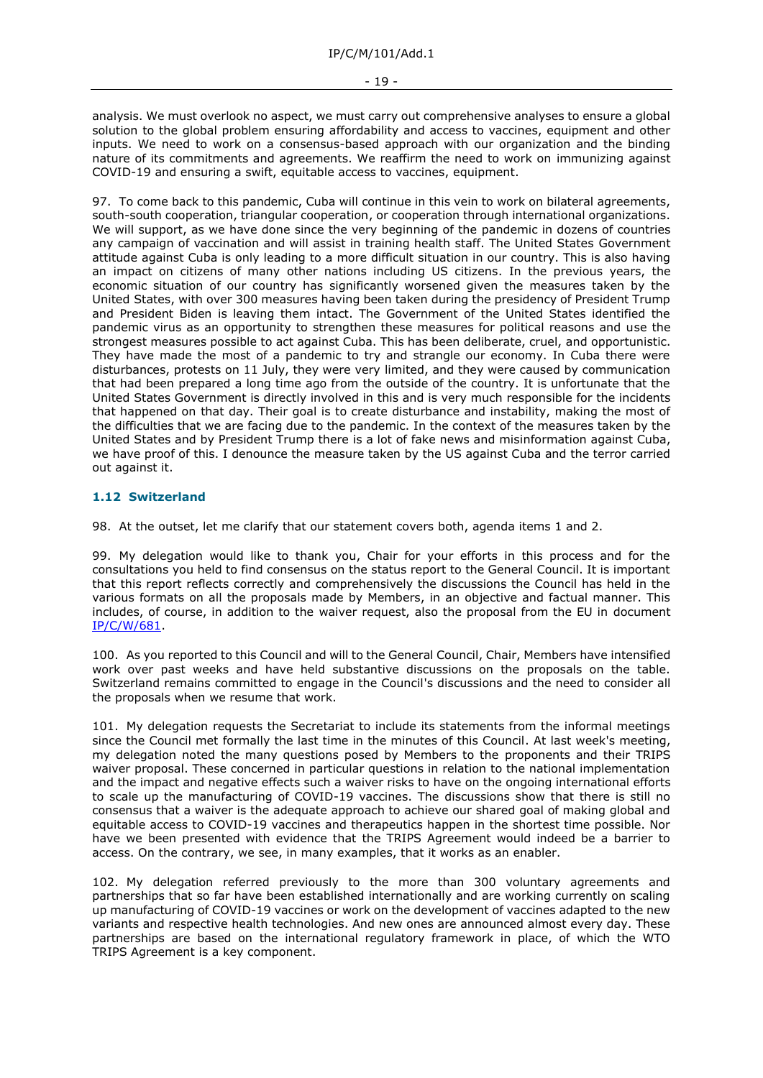analysis. We must overlook no aspect, we must carry out comprehensive analyses to ensure a global solution to the global problem ensuring affordability and access to vaccines, equipment and other inputs. We need to work on a consensus-based approach with our organization and the binding nature of its commitments and agreements. We reaffirm the need to work on immunizing against COVID-19 and ensuring a swift, equitable access to vaccines, equipment.

97. To come back to this pandemic, Cuba will continue in this vein to work on bilateral agreements, south-south cooperation, triangular cooperation, or cooperation through international organizations. We will support, as we have done since the very beginning of the pandemic in dozens of countries any campaign of vaccination and will assist in training health staff. The United States Government attitude against Cuba is only leading to a more difficult situation in our country. This is also having an impact on citizens of many other nations including US citizens. In the previous years, the economic situation of our country has significantly worsened given the measures taken by the United States, with over 300 measures having been taken during the presidency of President Trump and President Biden is leaving them intact. The Government of the United States identified the pandemic virus as an opportunity to strengthen these measures for political reasons and use the strongest measures possible to act against Cuba. This has been deliberate, cruel, and opportunistic. They have made the most of a pandemic to try and strangle our economy. In Cuba there were disturbances, protests on 11 July, they were very limited, and they were caused by communication that had been prepared a long time ago from the outside of the country. It is unfortunate that the United States Government is directly involved in this and is very much responsible for the incidents that happened on that day. Their goal is to create disturbance and instability, making the most of the difficulties that we are facing due to the pandemic. In the context of the measures taken by the United States and by President Trump there is a lot of fake news and misinformation against Cuba, we have proof of this. I denounce the measure taken by the US against Cuba and the terror carried out against it.

# **1.12 Switzerland**

98. At the outset, let me clarify that our statement covers both, agenda items 1 and 2.

99. My delegation would like to thank you, Chair for your efforts in this process and for the consultations you held to find consensus on the status report to the General Council. It is important that this report reflects correctly and comprehensively the discussions the Council has held in the various formats on all the proposals made by Members, in an objective and factual manner. This includes, of course, in addition to the waiver request, also the proposal from the EU in document [IP/C/W/681.](https://docs.wto.org/dol2fe/Pages/FE_Search/FE_S_S006.aspx?DataSource=Cat&query=@Symbol=%22IP/C/W/681%22%20OR%20@Symbol=%22IP/C/W/681/*%22&Language=English&Context=ScriptedSearches&languageUIChanged=true)

100. As you reported to this Council and will to the General Council, Chair, Members have intensified work over past weeks and have held substantive discussions on the proposals on the table. Switzerland remains committed to engage in the Council's discussions and the need to consider all the proposals when we resume that work.

101. My delegation requests the Secretariat to include its statements from the informal meetings since the Council met formally the last time in the minutes of this Council. At last week's meeting, my delegation noted the many questions posed by Members to the proponents and their TRIPS waiver proposal. These concerned in particular questions in relation to the national implementation and the impact and negative effects such a waiver risks to have on the ongoing international efforts to scale up the manufacturing of COVID-19 vaccines. The discussions show that there is still no consensus that a waiver is the adequate approach to achieve our shared goal of making global and equitable access to COVID-19 vaccines and therapeutics happen in the shortest time possible. Nor have we been presented with evidence that the TRIPS Agreement would indeed be a barrier to access. On the contrary, we see, in many examples, that it works as an enabler.

102. My delegation referred previously to the more than 300 voluntary agreements and partnerships that so far have been established internationally and are working currently on scaling up manufacturing of COVID-19 vaccines or work on the development of vaccines adapted to the new variants and respective health technologies. And new ones are announced almost every day. These partnerships are based on the international regulatory framework in place, of which the WTO TRIPS Agreement is a key component.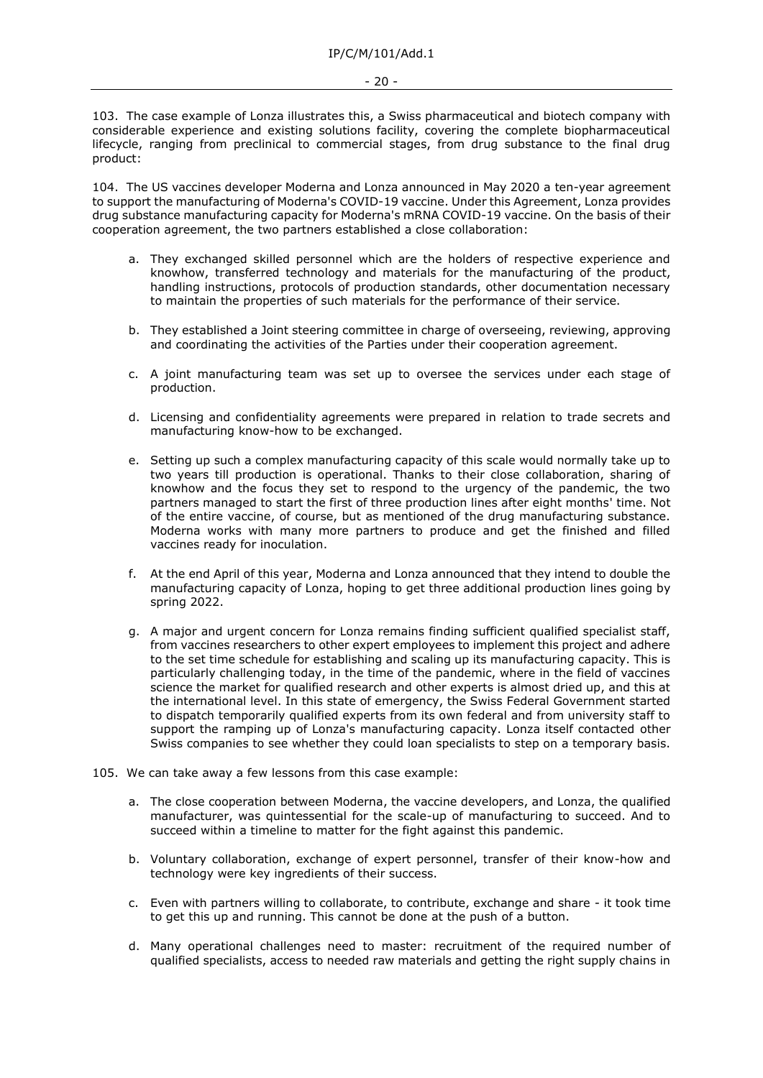103. The case example of Lonza illustrates this, a Swiss pharmaceutical and biotech company with considerable experience and existing solutions facility, covering the complete biopharmaceutical lifecycle, ranging from preclinical to commercial stages, from drug substance to the final drug product:

104. The US vaccines developer Moderna and Lonza announced in May 2020 a ten-year agreement to support the manufacturing of Moderna's COVID-19 vaccine. Under this Agreement, Lonza provides drug substance manufacturing capacity for Moderna's mRNA COVID-19 vaccine. On the basis of their cooperation agreement, the two partners established a close collaboration:

- a. They exchanged skilled personnel which are the holders of respective experience and knowhow, transferred technology and materials for the manufacturing of the product, handling instructions, protocols of production standards, other documentation necessary to maintain the properties of such materials for the performance of their service.
- b. They established a Joint steering committee in charge of overseeing, reviewing, approving and coordinating the activities of the Parties under their cooperation agreement.
- c. A joint manufacturing team was set up to oversee the services under each stage of production.
- d. Licensing and confidentiality agreements were prepared in relation to trade secrets and manufacturing know-how to be exchanged.
- e. Setting up such a complex manufacturing capacity of this scale would normally take up to two years till production is operational. Thanks to their close collaboration, sharing of knowhow and the focus they set to respond to the urgency of the pandemic, the two partners managed to start the first of three production lines after eight months' time. Not of the entire vaccine, of course, but as mentioned of the drug manufacturing substance. Moderna works with many more partners to produce and get the finished and filled vaccines ready for inoculation.
- f. At the end April of this year, Moderna and Lonza announced that they intend to double the manufacturing capacity of Lonza, hoping to get three additional production lines going by spring 2022.
- g. A major and urgent concern for Lonza remains finding sufficient qualified specialist staff, from vaccines researchers to other expert employees to implement this project and adhere to the set time schedule for establishing and scaling up its manufacturing capacity. This is particularly challenging today, in the time of the pandemic, where in the field of vaccines science the market for qualified research and other experts is almost dried up, and this at the international level. In this state of emergency, the Swiss Federal Government started to dispatch temporarily qualified experts from its own federal and from university staff to support the ramping up of Lonza's manufacturing capacity. Lonza itself contacted other Swiss companies to see whether they could loan specialists to step on a temporary basis.
- 105. We can take away a few lessons from this case example:
	- a. The close cooperation between Moderna, the vaccine developers, and Lonza, the qualified manufacturer, was quintessential for the scale-up of manufacturing to succeed. And to succeed within a timeline to matter for the fight against this pandemic.
	- b. Voluntary collaboration, exchange of expert personnel, transfer of their know-how and technology were key ingredients of their success.
	- c. Even with partners willing to collaborate, to contribute, exchange and share it took time to get this up and running. This cannot be done at the push of a button.
	- d. Many operational challenges need to master: recruitment of the required number of qualified specialists, access to needed raw materials and getting the right supply chains in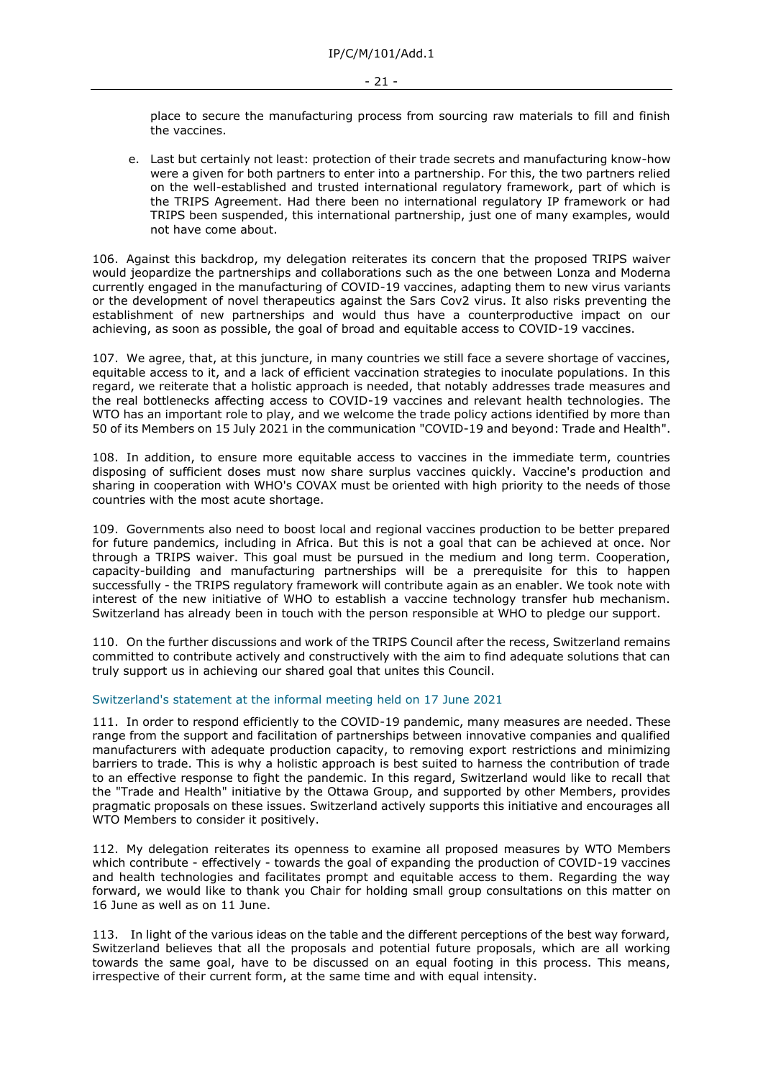place to secure the manufacturing process from sourcing raw materials to fill and finish the vaccines.

e. Last but certainly not least: protection of their trade secrets and manufacturing know-how were a given for both partners to enter into a partnership. For this, the two partners relied on the well-established and trusted international regulatory framework, part of which is the TRIPS Agreement. Had there been no international regulatory IP framework or had TRIPS been suspended, this international partnership, just one of many examples, would not have come about.

106. Against this backdrop, my delegation reiterates its concern that the proposed TRIPS waiver would jeopardize the partnerships and collaborations such as the one between Lonza and Moderna currently engaged in the manufacturing of COVID-19 vaccines, adapting them to new virus variants or the development of novel therapeutics against the Sars Cov2 virus. It also risks preventing the establishment of new partnerships and would thus have a counterproductive impact on our achieving, as soon as possible, the goal of broad and equitable access to COVID-19 vaccines.

107. We agree, that, at this juncture, in many countries we still face a severe shortage of vaccines, equitable access to it, and a lack of efficient vaccination strategies to inoculate populations. In this regard, we reiterate that a holistic approach is needed, that notably addresses trade measures and the real bottlenecks affecting access to COVID-19 vaccines and relevant health technologies. The WTO has an important role to play, and we welcome the trade policy actions identified by more than 50 of its Members on 15 July 2021 in the communication "COVID-19 and beyond: Trade and Health".

108. In addition, to ensure more equitable access to vaccines in the immediate term, countries disposing of sufficient doses must now share surplus vaccines quickly. Vaccine's production and sharing in cooperation with WHO's COVAX must be oriented with high priority to the needs of those countries with the most acute shortage.

109. Governments also need to boost local and regional vaccines production to be better prepared for future pandemics, including in Africa. But this is not a goal that can be achieved at once. Nor through a TRIPS waiver. This goal must be pursued in the medium and long term. Cooperation, capacity-building and manufacturing partnerships will be a prerequisite for this to happen successfully - the TRIPS regulatory framework will contribute again as an enabler. We took note with interest of the new initiative of WHO to establish a vaccine technology transfer hub mechanism. Switzerland has already been in touch with the person responsible at WHO to pledge our support.

110. On the further discussions and work of the TRIPS Council after the recess, Switzerland remains committed to contribute actively and constructively with the aim to find adequate solutions that can truly support us in achieving our shared goal that unites this Council.

#### Switzerland's statement at the informal meeting held on 17 June 2021

111. In order to respond efficiently to the COVID-19 pandemic, many measures are needed. These range from the support and facilitation of partnerships between innovative companies and qualified manufacturers with adequate production capacity, to removing export restrictions and minimizing barriers to trade. This is why a holistic approach is best suited to harness the contribution of trade to an effective response to fight the pandemic. In this regard, Switzerland would like to recall that the "Trade and Health" initiative by the Ottawa Group, and supported by other Members, provides pragmatic proposals on these issues. Switzerland actively supports this initiative and encourages all WTO Members to consider it positively.

112. My delegation reiterates its openness to examine all proposed measures by WTO Members which contribute - effectively - towards the goal of expanding the production of COVID-19 vaccines and health technologies and facilitates prompt and equitable access to them. Regarding the way forward, we would like to thank you Chair for holding small group consultations on this matter on 16 June as well as on 11 June.

113. In light of the various ideas on the table and the different perceptions of the best way forward, Switzerland believes that all the proposals and potential future proposals, which are all working towards the same goal, have to be discussed on an equal footing in this process. This means, irrespective of their current form, at the same time and with equal intensity.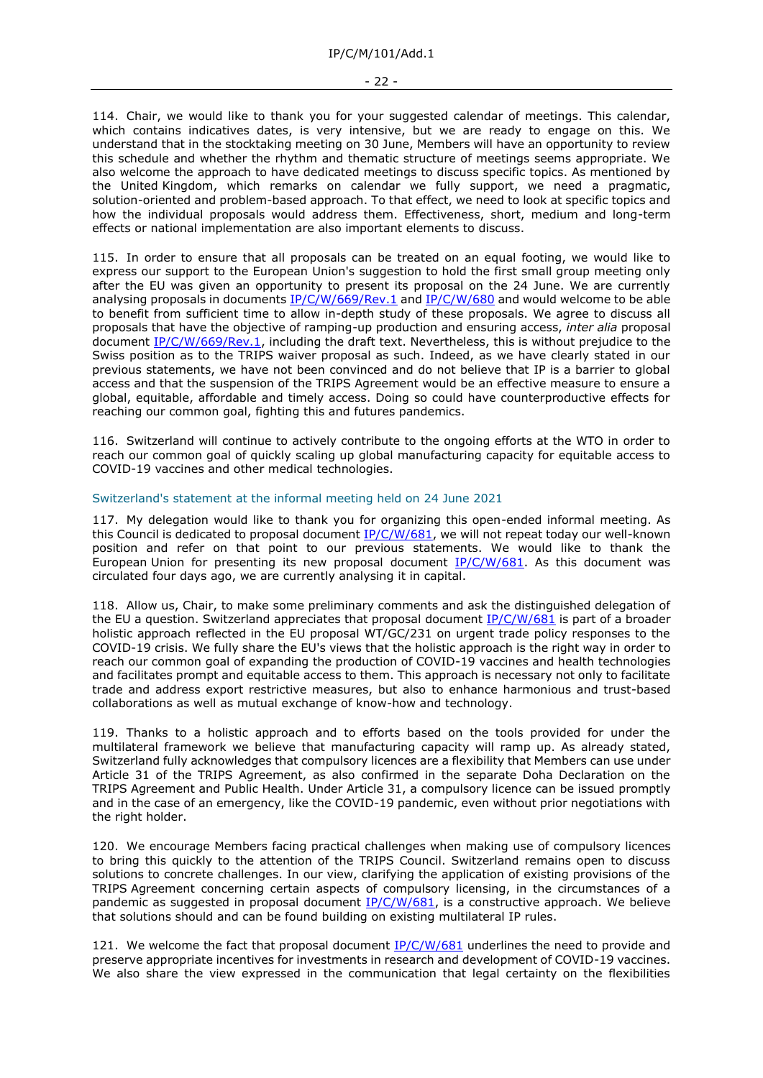#### - 22 -

114. Chair, we would like to thank you for your suggested calendar of meetings. This calendar, which contains indicatives dates, is very intensive, but we are ready to engage on this. We understand that in the stocktaking meeting on 30 June, Members will have an opportunity to review this schedule and whether the rhythm and thematic structure of meetings seems appropriate. We also welcome the approach to have dedicated meetings to discuss specific topics. As mentioned by the United Kingdom, which remarks on calendar we fully support, we need a pragmatic, solution-oriented and problem-based approach. To that effect, we need to look at specific topics and how the individual proposals would address them. Effectiveness, short, medium and long-term effects or national implementation are also important elements to discuss.

115. In order to ensure that all proposals can be treated on an equal footing, we would like to express our support to the European Union's suggestion to hold the first small group meeting only after the EU was given an opportunity to present its proposal on the 24 June. We are currently analysing proposals in documents [IP/C/W/669/Rev.1](https://docs.wto.org/dol2fe/Pages/FE_Search/FE_S_S006.aspx?DataSource=Cat&query=@Symbol=%22IP/C/W/669/Rev.1%22%20OR%20@Symbol=%22IP/C/W/669/Rev.1/*%22&Language=English&Context=ScriptedSearches&languageUIChanged=true) and [IP/C/W/680](https://docs.wto.org/dol2fe/Pages/FE_Search/FE_S_S006.aspx?DataSource=Cat&query=@Symbol=%22IP/C/W/680%22%20OR%20@Symbol=%22IP/C/W/680/*%22&Language=English&Context=ScriptedSearches&languageUIChanged=true) and would welcome to be able to benefit from sufficient time to allow in-depth study of these proposals. We agree to discuss all proposals that have the objective of ramping-up production and ensuring access, *inter alia* proposal document [IP/C/W/669/Rev.1,](https://docs.wto.org/dol2fe/Pages/FE_Search/FE_S_S006.aspx?DataSource=Cat&query=@Symbol=%22IP/C/W/669/Rev.1%22%20OR%20@Symbol=%22IP/C/W/669/Rev.1/*%22&Language=English&Context=ScriptedSearches&languageUIChanged=true) including the draft text. Nevertheless, this is without prejudice to the Swiss position as to the TRIPS waiver proposal as such. Indeed, as we have clearly stated in our previous statements, we have not been convinced and do not believe that IP is a barrier to global access and that the suspension of the TRIPS Agreement would be an effective measure to ensure a global, equitable, affordable and timely access. Doing so could have counterproductive effects for reaching our common goal, fighting this and futures pandemics.

116. Switzerland will continue to actively contribute to the ongoing efforts at the WTO in order to reach our common goal of quickly scaling up global manufacturing capacity for equitable access to COVID-19 vaccines and other medical technologies.

# Switzerland's statement at the informal meeting held on 24 June 2021

117. My delegation would like to thank you for organizing this open-ended informal meeting. As this Council is dedicated to proposal document  $IP/C/W/681$ , we will not repeat today our well-known position and refer on that point to our previous statements. We would like to thank the European Union for presenting its new proposal document  $IP/C/W/681$ . As this document was circulated four days ago, we are currently analysing it in capital.

118. Allow us, Chair, to make some preliminary comments and ask the distinguished delegation of the EU a question. Switzerland appreciates that proposal document [IP/C/W/681](https://docs.wto.org/dol2fe/Pages/FE_Search/FE_S_S006.aspx?DataSource=Cat&query=@Symbol=%22IP/C/W/681%22%20OR%20@Symbol=%22IP/C/W/681/*%22&Language=English&Context=ScriptedSearches&languageUIChanged=true) is part of a broader holistic approach reflected in the EU proposal WT/GC/231 on urgent trade policy responses to the COVID-19 crisis. We fully share the EU's views that the holistic approach is the right way in order to reach our common goal of expanding the production of COVID-19 vaccines and health technologies and facilitates prompt and equitable access to them. This approach is necessary not only to facilitate trade and address export restrictive measures, but also to enhance harmonious and trust-based collaborations as well as mutual exchange of know-how and technology.

119. Thanks to a holistic approach and to efforts based on the tools provided for under the multilateral framework we believe that manufacturing capacity will ramp up. As already stated, Switzerland fully acknowledges that compulsory licences are a flexibility that Members can use under Article 31 of the TRIPS Agreement, as also confirmed in the separate Doha Declaration on the TRIPS Agreement and Public Health. Under Article 31, a compulsory licence can be issued promptly and in the case of an emergency, like the COVID-19 pandemic, even without prior negotiations with the right holder.

120. We encourage Members facing practical challenges when making use of compulsory licences to bring this quickly to the attention of the TRIPS Council. Switzerland remains open to discuss solutions to concrete challenges. In our view, clarifying the application of existing provisions of the TRIPS Agreement concerning certain aspects of compulsory licensing, in the circumstances of a pandemic as suggested in proposal document  $IP/C/W/681$ , is a constructive approach. We believe that solutions should and can be found building on existing multilateral IP rules.

121. We welcome the fact that proposal document  $IP/C/W/681$  underlines the need to provide and preserve appropriate incentives for investments in research and development of COVID-19 vaccines. We also share the view expressed in the communication that legal certainty on the flexibilities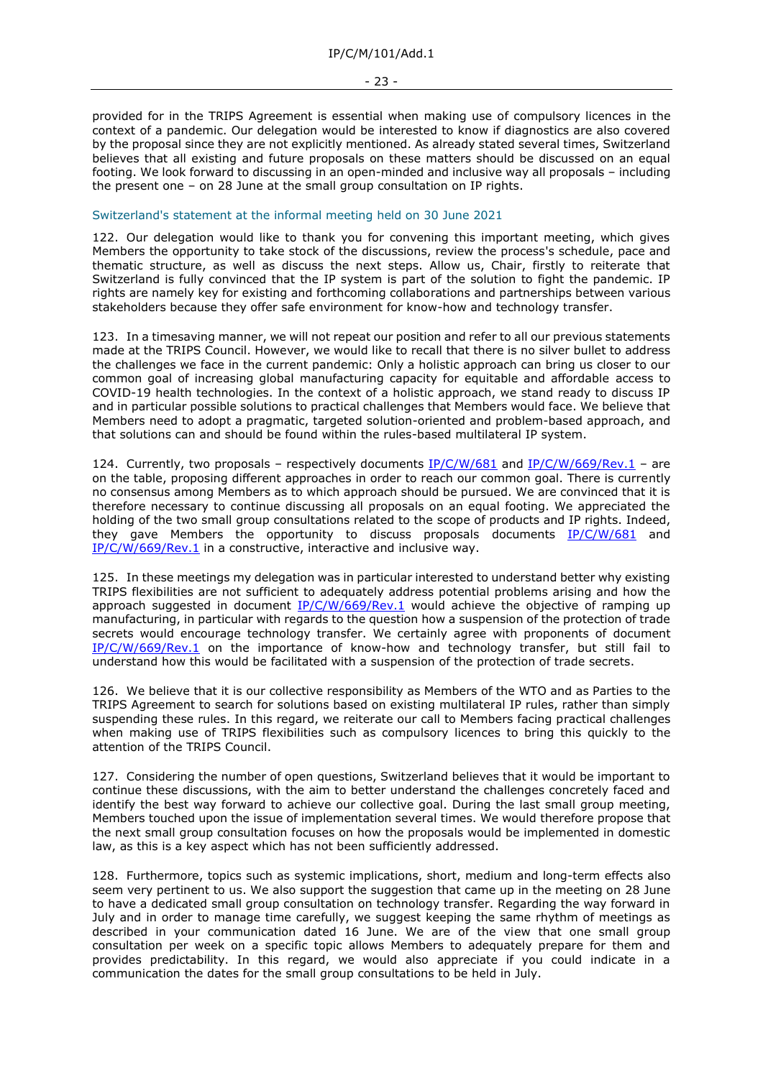provided for in the TRIPS Agreement is essential when making use of compulsory licences in the context of a pandemic. Our delegation would be interested to know if diagnostics are also covered by the proposal since they are not explicitly mentioned. As already stated several times, Switzerland believes that all existing and future proposals on these matters should be discussed on an equal footing. We look forward to discussing in an open-minded and inclusive way all proposals – including the present one – on 28 June at the small group consultation on IP rights.

### Switzerland's statement at the informal meeting held on 30 June 2021

122. Our delegation would like to thank you for convening this important meeting, which gives Members the opportunity to take stock of the discussions, review the process's schedule, pace and thematic structure, as well as discuss the next steps. Allow us, Chair, firstly to reiterate that Switzerland is fully convinced that the IP system is part of the solution to fight the pandemic. IP rights are namely key for existing and forthcoming collaborations and partnerships between various stakeholders because they offer safe environment for know-how and technology transfer.

123. In a timesaving manner, we will not repeat our position and refer to all our previous statements made at the TRIPS Council. However, we would like to recall that there is no silver bullet to address the challenges we face in the current pandemic: Only a holistic approach can bring us closer to our common goal of increasing global manufacturing capacity for equitable and affordable access to COVID-19 health technologies. In the context of a holistic approach, we stand ready to discuss IP and in particular possible solutions to practical challenges that Members would face. We believe that Members need to adopt a pragmatic, targeted solution-oriented and problem-based approach, and that solutions can and should be found within the rules-based multilateral IP system.

124. Currently, two proposals – respectively documents  $IP/C/W/681$  and  $IP/C/W/669/Rev.1$  – are on the table, proposing different approaches in order to reach our common goal. There is currently no consensus among Members as to which approach should be pursued. We are convinced that it is therefore necessary to continue discussing all proposals on an equal footing. We appreciated the holding of the two small group consultations related to the scope of products and IP rights. Indeed, they gave Members the opportunity to discuss proposals documents  $IP/C/W/681$  and [IP/C/W/669/Rev.1](https://docs.wto.org/dol2fe/Pages/FE_Search/FE_S_S006.aspx?DataSource=Cat&query=@Symbol=%22IP/C/W/669/Rev.1%22%20OR%20@Symbol=%22IP/C/W/669/Rev.1/*%22&Language=English&Context=ScriptedSearches&languageUIChanged=true) in a constructive, interactive and inclusive way.

125. In these meetings my delegation was in particular interested to understand better why existing TRIPS flexibilities are not sufficient to adequately address potential problems arising and how the approach suggested in document  $IP/C/W/669/Rev.1$  would achieve the objective of ramping up manufacturing, in particular with regards to the question how a suspension of the protection of trade secrets would encourage technology transfer. We certainly agree with proponents of document [IP/C/W/669/Rev.1](https://docs.wto.org/dol2fe/Pages/FE_Search/FE_S_S006.aspx?DataSource=Cat&query=@Symbol=%22IP/C/W/669/Rev.1%22%20OR%20@Symbol=%22IP/C/W/669/Rev.1/*%22&Language=English&Context=ScriptedSearches&languageUIChanged=true) on the importance of know-how and technology transfer, but still fail to understand how this would be facilitated with a suspension of the protection of trade secrets.

126. We believe that it is our collective responsibility as Members of the WTO and as Parties to the TRIPS Agreement to search for solutions based on existing multilateral IP rules, rather than simply suspending these rules. In this regard, we reiterate our call to Members facing practical challenges when making use of TRIPS flexibilities such as compulsory licences to bring this quickly to the attention of the TRIPS Council.

127. Considering the number of open questions, Switzerland believes that it would be important to continue these discussions, with the aim to better understand the challenges concretely faced and identify the best way forward to achieve our collective goal. During the last small group meeting, Members touched upon the issue of implementation several times. We would therefore propose that the next small group consultation focuses on how the proposals would be implemented in domestic law, as this is a key aspect which has not been sufficiently addressed.

128. Furthermore, topics such as systemic implications, short, medium and long-term effects also seem very pertinent to us. We also support the suggestion that came up in the meeting on 28 June to have a dedicated small group consultation on technology transfer. Regarding the way forward in July and in order to manage time carefully, we suggest keeping the same rhythm of meetings as described in your communication dated 16 June. We are of the view that one small group consultation per week on a specific topic allows Members to adequately prepare for them and provides predictability. In this regard, we would also appreciate if you could indicate in a communication the dates for the small group consultations to be held in July.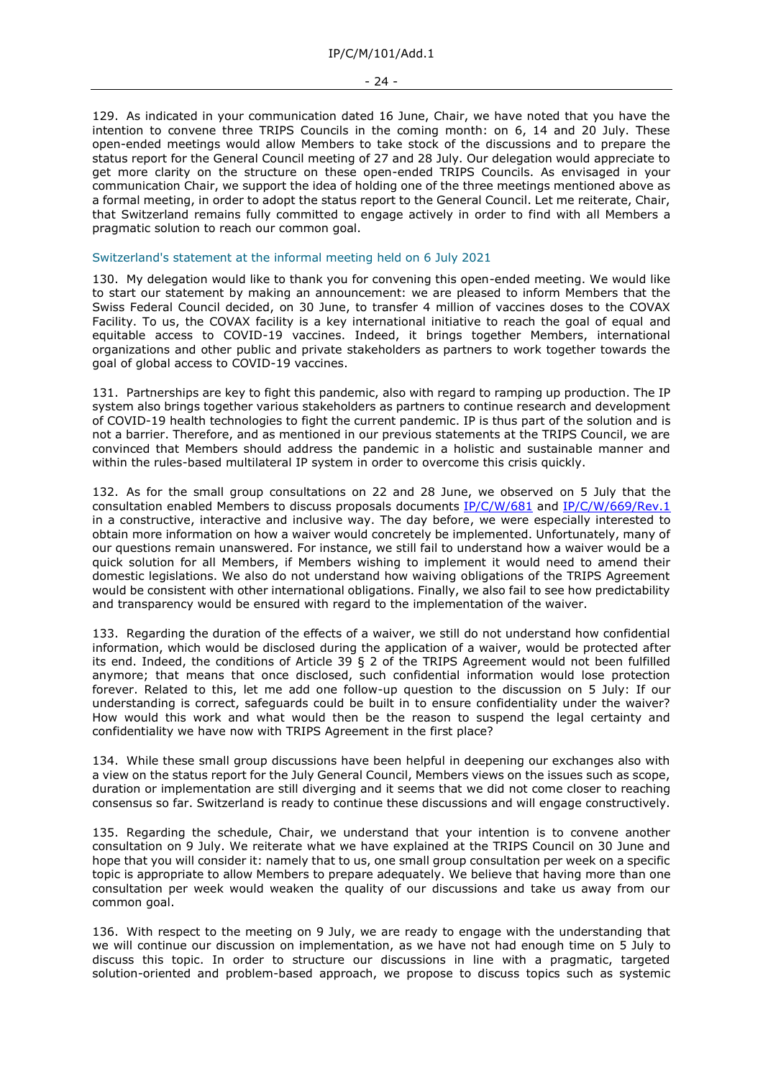129. As indicated in your communication dated 16 June, Chair, we have noted that you have the intention to convene three TRIPS Councils in the coming month: on 6, 14 and 20 July. These open-ended meetings would allow Members to take stock of the discussions and to prepare the status report for the General Council meeting of 27 and 28 July. Our delegation would appreciate to get more clarity on the structure on these open-ended TRIPS Councils. As envisaged in your communication Chair, we support the idea of holding one of the three meetings mentioned above as a formal meeting, in order to adopt the status report to the General Council. Let me reiterate, Chair, that Switzerland remains fully committed to engage actively in order to find with all Members a pragmatic solution to reach our common goal.

### Switzerland's statement at the informal meeting held on 6 July 2021

130. My delegation would like to thank you for convening this open-ended meeting. We would like to start our statement by making an announcement: we are pleased to inform Members that the Swiss Federal Council decided, on 30 June, to transfer 4 million of vaccines doses to the COVAX Facility. To us, the COVAX facility is a key international initiative to reach the goal of equal and equitable access to COVID-19 vaccines. Indeed, it brings together Members, international organizations and other public and private stakeholders as partners to work together towards the goal of global access to COVID-19 vaccines.

131. Partnerships are key to fight this pandemic, also with regard to ramping up production. The IP system also brings together various stakeholders as partners to continue research and development of COVID-19 health technologies to fight the current pandemic. IP is thus part of the solution and is not a barrier. Therefore, and as mentioned in our previous statements at the TRIPS Council, we are convinced that Members should address the pandemic in a holistic and sustainable manner and within the rules-based multilateral IP system in order to overcome this crisis quickly.

132. As for the small group consultations on 22 and 28 June, we observed on 5 July that the consultation enabled Members to discuss proposals documents [IP/C/W/681](https://docs.wto.org/dol2fe/Pages/FE_Search/FE_S_S006.aspx?DataSource=Cat&query=@Symbol=%22IP/C/W/681%22%20OR%20@Symbol=%22IP/C/W/681/*%22&Language=English&Context=ScriptedSearches&languageUIChanged=true) and [IP/C/W/669/Rev.1](https://docs.wto.org/dol2fe/Pages/FE_Search/FE_S_S006.aspx?DataSource=Cat&query=@Symbol=%22IP/C/W/669/Rev.1%22%20OR%20@Symbol=%22IP/C/W/669/Rev.1/*%22&Language=English&Context=ScriptedSearches&languageUIChanged=true) in a constructive, interactive and inclusive way. The day before, we were especially interested to obtain more information on how a waiver would concretely be implemented. Unfortunately, many of our questions remain unanswered. For instance, we still fail to understand how a waiver would be a quick solution for all Members, if Members wishing to implement it would need to amend their domestic legislations. We also do not understand how waiving obligations of the TRIPS Agreement would be consistent with other international obligations. Finally, we also fail to see how predictability and transparency would be ensured with regard to the implementation of the waiver.

133. Regarding the duration of the effects of a waiver, we still do not understand how confidential information, which would be disclosed during the application of a waiver, would be protected after its end. Indeed, the conditions of Article 39 § 2 of the TRIPS Agreement would not been fulfilled anymore; that means that once disclosed, such confidential information would lose protection forever. Related to this, let me add one follow-up question to the discussion on 5 July: If our understanding is correct, safeguards could be built in to ensure confidentiality under the waiver? How would this work and what would then be the reason to suspend the legal certainty and confidentiality we have now with TRIPS Agreement in the first place?

134. While these small group discussions have been helpful in deepening our exchanges also with a view on the status report for the July General Council, Members views on the issues such as scope, duration or implementation are still diverging and it seems that we did not come closer to reaching consensus so far. Switzerland is ready to continue these discussions and will engage constructively.

135. Regarding the schedule, Chair, we understand that your intention is to convene another consultation on 9 July. We reiterate what we have explained at the TRIPS Council on 30 June and hope that you will consider it: namely that to us, one small group consultation per week on a specific topic is appropriate to allow Members to prepare adequately. We believe that having more than one consultation per week would weaken the quality of our discussions and take us away from our common goal.

136. With respect to the meeting on 9 July, we are ready to engage with the understanding that we will continue our discussion on implementation, as we have not had enough time on 5 July to discuss this topic. In order to structure our discussions in line with a pragmatic, targeted solution-oriented and problem-based approach, we propose to discuss topics such as systemic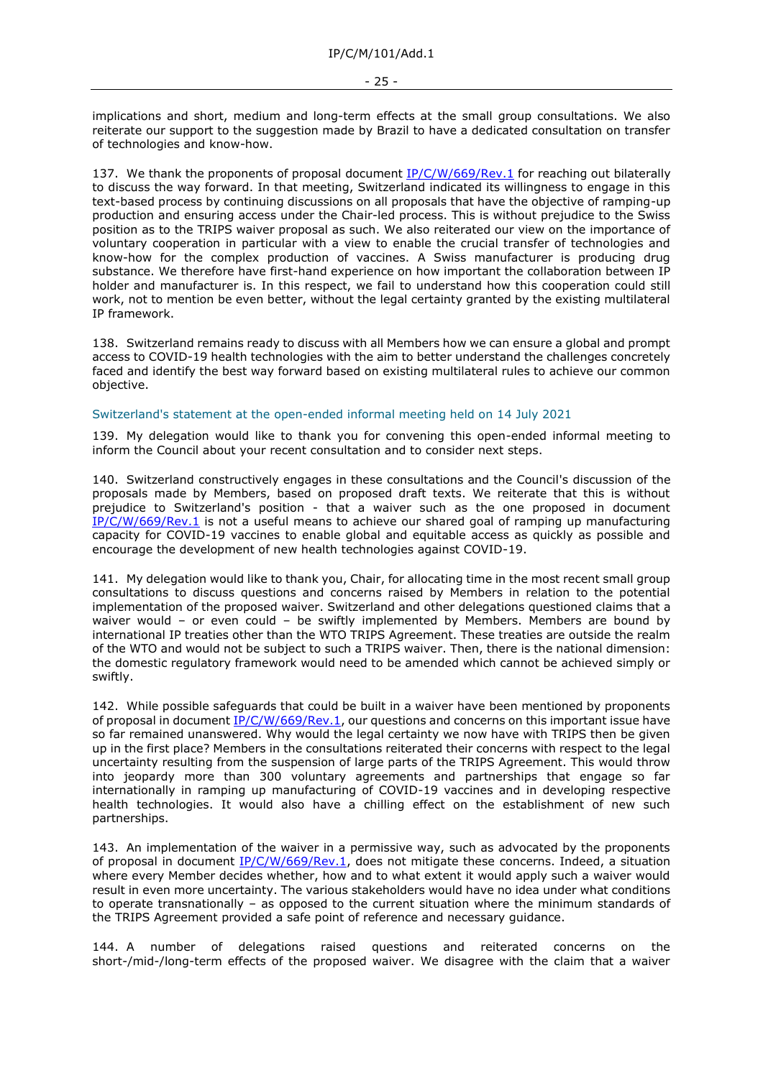implications and short, medium and long-term effects at the small group consultations. We also reiterate our support to the suggestion made by Brazil to have a dedicated consultation on transfer of technologies and know-how.

137. We thank the proponents of proposal document [IP/C/W/669/Rev.1](https://docs.wto.org/dol2fe/Pages/FE_Search/FE_S_S006.aspx?DataSource=Cat&query=@Symbol=%22IP/C/W/669/Rev.1%22%20OR%20@Symbol=%22IP/C/W/669/Rev.1/*%22&Language=English&Context=ScriptedSearches&languageUIChanged=true) for reaching out bilaterally to discuss the way forward. In that meeting, Switzerland indicated its willingness to engage in this text-based process by continuing discussions on all proposals that have the objective of ramping-up production and ensuring access under the Chair-led process. This is without prejudice to the Swiss position as to the TRIPS waiver proposal as such. We also reiterated our view on the importance of voluntary cooperation in particular with a view to enable the crucial transfer of technologies and know-how for the complex production of vaccines. A Swiss manufacturer is producing drug substance. We therefore have first-hand experience on how important the collaboration between IP holder and manufacturer is. In this respect, we fail to understand how this cooperation could still work, not to mention be even better, without the legal certainty granted by the existing multilateral IP framework.

138. Switzerland remains ready to discuss with all Members how we can ensure a global and prompt access to COVID-19 health technologies with the aim to better understand the challenges concretely faced and identify the best way forward based on existing multilateral rules to achieve our common objective.

### Switzerland's statement at the open-ended informal meeting held on 14 July 2021

139. My delegation would like to thank you for convening this open-ended informal meeting to inform the Council about your recent consultation and to consider next steps.

140. Switzerland constructively engages in these consultations and the Council's discussion of the proposals made by Members, based on proposed draft texts. We reiterate that this is without prejudice to Switzerland's position - that a waiver such as the one proposed in document [IP/C/W/669/Rev.1](https://docs.wto.org/dol2fe/Pages/FE_Search/FE_S_S006.aspx?DataSource=Cat&query=@Symbol=%22IP/C/W/669/Rev.1%22%20OR%20@Symbol=%22IP/C/W/669/Rev.1/*%22&Language=English&Context=ScriptedSearches&languageUIChanged=true) is not a useful means to achieve our shared goal of ramping up manufacturing capacity for COVID-19 vaccines to enable global and equitable access as quickly as possible and encourage the development of new health technologies against COVID-19.

141. My delegation would like to thank you, Chair, for allocating time in the most recent small group consultations to discuss questions and concerns raised by Members in relation to the potential implementation of the proposed waiver. Switzerland and other delegations questioned claims that a waiver would - or even could - be swiftly implemented by Members. Members are bound by international IP treaties other than the WTO TRIPS Agreement. These treaties are outside the realm of the WTO and would not be subject to such a TRIPS waiver. Then, there is the national dimension: the domestic regulatory framework would need to be amended which cannot be achieved simply or swiftly.

142. While possible safeguards that could be built in a waiver have been mentioned by proponents of proposal in document [IP/C/W/669/Rev.1,](https://docs.wto.org/dol2fe/Pages/FE_Search/FE_S_S006.aspx?DataSource=Cat&query=@Symbol=%22IP/C/W/669/Rev.1%22%20OR%20@Symbol=%22IP/C/W/669/Rev.1/*%22&Language=English&Context=ScriptedSearches&languageUIChanged=true) our questions and concerns on this important issue have so far remained unanswered. Why would the legal certainty we now have with TRIPS then be given up in the first place? Members in the consultations reiterated their concerns with respect to the legal uncertainty resulting from the suspension of large parts of the TRIPS Agreement. This would throw into jeopardy more than 300 voluntary agreements and partnerships that engage so far internationally in ramping up manufacturing of COVID-19 vaccines and in developing respective health technologies. It would also have a chilling effect on the establishment of new such partnerships.

143. An implementation of the waiver in a permissive way, such as advocated by the proponents of proposal in document [IP/C/W/669/Rev.1,](https://docs.wto.org/dol2fe/Pages/FE_Search/FE_S_S006.aspx?DataSource=Cat&query=@Symbol=%22IP/C/W/669/Rev.1%22%20OR%20@Symbol=%22IP/C/W/669/Rev.1/*%22&Language=English&Context=ScriptedSearches&languageUIChanged=true) does not mitigate these concerns. Indeed, a situation where every Member decides whether, how and to what extent it would apply such a waiver would result in even more uncertainty. The various stakeholders would have no idea under what conditions to operate transnationally – as opposed to the current situation where the minimum standards of the TRIPS Agreement provided a safe point of reference and necessary guidance.

144. A number of delegations raised questions and reiterated concerns on the short-/mid-/long-term effects of the proposed waiver. We disagree with the claim that a waiver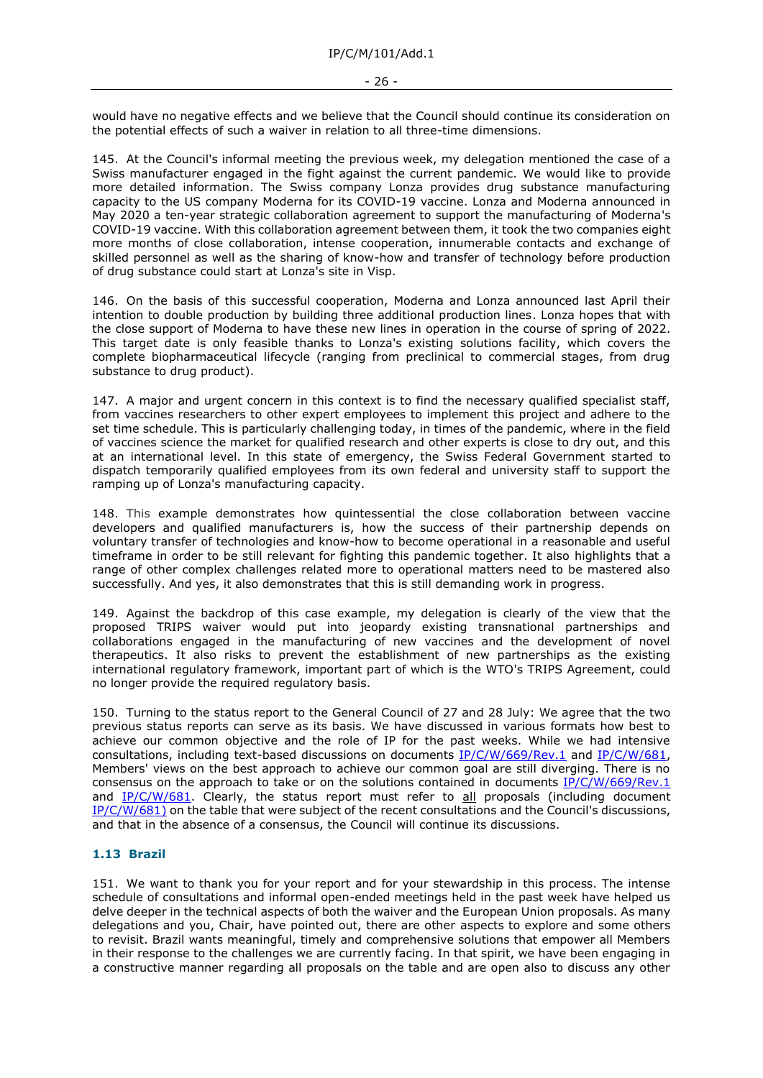would have no negative effects and we believe that the Council should continue its consideration on the potential effects of such a waiver in relation to all three-time dimensions.

145. At the Council's informal meeting the previous week, my delegation mentioned the case of a Swiss manufacturer engaged in the fight against the current pandemic. We would like to provide more detailed information. The Swiss company Lonza provides drug substance manufacturing capacity to the US company Moderna for its COVID-19 vaccine. Lonza and Moderna announced in May 2020 a ten-year strategic collaboration agreement to support the manufacturing of Moderna's COVID-19 vaccine. With this collaboration agreement between them, it took the two companies eight more months of close collaboration, intense cooperation, innumerable contacts and exchange of skilled personnel as well as the sharing of know-how and transfer of technology before production of drug substance could start at Lonza's site in Visp.

146. On the basis of this successful cooperation, Moderna and Lonza announced last April their intention to double production by building three additional production lines. Lonza hopes that with the close support of Moderna to have these new lines in operation in the course of spring of 2022. This target date is only feasible thanks to Lonza's existing solutions facility, which covers the complete biopharmaceutical lifecycle (ranging from preclinical to commercial stages, from drug substance to drug product).

147. A major and urgent concern in this context is to find the necessary qualified specialist staff, from vaccines researchers to other expert employees to implement this project and adhere to the set time schedule. This is particularly challenging today, in times of the pandemic, where in the field of vaccines science the market for qualified research and other experts is close to dry out, and this at an international level. In this state of emergency, the Swiss Federal Government started to dispatch temporarily qualified employees from its own federal and university staff to support the ramping up of Lonza's manufacturing capacity.

148. This example demonstrates how quintessential the close collaboration between vaccine developers and qualified manufacturers is, how the success of their partnership depends on voluntary transfer of technologies and know-how to become operational in a reasonable and useful timeframe in order to be still relevant for fighting this pandemic together. It also highlights that a range of other complex challenges related more to operational matters need to be mastered also successfully. And yes, it also demonstrates that this is still demanding work in progress.

149. Against the backdrop of this case example, my delegation is clearly of the view that the proposed TRIPS waiver would put into jeopardy existing transnational partnerships and collaborations engaged in the manufacturing of new vaccines and the development of novel therapeutics. It also risks to prevent the establishment of new partnerships as the existing international regulatory framework, important part of which is the WTO's TRIPS Agreement, could no longer provide the required regulatory basis.

150. Turning to the status report to the General Council of 27 and 28 July: We agree that the two previous status reports can serve as its basis. We have discussed in various formats how best to achieve our common objective and the role of IP for the past weeks. While we had intensive consultations, including text-based discussions on documents [IP/C/W/669/Rev.1](https://docs.wto.org/dol2fe/Pages/FE_Search/FE_S_S006.aspx?DataSource=Cat&query=@Symbol=%22IP/C/W/669/Rev.1%22%20OR%20@Symbol=%22IP/C/W/669/Rev.1/*%22&Language=English&Context=ScriptedSearches&languageUIChanged=true) and [IP/C/W/681,](https://docs.wto.org/dol2fe/Pages/FE_Search/FE_S_S006.aspx?DataSource=Cat&query=@Symbol=%22IP/C/W/681%22%20OR%20@Symbol=%22IP/C/W/681/*%22&Language=English&Context=ScriptedSearches&languageUIChanged=true) Members' views on the best approach to achieve our common goal are still diverging. There is no consensus on the approach to take or on the solutions contained in documents [IP/C/W/669/Rev.1](https://docs.wto.org/dol2fe/Pages/FE_Search/FE_S_S006.aspx?DataSource=Cat&query=@Symbol=%22IP/C/W/669/Rev.1%22%20OR%20@Symbol=%22IP/C/W/669/Rev.1/*%22&Language=English&Context=ScriptedSearches&languageUIChanged=true) and [IP/C/W/681.](https://docs.wto.org/dol2fe/Pages/FE_Search/FE_S_S006.aspx?DataSource=Cat&query=@Symbol=%22IP/C/W/681%22%20OR%20@Symbol=%22IP/C/W/681/*%22&Language=English&Context=ScriptedSearches&languageUIChanged=true) Clearly, the status report must refer to all proposals (including document [IP/C/W/681\)](https://docs.wto.org/dol2fe/Pages/FE_Search/FE_S_S006.aspx?DataSource=Cat&query=@Symbol=%22IP/C/W/681)%22%20OR%20@Symbol=%22IP/C/W/681)/*%22&Language=English&Context=ScriptedSearches&languageUIChanged=true) on the table that were subject of the recent consultations and the Council's discussions, and that in the absence of a consensus, the Council will continue its discussions.

# **1.13 Brazil**

151. We want to thank you for your report and for your stewardship in this process. The intense schedule of consultations and informal open-ended meetings held in the past week have helped us delve deeper in the technical aspects of both the waiver and the European Union proposals. As many delegations and you, Chair, have pointed out, there are other aspects to explore and some others to revisit. Brazil wants meaningful, timely and comprehensive solutions that empower all Members in their response to the challenges we are currently facing. In that spirit, we have been engaging in a constructive manner regarding all proposals on the table and are open also to discuss any other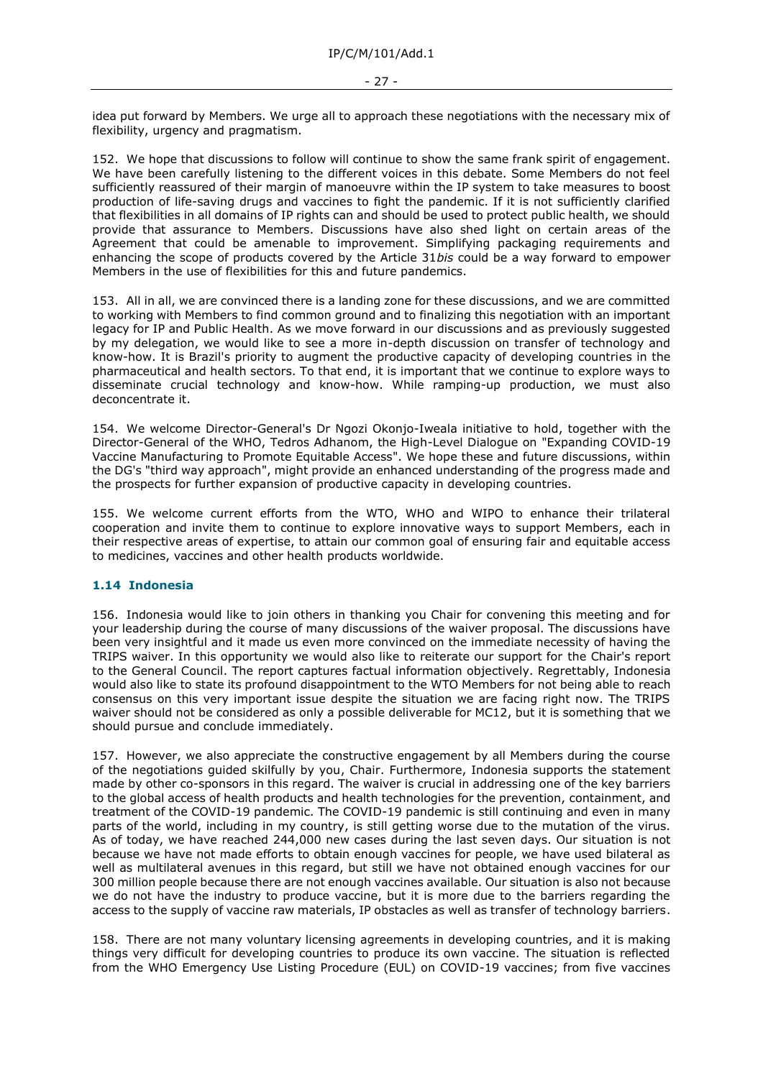idea put forward by Members. We urge all to approach these negotiations with the necessary mix of flexibility, urgency and pragmatism.

152. We hope that discussions to follow will continue to show the same frank spirit of engagement. We have been carefully listening to the different voices in this debate. Some Members do not feel sufficiently reassured of their margin of manoeuvre within the IP system to take measures to boost production of life-saving drugs and vaccines to fight the pandemic. If it is not sufficiently clarified that flexibilities in all domains of IP rights can and should be used to protect public health, we should provide that assurance to Members. Discussions have also shed light on certain areas of the Agreement that could be amenable to improvement. Simplifying packaging requirements and enhancing the scope of products covered by the Article 31*bis* could be a way forward to empower Members in the use of flexibilities for this and future pandemics.

153. All in all, we are convinced there is a landing zone for these discussions, and we are committed to working with Members to find common ground and to finalizing this negotiation with an important legacy for IP and Public Health. As we move forward in our discussions and as previously suggested by my delegation, we would like to see a more in-depth discussion on transfer of technology and know-how. It is Brazil's priority to augment the productive capacity of developing countries in the pharmaceutical and health sectors. To that end, it is important that we continue to explore ways to disseminate crucial technology and know-how. While ramping-up production, we must also deconcentrate it.

154. We welcome Director-General's Dr Ngozi Okonjo-Iweala initiative to hold, together with the Director-General of the WHO, Tedros Adhanom, the High-Level Dialogue on "Expanding COVID-19 Vaccine Manufacturing to Promote Equitable Access". We hope these and future discussions, within the DG's "third way approach", might provide an enhanced understanding of the progress made and the prospects for further expansion of productive capacity in developing countries.

155. We welcome current efforts from the WTO, WHO and WIPO to enhance their trilateral cooperation and invite them to continue to explore innovative ways to support Members, each in their respective areas of expertise, to attain our common goal of ensuring fair and equitable access to medicines, vaccines and other health products worldwide.

#### **1.14 Indonesia**

156. Indonesia would like to join others in thanking you Chair for convening this meeting and for your leadership during the course of many discussions of the waiver proposal. The discussions have been very insightful and it made us even more convinced on the immediate necessity of having the TRIPS waiver. In this opportunity we would also like to reiterate our support for the Chair's report to the General Council. The report captures factual information objectively. Regrettably, Indonesia would also like to state its profound disappointment to the WTO Members for not being able to reach consensus on this very important issue despite the situation we are facing right now. The TRIPS waiver should not be considered as only a possible deliverable for MC12, but it is something that we should pursue and conclude immediately.

157. However, we also appreciate the constructive engagement by all Members during the course of the negotiations guided skilfully by you, Chair. Furthermore, Indonesia supports the statement made by other co-sponsors in this regard. The waiver is crucial in addressing one of the key barriers to the global access of health products and health technologies for the prevention, containment, and treatment of the COVID-19 pandemic. The COVID-19 pandemic is still continuing and even in many parts of the world, including in my country, is still getting worse due to the mutation of the virus. As of today, we have reached 244,000 new cases during the last seven days. Our situation is not because we have not made efforts to obtain enough vaccines for people, we have used bilateral as well as multilateral avenues in this regard, but still we have not obtained enough vaccines for our 300 million people because there are not enough vaccines available. Our situation is also not because we do not have the industry to produce vaccine, but it is more due to the barriers regarding the access to the supply of vaccine raw materials, IP obstacles as well as transfer of technology barriers.

158. There are not many voluntary licensing agreements in developing countries, and it is making things very difficult for developing countries to produce its own vaccine. The situation is reflected from the WHO Emergency Use Listing Procedure (EUL) on COVID-19 vaccines; from five vaccines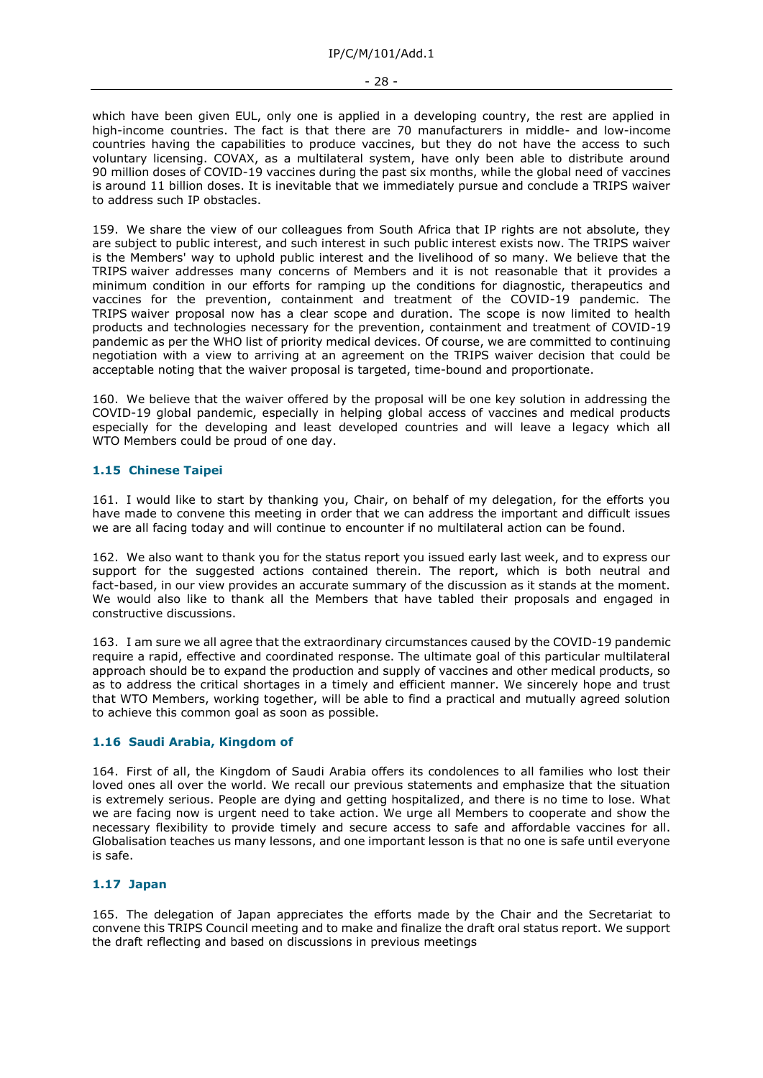#### - 28 -

which have been given EUL, only one is applied in a developing country, the rest are applied in high-income countries. The fact is that there are 70 manufacturers in middle- and low-income countries having the capabilities to produce vaccines, but they do not have the access to such voluntary licensing. COVAX, as a multilateral system, have only been able to distribute around 90 million doses of COVID-19 vaccines during the past six months, while the global need of vaccines is around 11 billion doses. It is inevitable that we immediately pursue and conclude a TRIPS waiver to address such IP obstacles.

159. We share the view of our colleagues from South Africa that IP rights are not absolute, they are subject to public interest, and such interest in such public interest exists now. The TRIPS waiver is the Members' way to uphold public interest and the livelihood of so many. We believe that the TRIPS waiver addresses many concerns of Members and it is not reasonable that it provides a minimum condition in our efforts for ramping up the conditions for diagnostic, therapeutics and vaccines for the prevention, containment and treatment of the COVID-19 pandemic. The TRIPS waiver proposal now has a clear scope and duration. The scope is now limited to health products and technologies necessary for the prevention, containment and treatment of COVID-19 pandemic as per the WHO list of priority medical devices. Of course, we are committed to continuing negotiation with a view to arriving at an agreement on the TRIPS waiver decision that could be acceptable noting that the waiver proposal is targeted, time-bound and proportionate.

160. We believe that the waiver offered by the proposal will be one key solution in addressing the COVID-19 global pandemic, especially in helping global access of vaccines and medical products especially for the developing and least developed countries and will leave a legacy which all WTO Members could be proud of one day.

# **1.15 Chinese Taipei**

161. I would like to start by thanking you, Chair, on behalf of my delegation, for the efforts you have made to convene this meeting in order that we can address the important and difficult issues we are all facing today and will continue to encounter if no multilateral action can be found.

162. We also want to thank you for the status report you issued early last week, and to express our support for the suggested actions contained therein. The report, which is both neutral and fact-based, in our view provides an accurate summary of the discussion as it stands at the moment. We would also like to thank all the Members that have tabled their proposals and engaged in constructive discussions.

163. I am sure we all agree that the extraordinary circumstances caused by the COVID-19 pandemic require a rapid, effective and coordinated response. The ultimate goal of this particular multilateral approach should be to expand the production and supply of vaccines and other medical products, so as to address the critical shortages in a timely and efficient manner. We sincerely hope and trust that WTO Members, working together, will be able to find a practical and mutually agreed solution to achieve this common goal as soon as possible.

# **1.16 Saudi Arabia, Kingdom of**

164. First of all, the Kingdom of Saudi Arabia offers its condolences to all families who lost their loved ones all over the world. We recall our previous statements and emphasize that the situation is extremely serious. People are dying and getting hospitalized, and there is no time to lose. What we are facing now is urgent need to take action. We urge all Members to cooperate and show the necessary flexibility to provide timely and secure access to safe and affordable vaccines for all. Globalisation teaches us many lessons, and one important lesson is that no one is safe until everyone is safe.

# **1.17 Japan**

165. The delegation of Japan appreciates the efforts made by the Chair and the Secretariat to convene this TRIPS Council meeting and to make and finalize the draft oral status report. We support the draft reflecting and based on discussions in previous meetings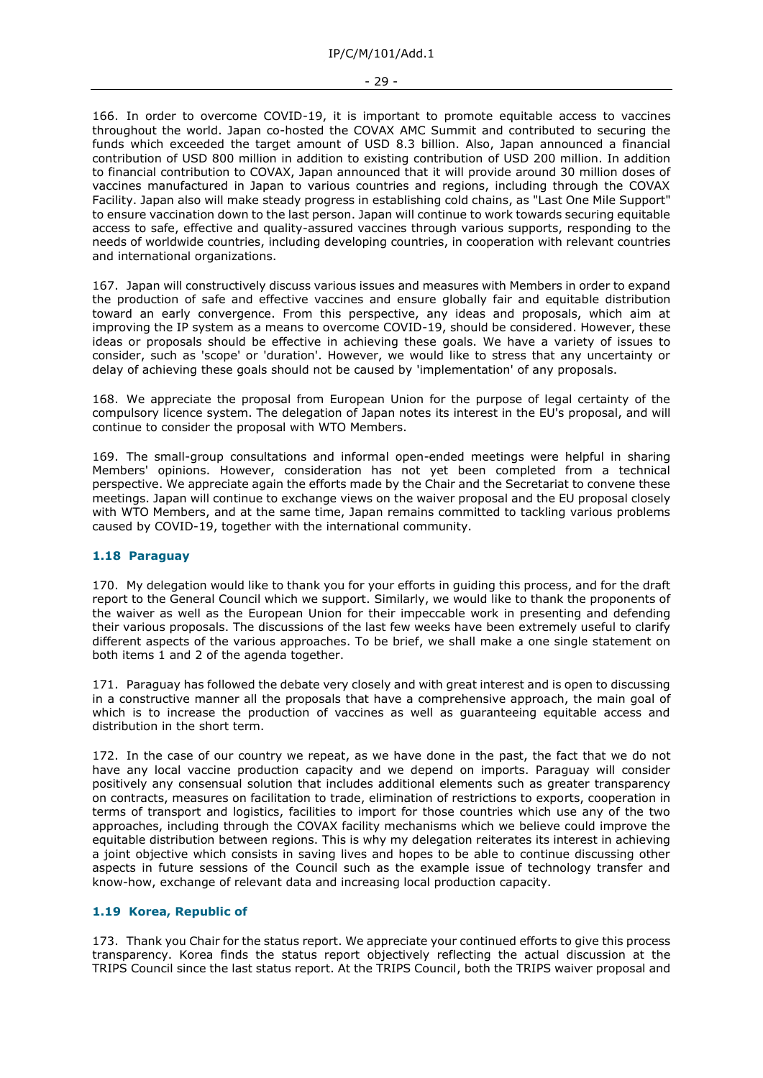166. In order to overcome COVID-19, it is important to promote equitable access to vaccines throughout the world. Japan co-hosted the COVAX AMC Summit and contributed to securing the funds which exceeded the target amount of USD 8.3 billion. Also, Japan announced a financial contribution of USD 800 million in addition to existing contribution of USD 200 million. In addition to financial contribution to COVAX, Japan announced that it will provide around 30 million doses of vaccines manufactured in Japan to various countries and regions, including through the COVAX Facility. Japan also will make steady progress in establishing cold chains, as "Last One Mile Support" to ensure vaccination down to the last person. Japan will continue to work towards securing equitable access to safe, effective and quality-assured vaccines through various supports, responding to the needs of worldwide countries, including developing countries, in cooperation with relevant countries and international organizations.

167. Japan will constructively discuss various issues and measures with Members in order to expand the production of safe and effective vaccines and ensure globally fair and equitable distribution toward an early convergence. From this perspective, any ideas and proposals, which aim at improving the IP system as a means to overcome COVID-19, should be considered. However, these ideas or proposals should be effective in achieving these goals. We have a variety of issues to consider, such as 'scope' or 'duration'. However, we would like to stress that any uncertainty or delay of achieving these goals should not be caused by 'implementation' of any proposals.

168. We appreciate the proposal from European Union for the purpose of legal certainty of the compulsory licence system. The delegation of Japan notes its interest in the EU's proposal, and will continue to consider the proposal with WTO Members.

169. The small-group consultations and informal open-ended meetings were helpful in sharing Members' opinions. However, consideration has not yet been completed from a technical perspective. We appreciate again the efforts made by the Chair and the Secretariat to convene these meetings. Japan will continue to exchange views on the waiver proposal and the EU proposal closely with WTO Members, and at the same time, Japan remains committed to tackling various problems caused by COVID-19, together with the international community.

# **1.18 Paraguay**

170. My delegation would like to thank you for your efforts in guiding this process, and for the draft report to the General Council which we support. Similarly, we would like to thank the proponents of the waiver as well as the European Union for their impeccable work in presenting and defending their various proposals. The discussions of the last few weeks have been extremely useful to clarify different aspects of the various approaches. To be brief, we shall make a one single statement on both items 1 and 2 of the agenda together.

171. Paraguay has followed the debate very closely and with great interest and is open to discussing in a constructive manner all the proposals that have a comprehensive approach, the main goal of which is to increase the production of vaccines as well as guaranteeing equitable access and distribution in the short term.

172. In the case of our country we repeat, as we have done in the past, the fact that we do not have any local vaccine production capacity and we depend on imports. Paraguay will consider positively any consensual solution that includes additional elements such as greater transparency on contracts, measures on facilitation to trade, elimination of restrictions to exports, cooperation in terms of transport and logistics, facilities to import for those countries which use any of the two approaches, including through the COVAX facility mechanisms which we believe could improve the equitable distribution between regions. This is why my delegation reiterates its interest in achieving a joint objective which consists in saving lives and hopes to be able to continue discussing other aspects in future sessions of the Council such as the example issue of technology transfer and know-how, exchange of relevant data and increasing local production capacity.

# **1.19 Korea, Republic of**

173. Thank you Chair for the status report. We appreciate your continued efforts to give this process transparency. Korea finds the status report objectively reflecting the actual discussion at the TRIPS Council since the last status report. At the TRIPS Council, both the TRIPS waiver proposal and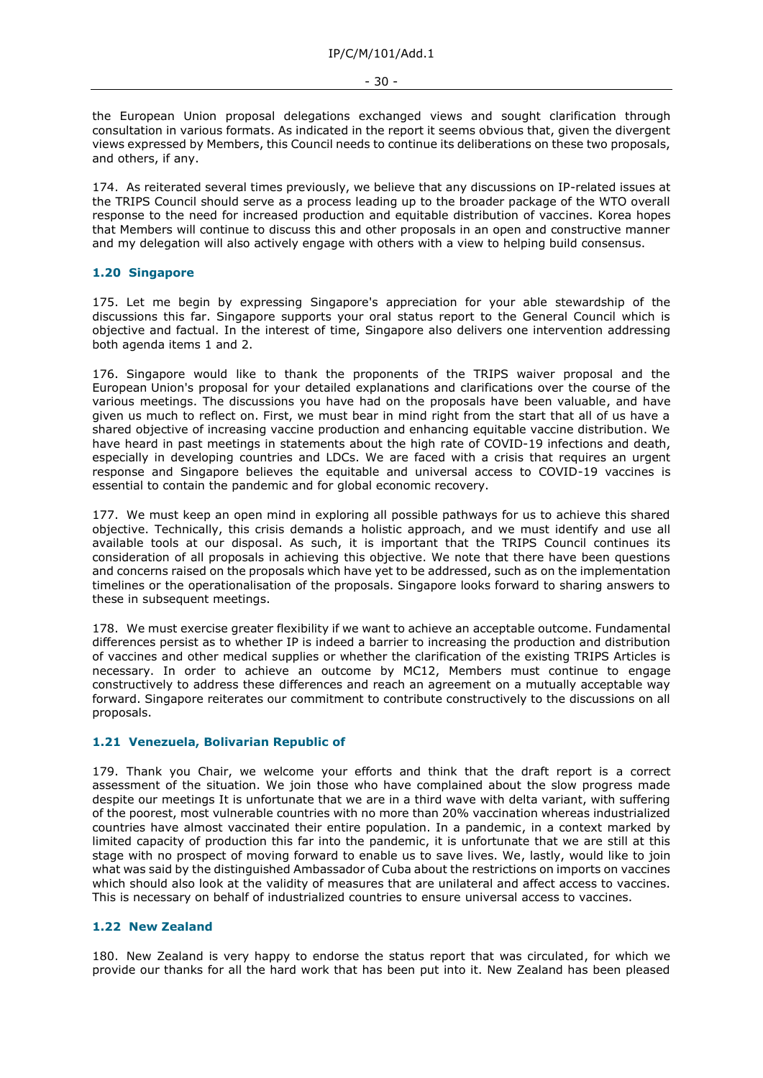the European Union proposal delegations exchanged views and sought clarification through consultation in various formats. As indicated in the report it seems obvious that, given the divergent views expressed by Members, this Council needs to continue its deliberations on these two proposals, and others, if any.

174. As reiterated several times previously, we believe that any discussions on IP-related issues at the TRIPS Council should serve as a process leading up to the broader package of the WTO overall response to the need for increased production and equitable distribution of vaccines. Korea hopes that Members will continue to discuss this and other proposals in an open and constructive manner and my delegation will also actively engage with others with a view to helping build consensus.

# **1.20 Singapore**

175. Let me begin by expressing Singapore's appreciation for your able stewardship of the discussions this far. Singapore supports your oral status report to the General Council which is objective and factual. In the interest of time, Singapore also delivers one intervention addressing both agenda items 1 and 2.

176. Singapore would like to thank the proponents of the TRIPS waiver proposal and the European Union's proposal for your detailed explanations and clarifications over the course of the various meetings. The discussions you have had on the proposals have been valuable, and have given us much to reflect on. First, we must bear in mind right from the start that all of us have a shared objective of increasing vaccine production and enhancing equitable vaccine distribution. We have heard in past meetings in statements about the high rate of COVID-19 infections and death, especially in developing countries and LDCs. We are faced with a crisis that requires an urgent response and Singapore believes the equitable and universal access to COVID-19 vaccines is essential to contain the pandemic and for global economic recovery.

177. We must keep an open mind in exploring all possible pathways for us to achieve this shared objective. Technically, this crisis demands a holistic approach, and we must identify and use all available tools at our disposal. As such, it is important that the TRIPS Council continues its consideration of all proposals in achieving this objective. We note that there have been questions and concerns raised on the proposals which have yet to be addressed, such as on the implementation timelines or the operationalisation of the proposals. Singapore looks forward to sharing answers to these in subsequent meetings.

178. We must exercise greater flexibility if we want to achieve an acceptable outcome. Fundamental differences persist as to whether IP is indeed a barrier to increasing the production and distribution of vaccines and other medical supplies or whether the clarification of the existing TRIPS Articles is necessary. In order to achieve an outcome by MC12, Members must continue to engage constructively to address these differences and reach an agreement on a mutually acceptable way forward. Singapore reiterates our commitment to contribute constructively to the discussions on all proposals.

# **1.21 Venezuela, Bolivarian Republic of**

179. Thank you Chair, we welcome your efforts and think that the draft report is a correct assessment of the situation. We join those who have complained about the slow progress made despite our meetings It is unfortunate that we are in a third wave with delta variant, with suffering of the poorest, most vulnerable countries with no more than 20% vaccination whereas industrialized countries have almost vaccinated their entire population. In a pandemic, in a context marked by limited capacity of production this far into the pandemic, it is unfortunate that we are still at this stage with no prospect of moving forward to enable us to save lives. We, lastly, would like to join what was said by the distinguished Ambassador of Cuba about the restrictions on imports on vaccines which should also look at the validity of measures that are unilateral and affect access to vaccines. This is necessary on behalf of industrialized countries to ensure universal access to vaccines.

# **1.22 New Zealand**

180. New Zealand is very happy to endorse the status report that was circulated, for which we provide our thanks for all the hard work that has been put into it. New Zealand has been pleased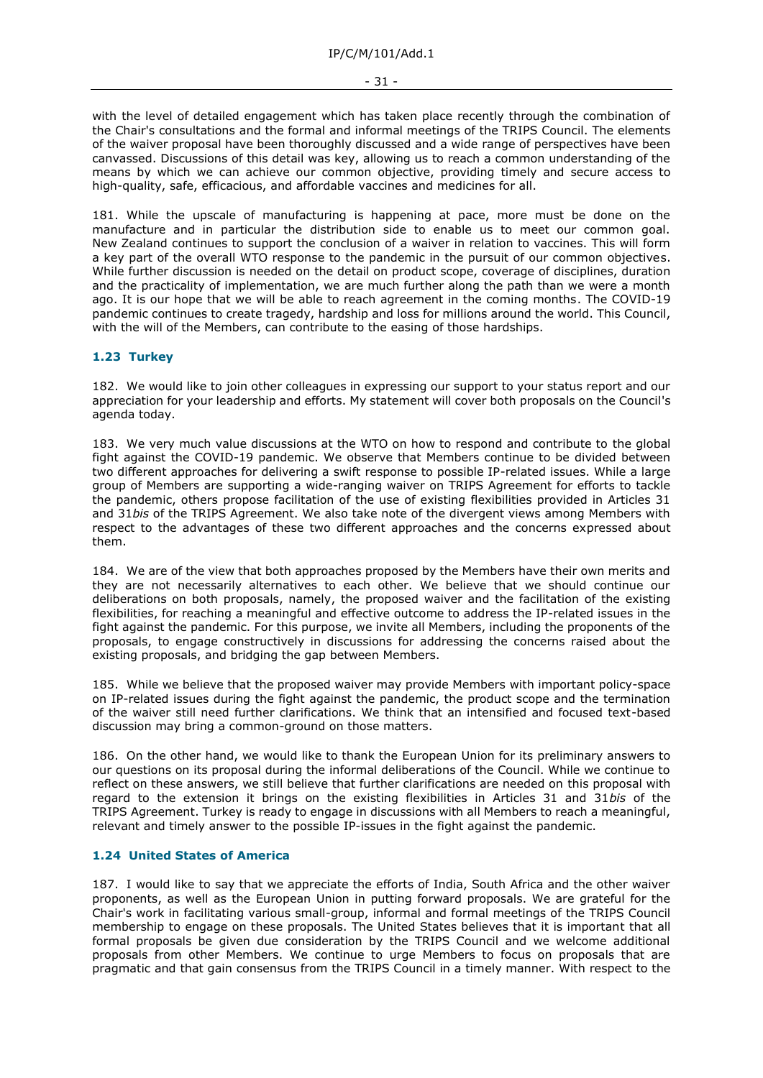with the level of detailed engagement which has taken place recently through the combination of the Chair's consultations and the formal and informal meetings of the TRIPS Council. The elements of the waiver proposal have been thoroughly discussed and a wide range of perspectives have been canvassed. Discussions of this detail was key, allowing us to reach a common understanding of the means by which we can achieve our common objective, providing timely and secure access to high-quality, safe, efficacious, and affordable vaccines and medicines for all.

181. While the upscale of manufacturing is happening at pace, more must be done on the manufacture and in particular the distribution side to enable us to meet our common goal. New Zealand continues to support the conclusion of a waiver in relation to vaccines. This will form a key part of the overall WTO response to the pandemic in the pursuit of our common objectives. While further discussion is needed on the detail on product scope, coverage of disciplines, duration and the practicality of implementation, we are much further along the path than we were a month ago. It is our hope that we will be able to reach agreement in the coming months. The COVID-19 pandemic continues to create tragedy, hardship and loss for millions around the world. This Council, with the will of the Members, can contribute to the easing of those hardships.

# **1.23 Turkey**

182. We would like to join other colleagues in expressing our support to your status report and our appreciation for your leadership and efforts. My statement will cover both proposals on the Council's agenda today.

183. We very much value discussions at the WTO on how to respond and contribute to the global fight against the COVID-19 pandemic. We observe that Members continue to be divided between two different approaches for delivering a swift response to possible IP-related issues. While a large group of Members are supporting a wide-ranging waiver on TRIPS Agreement for efforts to tackle the pandemic, others propose facilitation of the use of existing flexibilities provided in Articles 31 and 31*bis* of the TRIPS Agreement. We also take note of the divergent views among Members with respect to the advantages of these two different approaches and the concerns expressed about them.

184. We are of the view that both approaches proposed by the Members have their own merits and they are not necessarily alternatives to each other. We believe that we should continue our deliberations on both proposals, namely, the proposed waiver and the facilitation of the existing flexibilities, for reaching a meaningful and effective outcome to address the IP-related issues in the fight against the pandemic. For this purpose, we invite all Members, including the proponents of the proposals, to engage constructively in discussions for addressing the concerns raised about the existing proposals, and bridging the gap between Members.

185. While we believe that the proposed waiver may provide Members with important policy-space on IP-related issues during the fight against the pandemic, the product scope and the termination of the waiver still need further clarifications. We think that an intensified and focused text-based discussion may bring a common-ground on those matters.

186. On the other hand, we would like to thank the European Union for its preliminary answers to our questions on its proposal during the informal deliberations of the Council. While we continue to reflect on these answers, we still believe that further clarifications are needed on this proposal with regard to the extension it brings on the existing flexibilities in Articles 31 and 31*bis* of the TRIPS Agreement. Turkey is ready to engage in discussions with all Members to reach a meaningful, relevant and timely answer to the possible IP-issues in the fight against the pandemic.

# **1.24 United States of America**

187. I would like to say that we appreciate the efforts of India, South Africa and the other waiver proponents, as well as the European Union in putting forward proposals. We are grateful for the Chair's work in facilitating various small-group, informal and formal meetings of the TRIPS Council membership to engage on these proposals. The United States believes that it is important that all formal proposals be given due consideration by the TRIPS Council and we welcome additional proposals from other Members. We continue to urge Members to focus on proposals that are pragmatic and that gain consensus from the TRIPS Council in a timely manner. With respect to the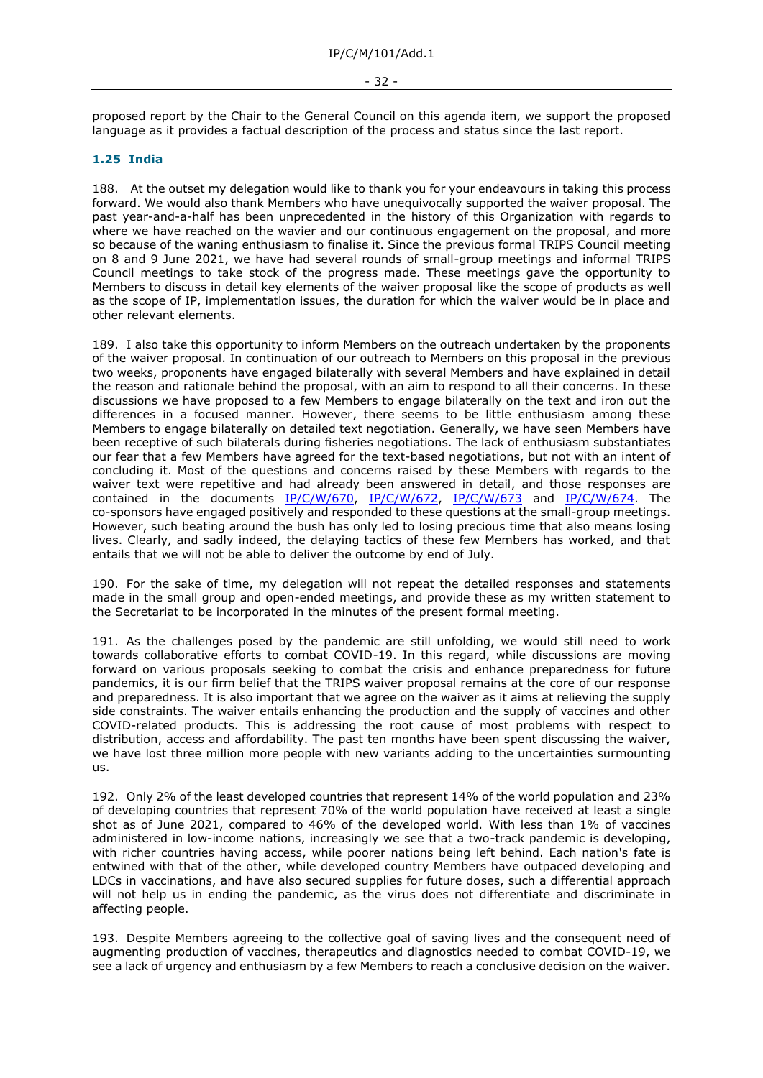proposed report by the Chair to the General Council on this agenda item, we support the proposed language as it provides a factual description of the process and status since the last report.

### **1.25 India**

188. At the outset my delegation would like to thank you for your endeavours in taking this process forward. We would also thank Members who have unequivocally supported the waiver proposal. The past year-and-a-half has been unprecedented in the history of this Organization with regards to where we have reached on the wavier and our continuous engagement on the proposal, and more so because of the waning enthusiasm to finalise it. Since the previous formal TRIPS Council meeting on 8 and 9 June 2021, we have had several rounds of small-group meetings and informal TRIPS Council meetings to take stock of the progress made. These meetings gave the opportunity to Members to discuss in detail key elements of the waiver proposal like the scope of products as well as the scope of IP, implementation issues, the duration for which the waiver would be in place and other relevant elements.

189. I also take this opportunity to inform Members on the outreach undertaken by the proponents of the waiver proposal. In continuation of our outreach to Members on this proposal in the previous two weeks, proponents have engaged bilaterally with several Members and have explained in detail the reason and rationale behind the proposal, with an aim to respond to all their concerns. In these discussions we have proposed to a few Members to engage bilaterally on the text and iron out the differences in a focused manner. However, there seems to be little enthusiasm among these Members to engage bilaterally on detailed text negotiation. Generally, we have seen Members have been receptive of such bilaterals during fisheries negotiations. The lack of enthusiasm substantiates our fear that a few Members have agreed for the text-based negotiations, but not with an intent of concluding it. Most of the questions and concerns raised by these Members with regards to the waiver text were repetitive and had already been answered in detail, and those responses are contained in the documents [IP/C/W/670,](https://docs.wto.org/dol2fe/Pages/FE_Search/FE_S_S006.aspx?DataSource=Cat&query=@Symbol=%22IP/C/W/670%22%20OR%20@Symbol=%22IP/C/W/670/*%22&Language=English&Context=ScriptedSearches&languageUIChanged=true) [IP/C/W/672,](https://docs.wto.org/dol2fe/Pages/FE_Search/FE_S_S006.aspx?DataSource=Cat&query=@Symbol=%22IP/C/W/672%22%20OR%20@Symbol=%22IP/C/W/672/*%22&Language=English&Context=ScriptedSearches&languageUIChanged=true) [IP/C/W/673](https://docs.wto.org/dol2fe/Pages/FE_Search/FE_S_S006.aspx?DataSource=Cat&query=@Symbol=%22IP/C/W/673%22%20OR%20@Symbol=%22IP/C/W/673/*%22&Language=English&Context=ScriptedSearches&languageUIChanged=true) and [IP/C/W/674.](https://docs.wto.org/dol2fe/Pages/FE_Search/FE_S_S006.aspx?DataSource=Cat&query=@Symbol=%22IP/C/W/674%22%20OR%20@Symbol=%22IP/C/W/674/*%22&Language=English&Context=ScriptedSearches&languageUIChanged=true) The co-sponsors have engaged positively and responded to these questions at the small-group meetings. However, such beating around the bush has only led to losing precious time that also means losing lives. Clearly, and sadly indeed, the delaying tactics of these few Members has worked, and that entails that we will not be able to deliver the outcome by end of July.

190. For the sake of time, my delegation will not repeat the detailed responses and statements made in the small group and open-ended meetings, and provide these as my written statement to the Secretariat to be incorporated in the minutes of the present formal meeting.

191. As the challenges posed by the pandemic are still unfolding, we would still need to work towards collaborative efforts to combat COVID-19. In this regard, while discussions are moving forward on various proposals seeking to combat the crisis and enhance preparedness for future pandemics, it is our firm belief that the TRIPS waiver proposal remains at the core of our response and preparedness. It is also important that we agree on the waiver as it aims at relieving the supply side constraints. The waiver entails enhancing the production and the supply of vaccines and other COVID-related products. This is addressing the root cause of most problems with respect to distribution, access and affordability. The past ten months have been spent discussing the waiver, we have lost three million more people with new variants adding to the uncertainties surmounting us.

192. Only 2% of the least developed countries that represent 14% of the world population and 23% of developing countries that represent 70% of the world population have received at least a single shot as of June 2021, compared to 46% of the developed world. With less than 1% of vaccines administered in low-income nations, increasingly we see that a two-track pandemic is developing, with richer countries having access, while poorer nations being left behind. Each nation's fate is entwined with that of the other, while developed country Members have outpaced developing and LDCs in vaccinations, and have also secured supplies for future doses, such a differential approach will not help us in ending the pandemic, as the virus does not differentiate and discriminate in affecting people.

193. Despite Members agreeing to the collective goal of saving lives and the consequent need of augmenting production of vaccines, therapeutics and diagnostics needed to combat COVID-19, we see a lack of urgency and enthusiasm by a few Members to reach a conclusive decision on the waiver.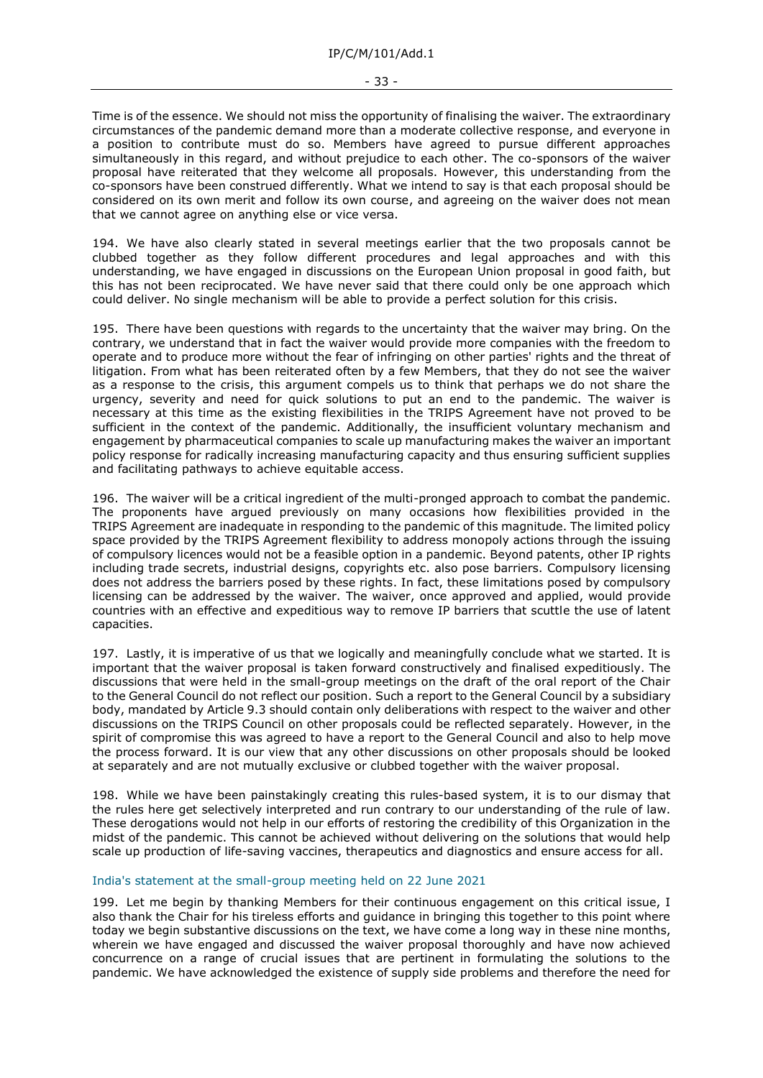Time is of the essence. We should not miss the opportunity of finalising the waiver. The extraordinary circumstances of the pandemic demand more than a moderate collective response, and everyone in a position to contribute must do so. Members have agreed to pursue different approaches simultaneously in this regard, and without prejudice to each other. The co-sponsors of the waiver proposal have reiterated that they welcome all proposals. However, this understanding from the co-sponsors have been construed differently. What we intend to say is that each proposal should be considered on its own merit and follow its own course, and agreeing on the waiver does not mean that we cannot agree on anything else or vice versa.

194. We have also clearly stated in several meetings earlier that the two proposals cannot be clubbed together as they follow different procedures and legal approaches and with this understanding, we have engaged in discussions on the European Union proposal in good faith, but this has not been reciprocated. We have never said that there could only be one approach which could deliver. No single mechanism will be able to provide a perfect solution for this crisis.

195. There have been questions with regards to the uncertainty that the waiver may bring. On the contrary, we understand that in fact the waiver would provide more companies with the freedom to operate and to produce more without the fear of infringing on other parties' rights and the threat of litigation. From what has been reiterated often by a few Members, that they do not see the waiver as a response to the crisis, this argument compels us to think that perhaps we do not share the urgency, severity and need for quick solutions to put an end to the pandemic. The waiver is necessary at this time as the existing flexibilities in the TRIPS Agreement have not proved to be sufficient in the context of the pandemic. Additionally, the insufficient voluntary mechanism and engagement by pharmaceutical companies to scale up manufacturing makes the waiver an important policy response for radically increasing manufacturing capacity and thus ensuring sufficient supplies and facilitating pathways to achieve equitable access.

196. The waiver will be a critical ingredient of the multi-pronged approach to combat the pandemic. The proponents have argued previously on many occasions how flexibilities provided in the TRIPS Agreement are inadequate in responding to the pandemic of this magnitude. The limited policy space provided by the TRIPS Agreement flexibility to address monopoly actions through the issuing of compulsory licences would not be a feasible option in a pandemic. Beyond patents, other IP rights including trade secrets, industrial designs, copyrights etc. also pose barriers. Compulsory licensing does not address the barriers posed by these rights. In fact, these limitations posed by compulsory licensing can be addressed by the waiver. The waiver, once approved and applied, would provide countries with an effective and expeditious way to remove IP barriers that scuttle the use of latent capacities.

197. Lastly, it is imperative of us that we logically and meaningfully conclude what we started. It is important that the waiver proposal is taken forward constructively and finalised expeditiously. The discussions that were held in the small-group meetings on the draft of the oral report of the Chair to the General Council do not reflect our position. Such a report to the General Council by a subsidiary body, mandated by Article 9.3 should contain only deliberations with respect to the waiver and other discussions on the TRIPS Council on other proposals could be reflected separately. However, in the spirit of compromise this was agreed to have a report to the General Council and also to help move the process forward. It is our view that any other discussions on other proposals should be looked at separately and are not mutually exclusive or clubbed together with the waiver proposal.

198. While we have been painstakingly creating this rules-based system, it is to our dismay that the rules here get selectively interpreted and run contrary to our understanding of the rule of law. These derogations would not help in our efforts of restoring the credibility of this Organization in the midst of the pandemic. This cannot be achieved without delivering on the solutions that would help scale up production of life-saving vaccines, therapeutics and diagnostics and ensure access for all.

# India's statement at the small-group meeting held on 22 June 2021

199. Let me begin by thanking Members for their continuous engagement on this critical issue, I also thank the Chair for his tireless efforts and guidance in bringing this together to this point where today we begin substantive discussions on the text, we have come a long way in these nine months, wherein we have engaged and discussed the waiver proposal thoroughly and have now achieved concurrence on a range of crucial issues that are pertinent in formulating the solutions to the pandemic. We have acknowledged the existence of supply side problems and therefore the need for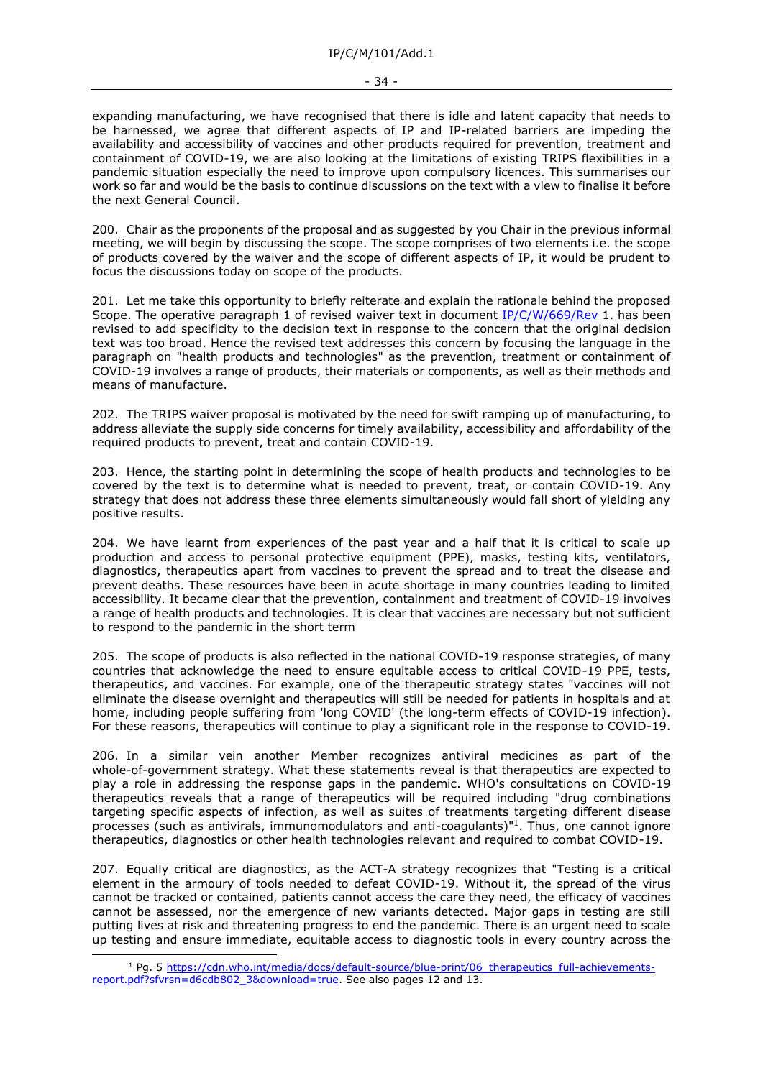expanding manufacturing, we have recognised that there is idle and latent capacity that needs to be harnessed, we agree that different aspects of IP and IP-related barriers are impeding the availability and accessibility of vaccines and other products required for prevention, treatment and containment of COVID-19, we are also looking at the limitations of existing TRIPS flexibilities in a pandemic situation especially the need to improve upon compulsory licences. This summarises our work so far and would be the basis to continue discussions on the text with a view to finalise it before the next General Council.

200. Chair as the proponents of the proposal and as suggested by you Chair in the previous informal meeting, we will begin by discussing the scope. The scope comprises of two elements i.e. the scope of products covered by the waiver and the scope of different aspects of IP, it would be prudent to focus the discussions today on scope of the products.

201. Let me take this opportunity to briefly reiterate and explain the rationale behind the proposed Scope. The operative paragraph 1 of revised waiver text in document [IP/C/W/669/Rev](https://docs.wto.org/dol2fe/Pages/FE_Search/FE_S_S006.aspx?DataSource=Cat&query=@Symbol=%22IP/C/W/669/Rev%22%20OR%20@Symbol=%22IP/C/W/669/Rev/*%22&Language=English&Context=ScriptedSearches&languageUIChanged=true) 1. has been revised to add specificity to the decision text in response to the concern that the original decision text was too broad. Hence the revised text addresses this concern by focusing the language in the paragraph on "health products and technologies" as the prevention, treatment or containment of COVID-19 involves a range of products, their materials or components, as well as their methods and means of manufacture.

202. The TRIPS waiver proposal is motivated by the need for swift ramping up of manufacturing, to address alleviate the supply side concerns for timely availability, accessibility and affordability of the required products to prevent, treat and contain COVID-19.

203. Hence, the starting point in determining the scope of health products and technologies to be covered by the text is to determine what is needed to prevent, treat, or contain COVID-19. Any strategy that does not address these three elements simultaneously would fall short of yielding any positive results.

204. We have learnt from experiences of the past year and a half that it is critical to scale up production and access to personal protective equipment (PPE), masks, testing kits, ventilators, diagnostics, therapeutics apart from vaccines to prevent the spread and to treat the disease and prevent deaths. These resources have been in acute shortage in many countries leading to limited accessibility. It became clear that the prevention, containment and treatment of COVID-19 involves a range of health products and technologies. It is clear that vaccines are necessary but not sufficient to respond to the pandemic in the short term

205. The scope of products is also reflected in the national COVID-19 response strategies, of many countries that acknowledge the need to ensure equitable access to critical COVID-19 PPE, tests, therapeutics, and vaccines. For example, one of the therapeutic strategy states "vaccines will not eliminate the disease overnight and therapeutics will still be needed for patients in hospitals and at home, including people suffering from 'long COVID' (the long-term effects of COVID-19 infection). For these reasons, therapeutics will continue to play a significant role in the response to COVID-19.

206. In a similar vein another Member recognizes antiviral medicines as part of the whole-of-government strategy. What these statements reveal is that therapeutics are expected to play a role in addressing the response gaps in the pandemic. WHO's consultations on COVID-19 therapeutics reveals that a range of therapeutics will be required including "drug combinations targeting specific aspects of infection, as well as suites of treatments targeting different disease processes (such as antivirals, immunomodulators and anti-coagulants)" 1 . Thus, one cannot ignore therapeutics, diagnostics or other health technologies relevant and required to combat COVID-19.

207. Equally critical are diagnostics, as the ACT-A strategy recognizes that "Testing is a critical element in the armoury of tools needed to defeat COVID-19. Without it, the spread of the virus cannot be tracked or contained, patients cannot access the care they need, the efficacy of vaccines cannot be assessed, nor the emergence of new variants detected. Major gaps in testing are still putting lives at risk and threatening progress to end the pandemic. There is an urgent need to scale up testing and ensure immediate, equitable access to diagnostic tools in every country across the

<sup>&</sup>lt;sup>1</sup> Pg. 5 https://cdn.who.int/media/docs/default-source/blue-print/06 therapeutics full-achievements[report.pdf?sfvrsn=d6cdb802\\_3&download=true.](https://cdn.who.int/media/docs/default-source/blue-print/06_therapeutics_full-achievements-report.pdf?sfvrsn=d6cdb802_3&download=true) See also pages 12 and 13.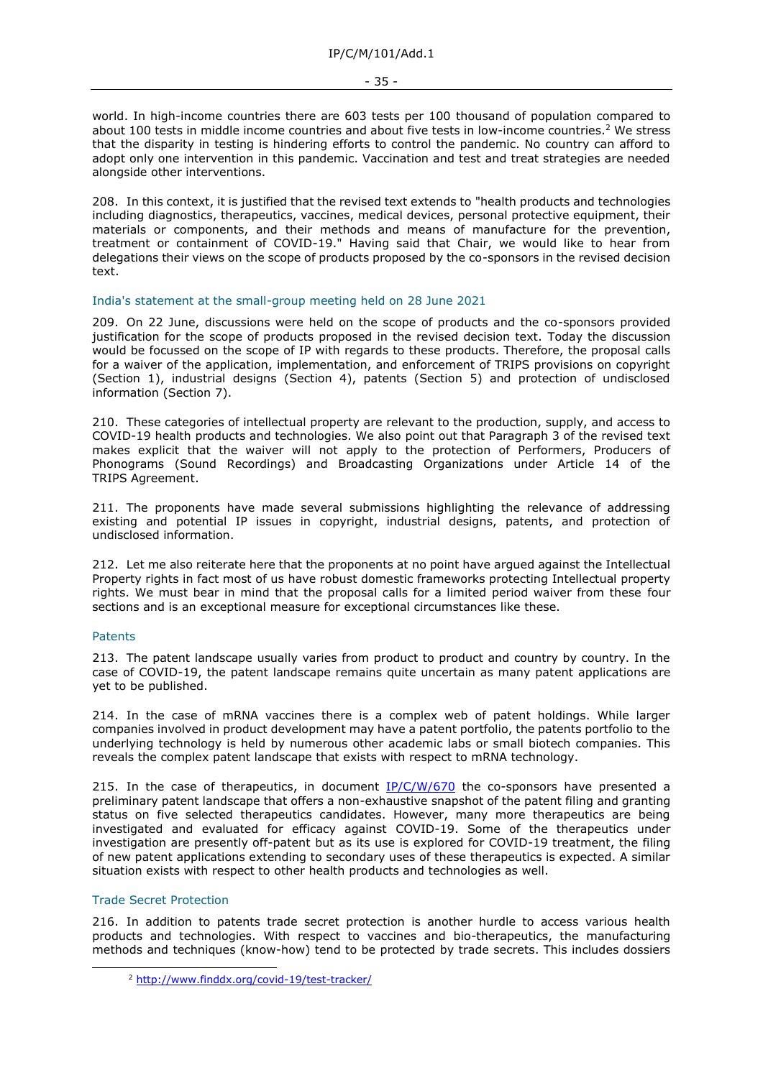world. In high-income countries there are 603 tests per 100 thousand of population compared to about 100 tests in middle income countries and about five tests in low-income countries.<sup>2</sup> We stress that the disparity in testing is hindering efforts to control the pandemic. No country can afford to adopt only one intervention in this pandemic. Vaccination and test and treat strategies are needed alongside other interventions.

208. In this context, it is justified that the revised text extends to "health products and technologies including diagnostics, therapeutics, vaccines, medical devices, personal protective equipment, their materials or components, and their methods and means of manufacture for the prevention, treatment or containment of COVID-19." Having said that Chair, we would like to hear from delegations their views on the scope of products proposed by the co-sponsors in the revised decision text.

### India's statement at the small-group meeting held on 28 June 2021

209. On 22 June, discussions were held on the scope of products and the co-sponsors provided justification for the scope of products proposed in the revised decision text. Today the discussion would be focussed on the scope of IP with regards to these products. Therefore, the proposal calls for a waiver of the application, implementation, and enforcement of TRIPS provisions on copyright (Section 1), industrial designs (Section 4), patents (Section 5) and protection of undisclosed information (Section 7).

210. These categories of intellectual property are relevant to the production, supply, and access to COVID-19 health products and technologies. We also point out that Paragraph 3 of the revised text makes explicit that the waiver will not apply to the protection of Performers, Producers of Phonograms (Sound Recordings) and Broadcasting Organizations under Article 14 of the TRIPS Agreement.

211. The proponents have made several submissions highlighting the relevance of addressing existing and potential IP issues in copyright, industrial designs, patents, and protection of undisclosed information.

212. Let me also reiterate here that the proponents at no point have argued against the Intellectual Property rights in fact most of us have robust domestic frameworks protecting Intellectual property rights. We must bear in mind that the proposal calls for a limited period waiver from these four sections and is an exceptional measure for exceptional circumstances like these.

#### Patents

213. The patent landscape usually varies from product to product and country by country. In the case of COVID-19, the patent landscape remains quite uncertain as many patent applications are yet to be published.

214. In the case of mRNA vaccines there is a complex web of patent holdings. While larger companies involved in product development may have a patent portfolio, the patents portfolio to the underlying technology is held by numerous other academic labs or small biotech companies. This reveals the complex patent landscape that exists with respect to mRNA technology.

215. In the case of therapeutics, in document  $IP/C/W/670$  the co-sponsors have presented a preliminary patent landscape that offers a non-exhaustive snapshot of the patent filing and granting status on five selected therapeutics candidates. However, many more therapeutics are being investigated and evaluated for efficacy against COVID-19. Some of the therapeutics under investigation are presently off-patent but as its use is explored for COVID-19 treatment, the filing of new patent applications extending to secondary uses of these therapeutics is expected. A similar situation exists with respect to other health products and technologies as well.

#### Trade Secret Protection

216. In addition to patents trade secret protection is another hurdle to access various health products and technologies. With respect to vaccines and bio-therapeutics, the manufacturing methods and techniques (know-how) tend to be protected by trade secrets. This includes dossiers

<sup>2</sup> <http://www.finddx.org/covid-19/test-tracker/>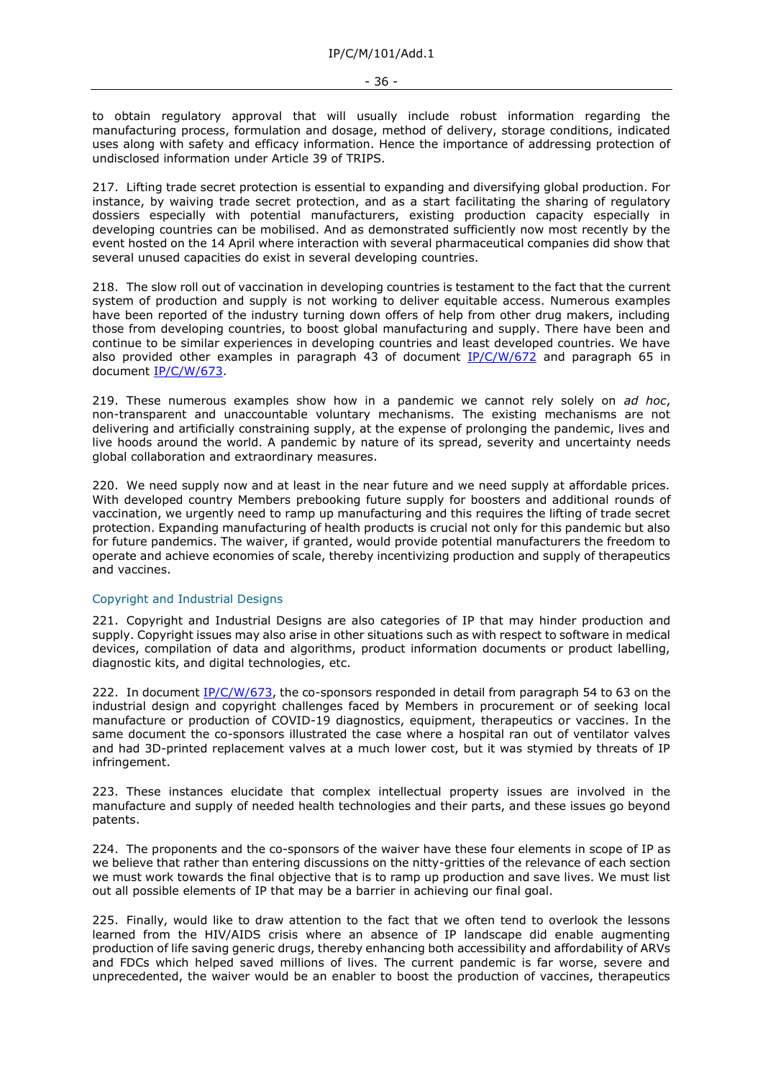to obtain regulatory approval that will usually include robust information regarding the manufacturing process, formulation and dosage, method of delivery, storage conditions, indicated uses along with safety and efficacy information. Hence the importance of addressing protection of undisclosed information under Article 39 of TRIPS.

217. Lifting trade secret protection is essential to expanding and diversifying global production. For instance, by waiving trade secret protection, and as a start facilitating the sharing of regulatory dossiers especially with potential manufacturers, existing production capacity especially in developing countries can be mobilised. And as demonstrated sufficiently now most recently by the event hosted on the 14 April where interaction with several pharmaceutical companies did show that several unused capacities do exist in several developing countries.

218. The slow roll out of vaccination in developing countries is testament to the fact that the current system of production and supply is not working to deliver equitable access. Numerous examples have been reported of the industry turning down offers of help from other drug makers, including those from developing countries, to boost global manufacturing and supply. There have been and continue to be similar experiences in developing countries and least developed countries. We have also provided other examples in paragraph 43 of document [IP/C/W/672](https://docs.wto.org/dol2fe/Pages/FE_Search/FE_S_S006.aspx?DataSource=Cat&query=@Symbol=%22IP/C/W/672%22%20OR%20@Symbol=%22IP/C/W/672/*%22&Language=English&Context=ScriptedSearches&languageUIChanged=true) and paragraph 65 in document [IP/C/W/673.](https://docs.wto.org/dol2fe/Pages/FE_Search/FE_S_S006.aspx?DataSource=Cat&query=@Symbol=%22IP/C/W/673%22%20OR%20@Symbol=%22IP/C/W/673/*%22&Language=English&Context=ScriptedSearches&languageUIChanged=true)

219. These numerous examples show how in a pandemic we cannot rely solely on *ad hoc*, non-transparent and unaccountable voluntary mechanisms. The existing mechanisms are not delivering and artificially constraining supply, at the expense of prolonging the pandemic, lives and live hoods around the world. A pandemic by nature of its spread, severity and uncertainty needs global collaboration and extraordinary measures.

220. We need supply now and at least in the near future and we need supply at affordable prices. With developed country Members prebooking future supply for boosters and additional rounds of vaccination, we urgently need to ramp up manufacturing and this requires the lifting of trade secret protection. Expanding manufacturing of health products is crucial not only for this pandemic but also for future pandemics. The waiver, if granted, would provide potential manufacturers the freedom to operate and achieve economies of scale, thereby incentivizing production and supply of therapeutics and vaccines.

#### Copyright and Industrial Designs

221. Copyright and Industrial Designs are also categories of IP that may hinder production and supply. Copyright issues may also arise in other situations such as with respect to software in medical devices, compilation of data and algorithms, product information documents or product labelling, diagnostic kits, and digital technologies, etc.

222. In document [IP/C/W/673,](https://docs.wto.org/dol2fe/Pages/FE_Search/FE_S_S006.aspx?DataSource=Cat&query=@Symbol=%22IP/C/W/673%22%20OR%20@Symbol=%22IP/C/W/673/*%22&Language=English&Context=ScriptedSearches&languageUIChanged=true) the co-sponsors responded in detail from paragraph 54 to 63 on the industrial design and copyright challenges faced by Members in procurement or of seeking local manufacture or production of COVID-19 diagnostics, equipment, therapeutics or vaccines. In the same document the co-sponsors illustrated the case where a hospital ran out of ventilator valves and had 3D-printed replacement valves at a much lower cost, but it was stymied by threats of IP infringement.

223. These instances elucidate that complex intellectual property issues are involved in the manufacture and supply of needed health technologies and their parts, and these issues go beyond patents.

224. The proponents and the co-sponsors of the waiver have these four elements in scope of IP as we believe that rather than entering discussions on the nitty-gritties of the relevance of each section we must work towards the final objective that is to ramp up production and save lives. We must list out all possible elements of IP that may be a barrier in achieving our final goal.

225. Finally, would like to draw attention to the fact that we often tend to overlook the lessons learned from the HIV/AIDS crisis where an absence of IP landscape did enable augmenting production of life saving generic drugs, thereby enhancing both accessibility and affordability of ARVs and FDCs which helped saved millions of lives. The current pandemic is far worse, severe and unprecedented, the waiver would be an enabler to boost the production of vaccines, therapeutics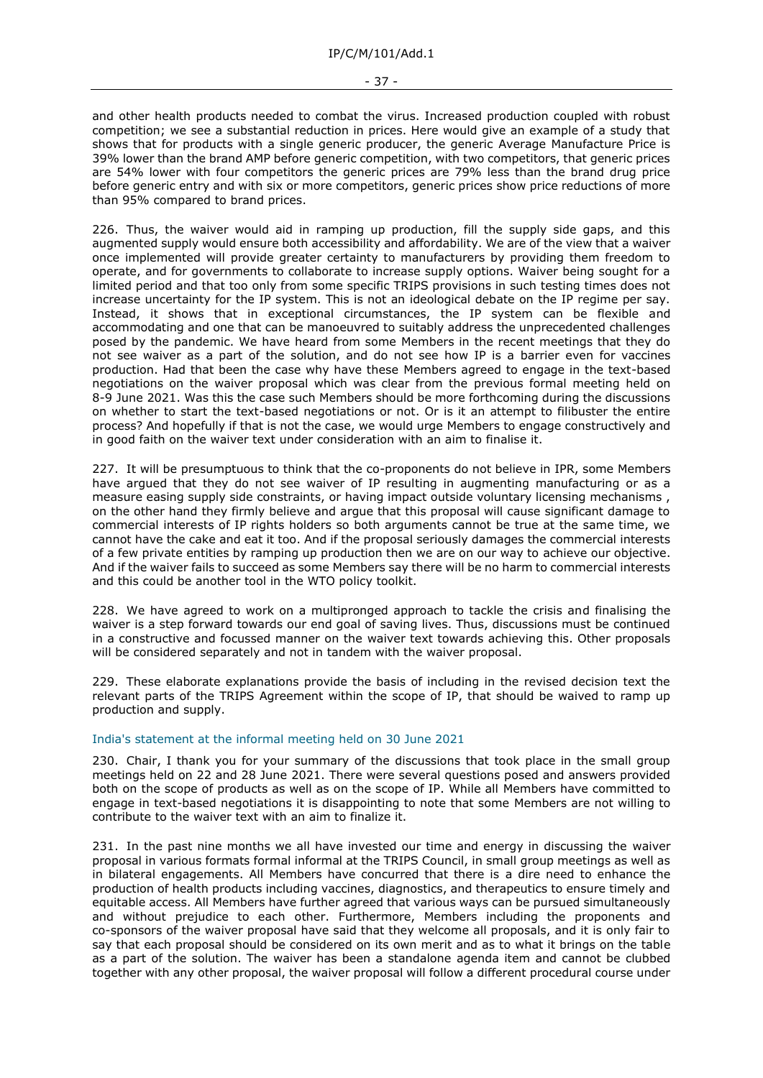and other health products needed to combat the virus. Increased production coupled with robust competition; we see a substantial reduction in prices. Here would give an example of a study that shows that for products with a single generic producer, the generic Average Manufacture Price is 39% lower than the brand AMP before generic competition, with two competitors, that generic prices are 54% lower with four competitors the generic prices are 79% less than the brand drug price before generic entry and with six or more competitors, generic prices show price reductions of more than 95% compared to brand prices.

226. Thus, the waiver would aid in ramping up production, fill the supply side gaps, and this augmented supply would ensure both accessibility and affordability. We are of the view that a waiver once implemented will provide greater certainty to manufacturers by providing them freedom to operate, and for governments to collaborate to increase supply options. Waiver being sought for a limited period and that too only from some specific TRIPS provisions in such testing times does not increase uncertainty for the IP system. This is not an ideological debate on the IP regime per say. Instead, it shows that in exceptional circumstances, the IP system can be flexible and accommodating and one that can be manoeuvred to suitably address the unprecedented challenges posed by the pandemic. We have heard from some Members in the recent meetings that they do not see waiver as a part of the solution, and do not see how IP is a barrier even for vaccines production. Had that been the case why have these Members agreed to engage in the text-based negotiations on the waiver proposal which was clear from the previous formal meeting held on 8-9 June 2021. Was this the case such Members should be more forthcoming during the discussions on whether to start the text-based negotiations or not. Or is it an attempt to filibuster the entire process? And hopefully if that is not the case, we would urge Members to engage constructively and in good faith on the waiver text under consideration with an aim to finalise it.

227. It will be presumptuous to think that the co-proponents do not believe in IPR, some Members have argued that they do not see waiver of IP resulting in augmenting manufacturing or as a measure easing supply side constraints, or having impact outside voluntary licensing mechanisms , on the other hand they firmly believe and argue that this proposal will cause significant damage to commercial interests of IP rights holders so both arguments cannot be true at the same time, we cannot have the cake and eat it too. And if the proposal seriously damages the commercial interests of a few private entities by ramping up production then we are on our way to achieve our objective. And if the waiver fails to succeed as some Members say there will be no harm to commercial interests and this could be another tool in the WTO policy toolkit.

228. We have agreed to work on a multipronged approach to tackle the crisis and finalising the waiver is a step forward towards our end goal of saving lives. Thus, discussions must be continued in a constructive and focussed manner on the waiver text towards achieving this. Other proposals will be considered separately and not in tandem with the waiver proposal.

229. These elaborate explanations provide the basis of including in the revised decision text the relevant parts of the TRIPS Agreement within the scope of IP, that should be waived to ramp up production and supply.

#### India's statement at the informal meeting held on 30 June 2021

230. Chair, I thank you for your summary of the discussions that took place in the small group meetings held on 22 and 28 June 2021. There were several questions posed and answers provided both on the scope of products as well as on the scope of IP. While all Members have committed to engage in text-based negotiations it is disappointing to note that some Members are not willing to contribute to the waiver text with an aim to finalize it.

231. In the past nine months we all have invested our time and energy in discussing the waiver proposal in various formats formal informal at the TRIPS Council, in small group meetings as well as in bilateral engagements. All Members have concurred that there is a dire need to enhance the production of health products including vaccines, diagnostics, and therapeutics to ensure timely and equitable access. All Members have further agreed that various ways can be pursued simultaneously and without prejudice to each other. Furthermore, Members including the proponents and co-sponsors of the waiver proposal have said that they welcome all proposals, and it is only fair to say that each proposal should be considered on its own merit and as to what it brings on the table as a part of the solution. The waiver has been a standalone agenda item and cannot be clubbed together with any other proposal, the waiver proposal will follow a different procedural course under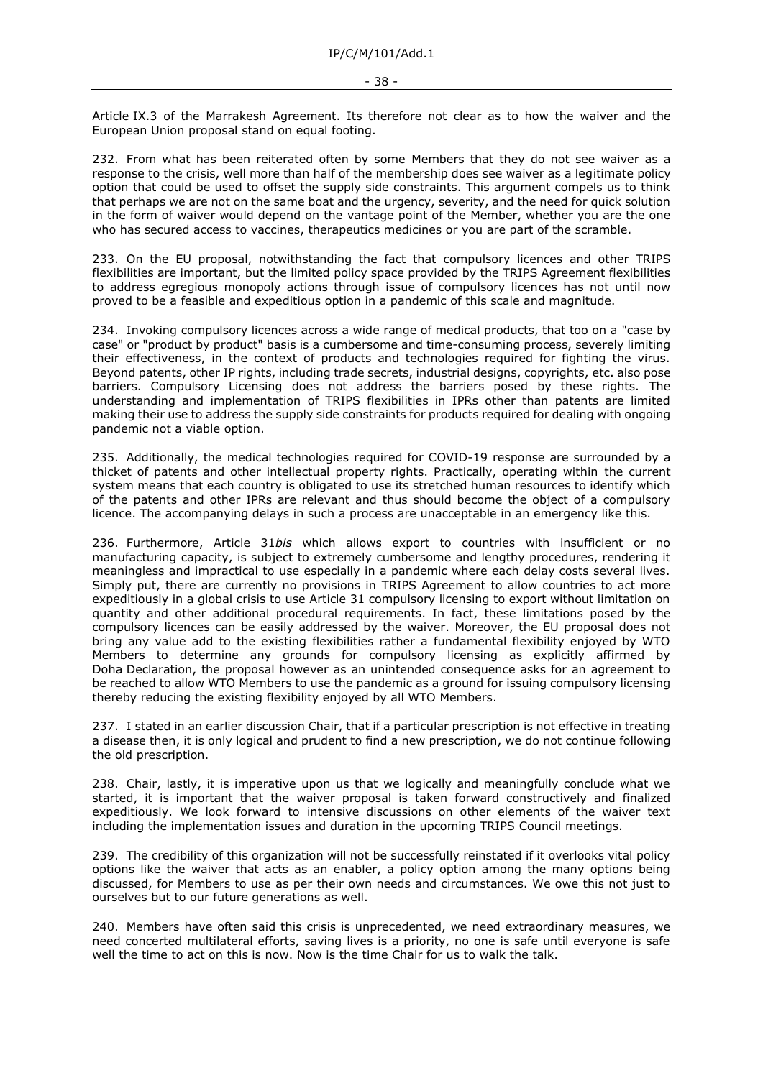Article IX.3 of the Marrakesh Agreement. Its therefore not clear as to how the waiver and the European Union proposal stand on equal footing.

232. From what has been reiterated often by some Members that they do not see waiver as a response to the crisis, well more than half of the membership does see waiver as a legitimate policy option that could be used to offset the supply side constraints. This argument compels us to think that perhaps we are not on the same boat and the urgency, severity, and the need for quick solution in the form of waiver would depend on the vantage point of the Member, whether you are the one who has secured access to vaccines, therapeutics medicines or you are part of the scramble.

233. On the EU proposal, notwithstanding the fact that compulsory licences and other TRIPS flexibilities are important, but the limited policy space provided by the TRIPS Agreement flexibilities to address egregious monopoly actions through issue of compulsory licences has not until now proved to be a feasible and expeditious option in a pandemic of this scale and magnitude.

234. Invoking compulsory licences across a wide range of medical products, that too on a "case by case" or "product by product" basis is a cumbersome and time-consuming process, severely limiting their effectiveness, in the context of products and technologies required for fighting the virus. Beyond patents, other IP rights, including trade secrets, industrial designs, copyrights, etc. also pose barriers. Compulsory Licensing does not address the barriers posed by these rights. The understanding and implementation of TRIPS flexibilities in IPRs other than patents are limited making their use to address the supply side constraints for products required for dealing with ongoing pandemic not a viable option.

235. Additionally, the medical technologies required for COVID-19 response are surrounded by a thicket of patents and other intellectual property rights. Practically, operating within the current system means that each country is obligated to use its stretched human resources to identify which of the patents and other IPRs are relevant and thus should become the object of a compulsory licence. The accompanying delays in such a process are unacceptable in an emergency like this.

236. Furthermore, Article 31*bis* which allows export to countries with insufficient or no manufacturing capacity, is subject to extremely cumbersome and lengthy procedures, rendering it meaningless and impractical to use especially in a pandemic where each delay costs several lives. Simply put, there are currently no provisions in TRIPS Agreement to allow countries to act more expeditiously in a global crisis to use Article 31 compulsory licensing to export without limitation on quantity and other additional procedural requirements. In fact, these limitations posed by the compulsory licences can be easily addressed by the waiver. Moreover, the EU proposal does not bring any value add to the existing flexibilities rather a fundamental flexibility enjoyed by WTO Members to determine any grounds for compulsory licensing as explicitly affirmed by Doha Declaration, the proposal however as an unintended consequence asks for an agreement to be reached to allow WTO Members to use the pandemic as a ground for issuing compulsory licensing thereby reducing the existing flexibility enjoyed by all WTO Members.

237. I stated in an earlier discussion Chair, that if a particular prescription is not effective in treating a disease then, it is only logical and prudent to find a new prescription, we do not continue following the old prescription.

238. Chair, lastly, it is imperative upon us that we logically and meaningfully conclude what we started, it is important that the waiver proposal is taken forward constructively and finalized expeditiously. We look forward to intensive discussions on other elements of the waiver text including the implementation issues and duration in the upcoming TRIPS Council meetings.

239. The credibility of this organization will not be successfully reinstated if it overlooks vital policy options like the waiver that acts as an enabler, a policy option among the many options being discussed, for Members to use as per their own needs and circumstances. We owe this not just to ourselves but to our future generations as well.

240. Members have often said this crisis is unprecedented, we need extraordinary measures, we need concerted multilateral efforts, saving lives is a priority, no one is safe until everyone is safe well the time to act on this is now. Now is the time Chair for us to walk the talk.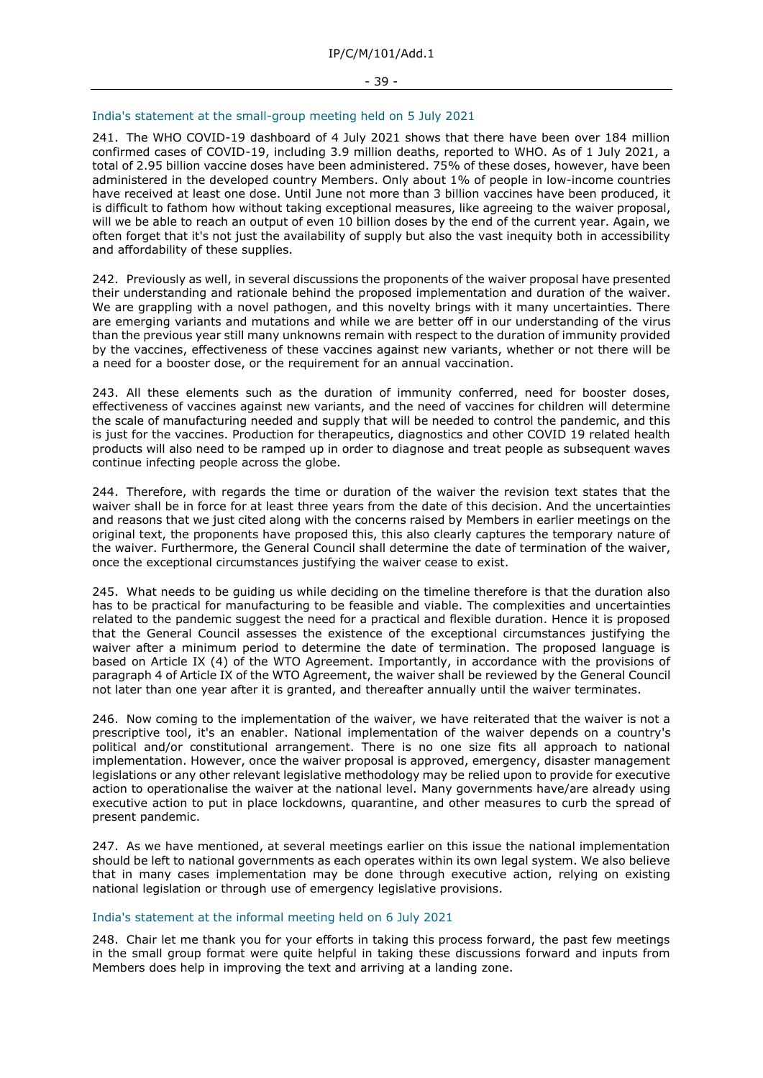# India's statement at the small-group meeting held on 5 July 2021

241. The WHO COVID-19 dashboard of 4 July 2021 shows that there have been over 184 million confirmed cases of COVID-19, including 3.9 million deaths, reported to WHO. As of 1 July 2021, a total of 2.95 billion vaccine doses have been administered. 75% of these doses, however, have been administered in the developed country Members. Only about 1% of people in low-income countries have received at least one dose. Until June not more than 3 billion vaccines have been produced, it is difficult to fathom how without taking exceptional measures, like agreeing to the waiver proposal, will we be able to reach an output of even 10 billion doses by the end of the current year. Again, we often forget that it's not just the availability of supply but also the vast inequity both in accessibility and affordability of these supplies.

242. Previously as well, in several discussions the proponents of the waiver proposal have presented their understanding and rationale behind the proposed implementation and duration of the waiver. We are grappling with a novel pathogen, and this novelty brings with it many uncertainties. There are emerging variants and mutations and while we are better off in our understanding of the virus than the previous year still many unknowns remain with respect to the duration of immunity provided by the vaccines, effectiveness of these vaccines against new variants, whether or not there will be a need for a booster dose, or the requirement for an annual vaccination.

243. All these elements such as the duration of immunity conferred, need for booster doses, effectiveness of vaccines against new variants, and the need of vaccines for children will determine the scale of manufacturing needed and supply that will be needed to control the pandemic, and this is just for the vaccines. Production for therapeutics, diagnostics and other COVID 19 related health products will also need to be ramped up in order to diagnose and treat people as subsequent waves continue infecting people across the globe.

244. Therefore, with regards the time or duration of the waiver the revision text states that the waiver shall be in force for at least three years from the date of this decision. And the uncertainties and reasons that we just cited along with the concerns raised by Members in earlier meetings on the original text, the proponents have proposed this, this also clearly captures the temporary nature of the waiver. Furthermore, the General Council shall determine the date of termination of the waiver, once the exceptional circumstances justifying the waiver cease to exist.

245. What needs to be guiding us while deciding on the timeline therefore is that the duration also has to be practical for manufacturing to be feasible and viable. The complexities and uncertainties related to the pandemic suggest the need for a practical and flexible duration. Hence it is proposed that the General Council assesses the existence of the exceptional circumstances justifying the waiver after a minimum period to determine the date of termination. The proposed language is based on Article IX (4) of the WTO Agreement. Importantly, in accordance with the provisions of paragraph 4 of Article IX of the WTO Agreement, the waiver shall be reviewed by the General Council not later than one year after it is granted, and thereafter annually until the waiver terminates.

246. Now coming to the implementation of the waiver, we have reiterated that the waiver is not a prescriptive tool, it's an enabler. National implementation of the waiver depends on a country's political and/or constitutional arrangement. There is no one size fits all approach to national implementation. However, once the waiver proposal is approved, emergency, disaster management legislations or any other relevant legislative methodology may be relied upon to provide for executive action to operationalise the waiver at the national level. Many governments have/are already using executive action to put in place lockdowns, quarantine, and other measures to curb the spread of present pandemic.

247. As we have mentioned, at several meetings earlier on this issue the national implementation should be left to national governments as each operates within its own legal system. We also believe that in many cases implementation may be done through executive action, relying on existing national legislation or through use of emergency legislative provisions.

#### India's statement at the informal meeting held on 6 July 2021

248. Chair let me thank you for your efforts in taking this process forward, the past few meetings in the small group format were quite helpful in taking these discussions forward and inputs from Members does help in improving the text and arriving at a landing zone.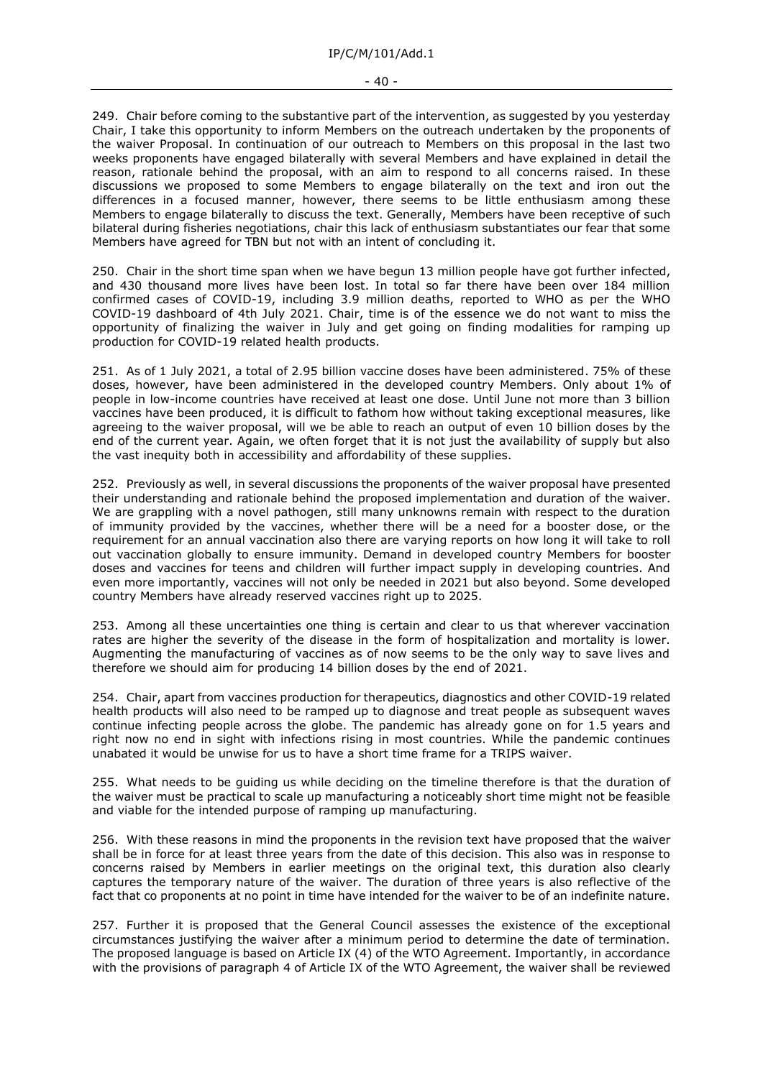249. Chair before coming to the substantive part of the intervention, as suggested by you yesterday Chair, I take this opportunity to inform Members on the outreach undertaken by the proponents of the waiver Proposal. In continuation of our outreach to Members on this proposal in the last two weeks proponents have engaged bilaterally with several Members and have explained in detail the reason, rationale behind the proposal, with an aim to respond to all concerns raised. In these discussions we proposed to some Members to engage bilaterally on the text and iron out the differences in a focused manner, however, there seems to be little enthusiasm among these Members to engage bilaterally to discuss the text. Generally, Members have been receptive of such bilateral during fisheries negotiations, chair this lack of enthusiasm substantiates our fear that some Members have agreed for TBN but not with an intent of concluding it.

250. Chair in the short time span when we have begun 13 million people have got further infected, and 430 thousand more lives have been lost. In total so far there have been over 184 million confirmed cases of COVID-19, including 3.9 million deaths, reported to WHO as per the WHO COVID-19 dashboard of 4th July 2021. Chair, time is of the essence we do not want to miss the opportunity of finalizing the waiver in July and get going on finding modalities for ramping up production for COVID-19 related health products.

251. As of 1 July 2021, a total of 2.95 billion vaccine doses have been administered. 75% of these doses, however, have been administered in the developed country Members. Only about 1% of people in low-income countries have received at least one dose. Until June not more than 3 billion vaccines have been produced, it is difficult to fathom how without taking exceptional measures, like agreeing to the waiver proposal, will we be able to reach an output of even 10 billion doses by the end of the current year. Again, we often forget that it is not just the availability of supply but also the vast inequity both in accessibility and affordability of these supplies.

252. Previously as well, in several discussions the proponents of the waiver proposal have presented their understanding and rationale behind the proposed implementation and duration of the waiver. We are grappling with a novel pathogen, still many unknowns remain with respect to the duration of immunity provided by the vaccines, whether there will be a need for a booster dose, or the requirement for an annual vaccination also there are varying reports on how long it will take to roll out vaccination globally to ensure immunity. Demand in developed country Members for booster doses and vaccines for teens and children will further impact supply in developing countries. And even more importantly, vaccines will not only be needed in 2021 but also beyond. Some developed country Members have already reserved vaccines right up to 2025.

253. Among all these uncertainties one thing is certain and clear to us that wherever vaccination rates are higher the severity of the disease in the form of hospitalization and mortality is lower. Augmenting the manufacturing of vaccines as of now seems to be the only way to save lives and therefore we should aim for producing 14 billion doses by the end of 2021.

254. Chair, apart from vaccines production for therapeutics, diagnostics and other COVID-19 related health products will also need to be ramped up to diagnose and treat people as subsequent waves continue infecting people across the globe. The pandemic has already gone on for 1.5 years and right now no end in sight with infections rising in most countries. While the pandemic continues unabated it would be unwise for us to have a short time frame for a TRIPS waiver.

255. What needs to be guiding us while deciding on the timeline therefore is that the duration of the waiver must be practical to scale up manufacturing a noticeably short time might not be feasible and viable for the intended purpose of ramping up manufacturing.

256. With these reasons in mind the proponents in the revision text have proposed that the waiver shall be in force for at least three years from the date of this decision. This also was in response to concerns raised by Members in earlier meetings on the original text, this duration also clearly captures the temporary nature of the waiver. The duration of three years is also reflective of the fact that co proponents at no point in time have intended for the waiver to be of an indefinite nature.

257. Further it is proposed that the General Council assesses the existence of the exceptional circumstances justifying the waiver after a minimum period to determine the date of termination. The proposed language is based on Article IX (4) of the WTO Agreement. Importantly, in accordance with the provisions of paragraph 4 of Article IX of the WTO Agreement, the waiver shall be reviewed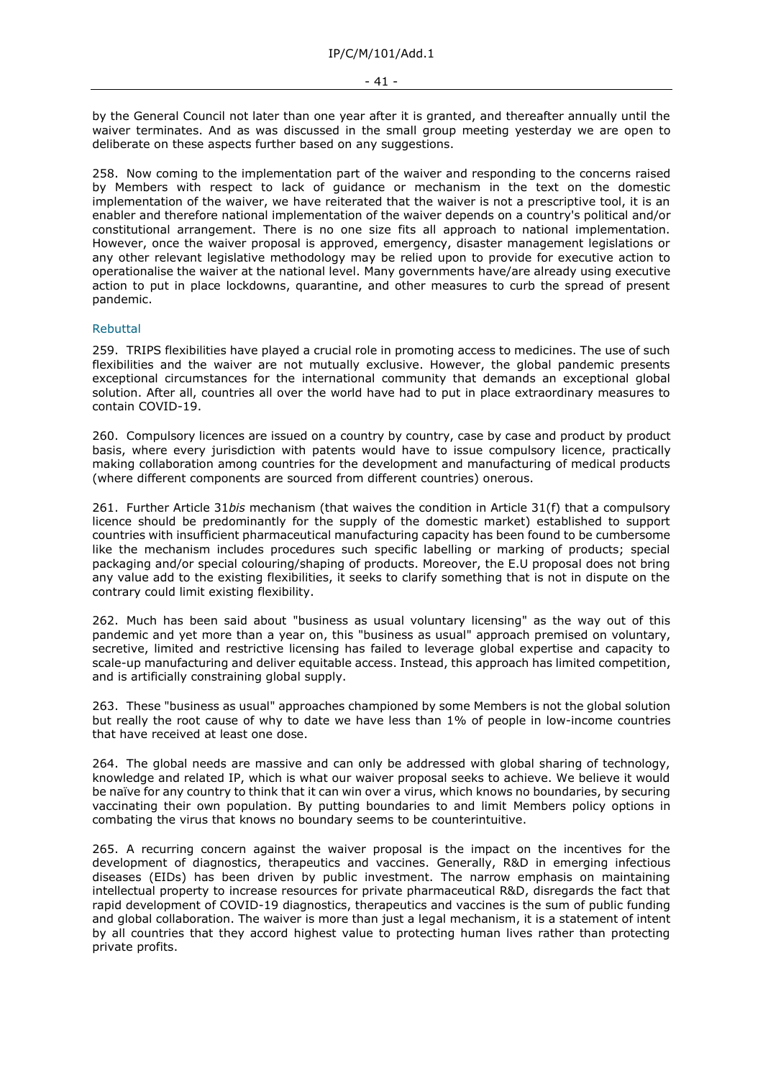by the General Council not later than one year after it is granted, and thereafter annually until the waiver terminates. And as was discussed in the small group meeting yesterday we are open to deliberate on these aspects further based on any suggestions.

258. Now coming to the implementation part of the waiver and responding to the concerns raised by Members with respect to lack of guidance or mechanism in the text on the domestic implementation of the waiver, we have reiterated that the waiver is not a prescriptive tool, it is an enabler and therefore national implementation of the waiver depends on a country's political and/or constitutional arrangement. There is no one size fits all approach to national implementation. However, once the waiver proposal is approved, emergency, disaster management legislations or any other relevant legislative methodology may be relied upon to provide for executive action to operationalise the waiver at the national level. Many governments have/are already using executive action to put in place lockdowns, quarantine, and other measures to curb the spread of present pandemic.

### Rebuttal

259. TRIPS flexibilities have played a crucial role in promoting access to medicines. The use of such flexibilities and the waiver are not mutually exclusive. However, the global pandemic presents exceptional circumstances for the international community that demands an exceptional global solution. After all, countries all over the world have had to put in place extraordinary measures to contain COVID-19.

260. Compulsory licences are issued on a country by country, case by case and product by product basis, where every jurisdiction with patents would have to issue compulsory licence, practically making collaboration among countries for the development and manufacturing of medical products (where different components are sourced from different countries) onerous.

261. Further Article 31*bis* mechanism (that waives the condition in Article 31(f) that a compulsory licence should be predominantly for the supply of the domestic market) established to support countries with insufficient pharmaceutical manufacturing capacity has been found to be cumbersome like the mechanism includes procedures such specific labelling or marking of products; special packaging and/or special colouring/shaping of products. Moreover, the E.U proposal does not bring any value add to the existing flexibilities, it seeks to clarify something that is not in dispute on the contrary could limit existing flexibility.

262. Much has been said about "business as usual voluntary licensing" as the way out of this pandemic and yet more than a year on, this "business as usual" approach premised on voluntary, secretive, limited and restrictive licensing has failed to leverage global expertise and capacity to scale-up manufacturing and deliver equitable access. Instead, this approach has limited competition, and is artificially constraining global supply.

263. These "business as usual" approaches championed by some Members is not the global solution but really the root cause of why to date we have less than 1% of people in low-income countries that have received at least one dose.

264. The global needs are massive and can only be addressed with global sharing of technology, knowledge and related IP, which is what our waiver proposal seeks to achieve. We believe it would be naïve for any country to think that it can win over a virus, which knows no boundaries, by securing vaccinating their own population. By putting boundaries to and limit Members policy options in combating the virus that knows no boundary seems to be counterintuitive.

265. A recurring concern against the waiver proposal is the impact on the incentives for the development of diagnostics, therapeutics and vaccines. Generally, R&D in emerging infectious diseases (EIDs) has been driven by public investment. The narrow emphasis on maintaining intellectual property to increase resources for private pharmaceutical R&D, disregards the fact that rapid development of COVID-19 diagnostics, therapeutics and vaccines is the sum of public funding and global collaboration. The waiver is more than just a legal mechanism, it is a statement of intent by all countries that they accord highest value to protecting human lives rather than protecting private profits.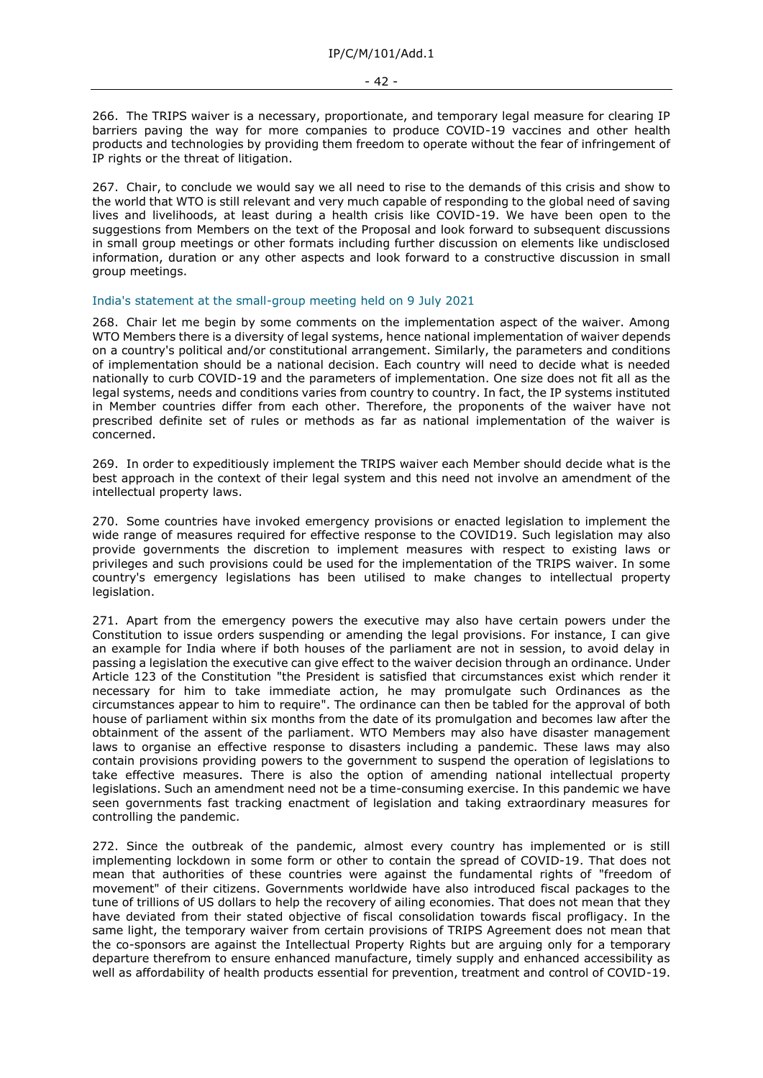266. The TRIPS waiver is a necessary, proportionate, and temporary legal measure for clearing IP barriers paving the way for more companies to produce COVID-19 vaccines and other health products and technologies by providing them freedom to operate without the fear of infringement of IP rights or the threat of litigation.

267. Chair, to conclude we would say we all need to rise to the demands of this crisis and show to the world that WTO is still relevant and very much capable of responding to the global need of saving lives and livelihoods, at least during a health crisis like COVID-19. We have been open to the suggestions from Members on the text of the Proposal and look forward to subsequent discussions in small group meetings or other formats including further discussion on elements like undisclosed information, duration or any other aspects and look forward to a constructive discussion in small group meetings.

India's statement at the small-group meeting held on 9 July 2021

268. Chair let me begin by some comments on the implementation aspect of the waiver. Among WTO Members there is a diversity of legal systems, hence national implementation of waiver depends on a country's political and/or constitutional arrangement. Similarly, the parameters and conditions of implementation should be a national decision. Each country will need to decide what is needed nationally to curb COVID-19 and the parameters of implementation. One size does not fit all as the legal systems, needs and conditions varies from country to country. In fact, the IP systems instituted in Member countries differ from each other. Therefore, the proponents of the waiver have not prescribed definite set of rules or methods as far as national implementation of the waiver is concerned.

269. In order to expeditiously implement the TRIPS waiver each Member should decide what is the best approach in the context of their legal system and this need not involve an amendment of the intellectual property laws.

270. Some countries have invoked emergency provisions or enacted legislation to implement the wide range of measures required for effective response to the COVID19. Such legislation may also provide governments the discretion to implement measures with respect to existing laws or privileges and such provisions could be used for the implementation of the TRIPS waiver. In some country's emergency legislations has been utilised to make changes to intellectual property legislation.

271. Apart from the emergency powers the executive may also have certain powers under the Constitution to issue orders suspending or amending the legal provisions. For instance, I can give an example for India where if both houses of the parliament are not in session, to avoid delay in passing a legislation the executive can give effect to the waiver decision through an ordinance. Under Article 123 of the Constitution "the President is satisfied that circumstances exist which render it necessary for him to take immediate action, he may promulgate such Ordinances as the circumstances appear to him to require". The ordinance can then be tabled for the approval of both house of parliament within six months from the date of its promulgation and becomes law after the obtainment of the assent of the parliament. WTO Members may also have disaster management laws to organise an effective response to disasters including a pandemic. These laws may also contain provisions providing powers to the government to suspend the operation of legislations to take effective measures. There is also the option of amending national intellectual property legislations. Such an amendment need not be a time-consuming exercise. In this pandemic we have seen governments fast tracking enactment of legislation and taking extraordinary measures for controlling the pandemic.

272. Since the outbreak of the pandemic, almost every country has implemented or is still implementing lockdown in some form or other to contain the spread of COVID-19. That does not mean that authorities of these countries were against the fundamental rights of "freedom of movement" of their citizens. Governments worldwide have also introduced fiscal packages to the tune of trillions of US dollars to help the recovery of ailing economies. That does not mean that they have deviated from their stated objective of fiscal consolidation towards fiscal profligacy. In the same light, the temporary waiver from certain provisions of TRIPS Agreement does not mean that the co-sponsors are against the Intellectual Property Rights but are arguing only for a temporary departure therefrom to ensure enhanced manufacture, timely supply and enhanced accessibility as well as affordability of health products essential for prevention, treatment and control of COVID-19.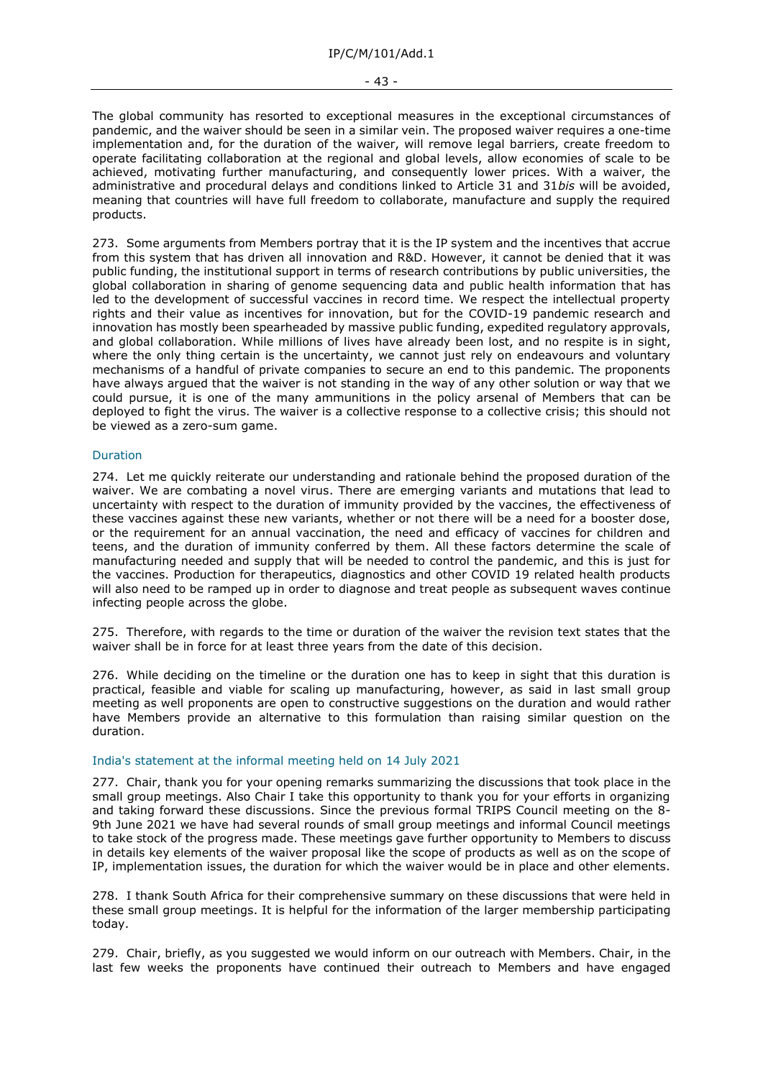#### - 43 -

The global community has resorted to exceptional measures in the exceptional circumstances of pandemic, and the waiver should be seen in a similar vein. The proposed waiver requires a one-time implementation and, for the duration of the waiver, will remove legal barriers, create freedom to operate facilitating collaboration at the regional and global levels, allow economies of scale to be achieved, motivating further manufacturing, and consequently lower prices. With a waiver, the administrative and procedural delays and conditions linked to Article 31 and 31*bis* will be avoided, meaning that countries will have full freedom to collaborate, manufacture and supply the required products.

273. Some arguments from Members portray that it is the IP system and the incentives that accrue from this system that has driven all innovation and R&D. However, it cannot be denied that it was public funding, the institutional support in terms of research contributions by public universities, the global collaboration in sharing of genome sequencing data and public health information that has led to the development of successful vaccines in record time. We respect the intellectual property rights and their value as incentives for innovation, but for the COVID-19 pandemic research and innovation has mostly been spearheaded by massive public funding, expedited regulatory approvals, and global collaboration. While millions of lives have already been lost, and no respite is in sight, where the only thing certain is the uncertainty, we cannot just rely on endeavours and voluntary mechanisms of a handful of private companies to secure an end to this pandemic. The proponents have always argued that the waiver is not standing in the way of any other solution or way that we could pursue, it is one of the many ammunitions in the policy arsenal of Members that can be deployed to fight the virus. The waiver is a collective response to a collective crisis; this should not be viewed as a zero-sum game.

### Duration

274. Let me quickly reiterate our understanding and rationale behind the proposed duration of the waiver. We are combating a novel virus. There are emerging variants and mutations that lead to uncertainty with respect to the duration of immunity provided by the vaccines, the effectiveness of these vaccines against these new variants, whether or not there will be a need for a booster dose, or the requirement for an annual vaccination, the need and efficacy of vaccines for children and teens, and the duration of immunity conferred by them. All these factors determine the scale of manufacturing needed and supply that will be needed to control the pandemic, and this is just for the vaccines. Production for therapeutics, diagnostics and other COVID 19 related health products will also need to be ramped up in order to diagnose and treat people as subsequent waves continue infecting people across the globe.

275. Therefore, with regards to the time or duration of the waiver the revision text states that the waiver shall be in force for at least three years from the date of this decision.

276. While deciding on the timeline or the duration one has to keep in sight that this duration is practical, feasible and viable for scaling up manufacturing, however, as said in last small group meeting as well proponents are open to constructive suggestions on the duration and would rather have Members provide an alternative to this formulation than raising similar question on the duration.

#### India's statement at the informal meeting held on 14 July 2021

277. Chair, thank you for your opening remarks summarizing the discussions that took place in the small group meetings. Also Chair I take this opportunity to thank you for your efforts in organizing and taking forward these discussions. Since the previous formal TRIPS Council meeting on the 8- 9th June 2021 we have had several rounds of small group meetings and informal Council meetings to take stock of the progress made. These meetings gave further opportunity to Members to discuss in details key elements of the waiver proposal like the scope of products as well as on the scope of IP, implementation issues, the duration for which the waiver would be in place and other elements.

278. I thank South Africa for their comprehensive summary on these discussions that were held in these small group meetings. It is helpful for the information of the larger membership participating today.

279. Chair, briefly, as you suggested we would inform on our outreach with Members. Chair, in the last few weeks the proponents have continued their outreach to Members and have engaged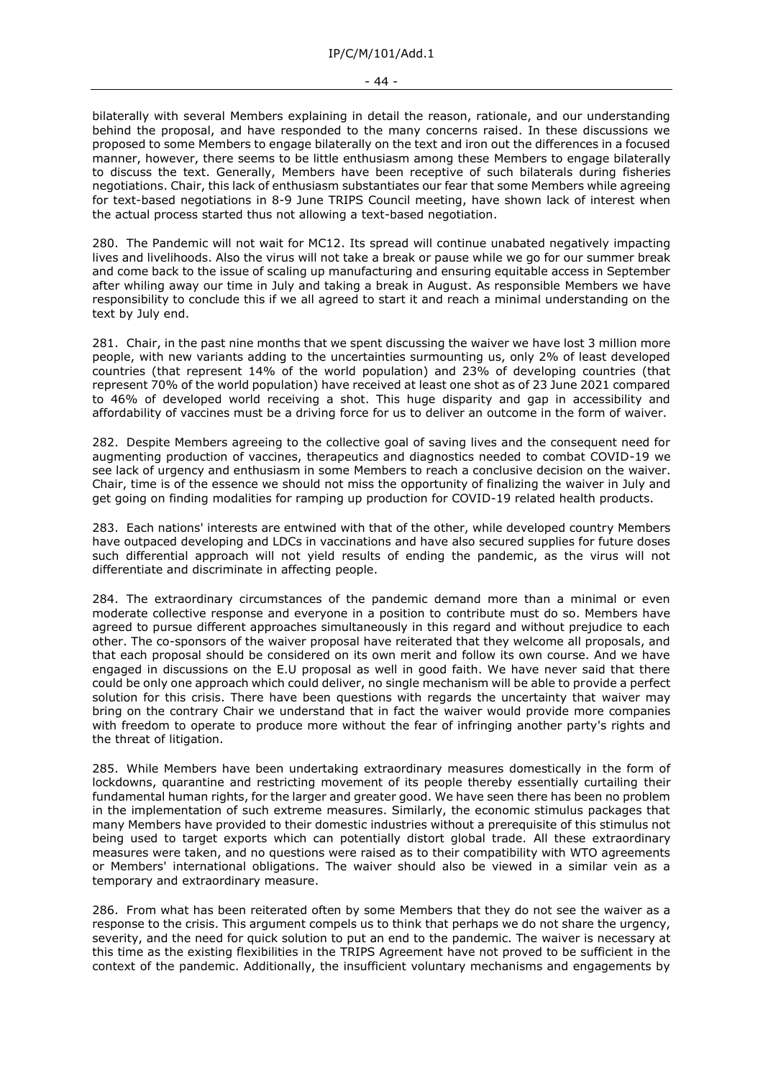#### - 44 -

bilaterally with several Members explaining in detail the reason, rationale, and our understanding behind the proposal, and have responded to the many concerns raised. In these discussions we proposed to some Members to engage bilaterally on the text and iron out the differences in a focused manner, however, there seems to be little enthusiasm among these Members to engage bilaterally to discuss the text. Generally, Members have been receptive of such bilaterals during fisheries negotiations. Chair, this lack of enthusiasm substantiates our fear that some Members while agreeing for text-based negotiations in 8-9 June TRIPS Council meeting, have shown lack of interest when the actual process started thus not allowing a text-based negotiation.

280. The Pandemic will not wait for MC12. Its spread will continue unabated negatively impacting lives and livelihoods. Also the virus will not take a break or pause while we go for our summer break and come back to the issue of scaling up manufacturing and ensuring equitable access in September after whiling away our time in July and taking a break in August. As responsible Members we have responsibility to conclude this if we all agreed to start it and reach a minimal understanding on the text by July end.

281. Chair, in the past nine months that we spent discussing the waiver we have lost 3 million more people, with new variants adding to the uncertainties surmounting us, only 2% of least developed countries (that represent 14% of the world population) and 23% of developing countries (that represent 70% of the world population) have received at least one shot as of 23 June 2021 compared to 46% of developed world receiving a shot. This huge disparity and gap in accessibility and affordability of vaccines must be a driving force for us to deliver an outcome in the form of waiver.

282. Despite Members agreeing to the collective goal of saving lives and the consequent need for augmenting production of vaccines, therapeutics and diagnostics needed to combat COVID-19 we see lack of urgency and enthusiasm in some Members to reach a conclusive decision on the waiver. Chair, time is of the essence we should not miss the opportunity of finalizing the waiver in July and get going on finding modalities for ramping up production for COVID-19 related health products.

283. Each nations' interests are entwined with that of the other, while developed country Members have outpaced developing and LDCs in vaccinations and have also secured supplies for future doses such differential approach will not yield results of ending the pandemic, as the virus will not differentiate and discriminate in affecting people.

284. The extraordinary circumstances of the pandemic demand more than a minimal or even moderate collective response and everyone in a position to contribute must do so. Members have agreed to pursue different approaches simultaneously in this regard and without prejudice to each other. The co-sponsors of the waiver proposal have reiterated that they welcome all proposals, and that each proposal should be considered on its own merit and follow its own course. And we have engaged in discussions on the E.U proposal as well in good faith. We have never said that there could be only one approach which could deliver, no single mechanism will be able to provide a perfect solution for this crisis. There have been questions with regards the uncertainty that waiver may bring on the contrary Chair we understand that in fact the waiver would provide more companies with freedom to operate to produce more without the fear of infringing another party's rights and the threat of litigation.

285. While Members have been undertaking extraordinary measures domestically in the form of lockdowns, quarantine and restricting movement of its people thereby essentially curtailing their fundamental human rights, for the larger and greater good. We have seen there has been no problem in the implementation of such extreme measures. Similarly, the economic stimulus packages that many Members have provided to their domestic industries without a prerequisite of this stimulus not being used to target exports which can potentially distort global trade. All these extraordinary measures were taken, and no questions were raised as to their compatibility with WTO agreements or Members' international obligations. The waiver should also be viewed in a similar vein as a temporary and extraordinary measure.

286. From what has been reiterated often by some Members that they do not see the waiver as a response to the crisis. This argument compels us to think that perhaps we do not share the urgency, severity, and the need for quick solution to put an end to the pandemic. The waiver is necessary at this time as the existing flexibilities in the TRIPS Agreement have not proved to be sufficient in the context of the pandemic. Additionally, the insufficient voluntary mechanisms and engagements by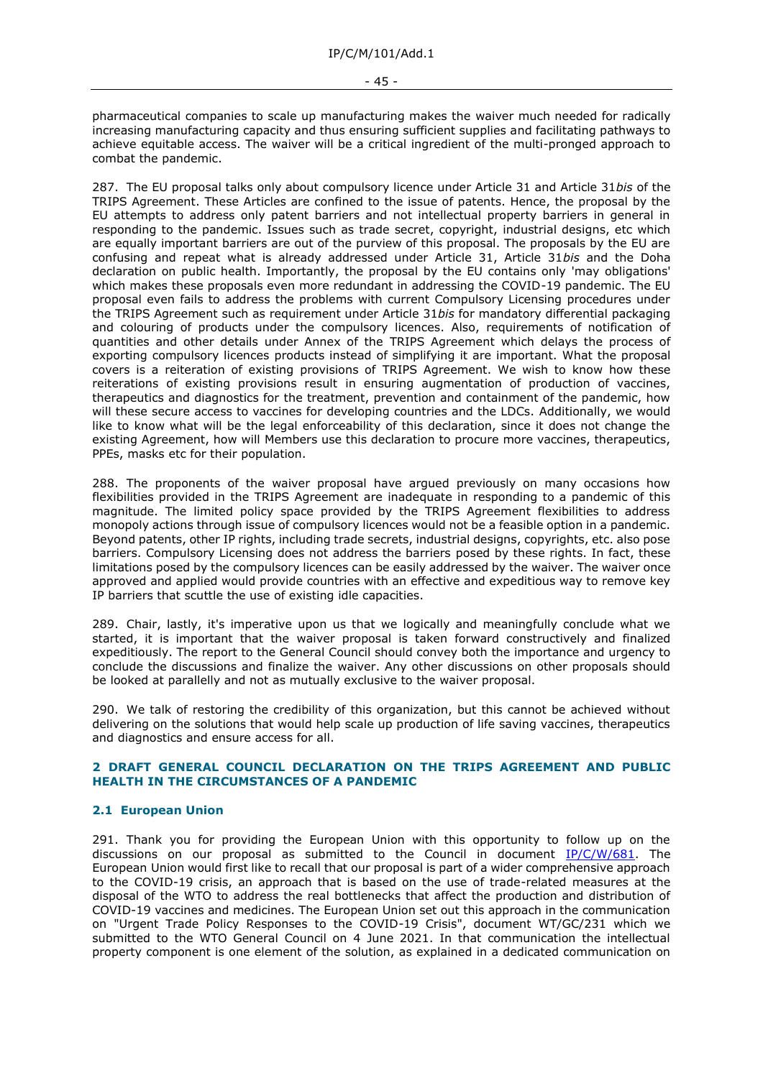pharmaceutical companies to scale up manufacturing makes the waiver much needed for radically increasing manufacturing capacity and thus ensuring sufficient supplies and facilitating pathways to achieve equitable access. The waiver will be a critical ingredient of the multi-pronged approach to combat the pandemic.

287. The EU proposal talks only about compulsory licence under Article 31 and Article 31*bis* of the TRIPS Agreement. These Articles are confined to the issue of patents. Hence, the proposal by the EU attempts to address only patent barriers and not intellectual property barriers in general in responding to the pandemic. Issues such as trade secret, copyright, industrial designs, etc which are equally important barriers are out of the purview of this proposal. The proposals by the EU are confusing and repeat what is already addressed under Article 31, Article 31*bis* and the Doha declaration on public health. Importantly, the proposal by the EU contains only 'may obligations' which makes these proposals even more redundant in addressing the COVID-19 pandemic. The EU proposal even fails to address the problems with current Compulsory Licensing procedures under the TRIPS Agreement such as requirement under Article 31*bis* for mandatory differential packaging and colouring of products under the compulsory licences. Also, requirements of notification of quantities and other details under Annex of the TRIPS Agreement which delays the process of exporting compulsory licences products instead of simplifying it are important. What the proposal covers is a reiteration of existing provisions of TRIPS Agreement. We wish to know how these reiterations of existing provisions result in ensuring augmentation of production of vaccines, therapeutics and diagnostics for the treatment, prevention and containment of the pandemic, how will these secure access to vaccines for developing countries and the LDCs. Additionally, we would like to know what will be the legal enforceability of this declaration, since it does not change the existing Agreement, how will Members use this declaration to procure more vaccines, therapeutics, PPEs, masks etc for their population.

288. The proponents of the waiver proposal have argued previously on many occasions how flexibilities provided in the TRIPS Agreement are inadequate in responding to a pandemic of this magnitude. The limited policy space provided by the TRIPS Agreement flexibilities to address monopoly actions through issue of compulsory licences would not be a feasible option in a pandemic. Beyond patents, other IP rights, including trade secrets, industrial designs, copyrights, etc. also pose barriers. Compulsory Licensing does not address the barriers posed by these rights. In fact, these limitations posed by the compulsory licences can be easily addressed by the waiver. The waiver once approved and applied would provide countries with an effective and expeditious way to remove key IP barriers that scuttle the use of existing idle capacities.

289. Chair, lastly, it's imperative upon us that we logically and meaningfully conclude what we started, it is important that the waiver proposal is taken forward constructively and finalized expeditiously. The report to the General Council should convey both the importance and urgency to conclude the discussions and finalize the waiver. Any other discussions on other proposals should be looked at parallelly and not as mutually exclusive to the waiver proposal.

290. We talk of restoring the credibility of this organization, but this cannot be achieved without delivering on the solutions that would help scale up production of life saving vaccines, therapeutics and diagnostics and ensure access for all.

# <span id="page-44-0"></span>**2 DRAFT GENERAL COUNCIL DECLARATION ON THE TRIPS AGREEMENT AND PUBLIC HEALTH IN THE CIRCUMSTANCES OF A PANDEMIC**

# **2.1 European Union**

291. Thank you for providing the European Union with this opportunity to follow up on the discussions on our proposal as submitted to the Council in document  $IP/C/W/681$ . The European Union would first like to recall that our proposal is part of a wider comprehensive approach to the COVID-19 crisis, an approach that is based on the use of trade-related measures at the disposal of the WTO to address the real bottlenecks that affect the production and distribution of COVID-19 vaccines and medicines. The European Union set out this approach in the communication on "Urgent Trade Policy Responses to the COVID-19 Crisis", document WT/GC/231 which we submitted to the WTO General Council on 4 June 2021. In that communication the intellectual property component is one element of the solution, as explained in a dedicated communication on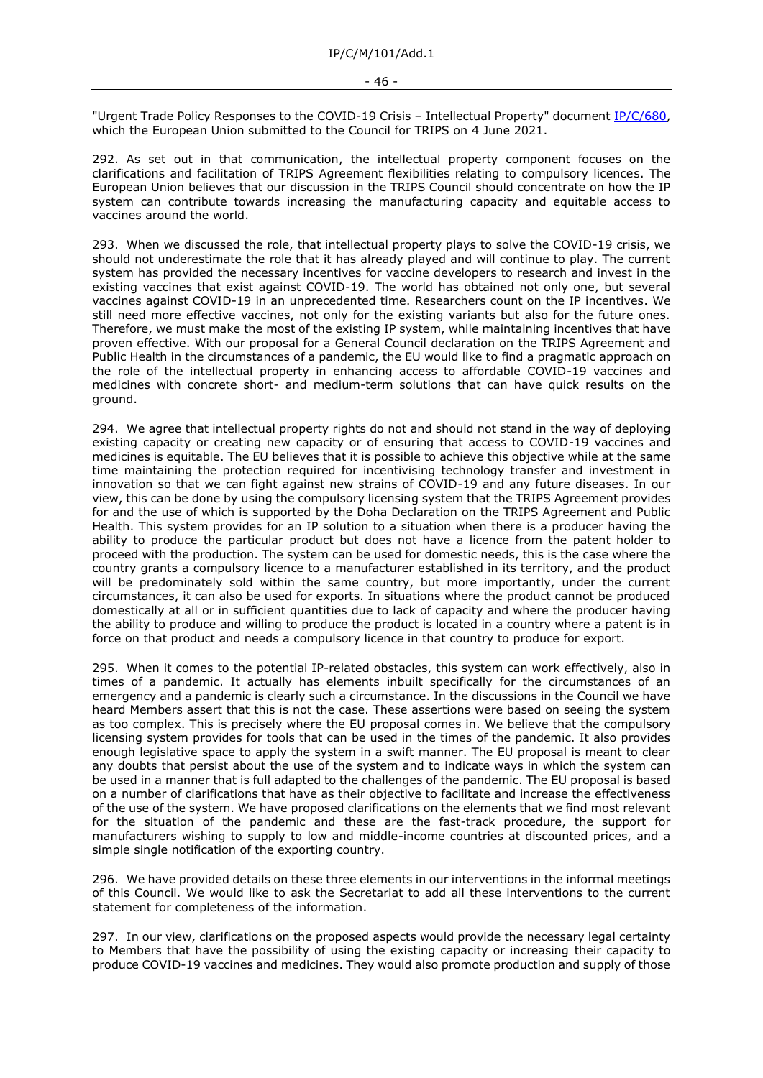"Urgent Trade Policy Responses to the COVID-19 Crisis - Intellectual Property" document [IP/C/680,](https://docs.wto.org/dol2fe/Pages/FE_Search/FE_S_S006.aspx?DataSource=Cat&query=@Symbol=%22IP/C/680%22%20OR%20@Symbol=%22IP/C/680/*%22&Language=English&Context=ScriptedSearches&languageUIChanged=true) which the European Union submitted to the Council for TRIPS on 4 June 2021.

292. As set out in that communication, the intellectual property component focuses on the clarifications and facilitation of TRIPS Agreement flexibilities relating to compulsory licences. The European Union believes that our discussion in the TRIPS Council should concentrate on how the IP system can contribute towards increasing the manufacturing capacity and equitable access to vaccines around the world.

293. When we discussed the role, that intellectual property plays to solve the COVID-19 crisis, we should not underestimate the role that it has already played and will continue to play. The current system has provided the necessary incentives for vaccine developers to research and invest in the existing vaccines that exist against COVID-19. The world has obtained not only one, but several vaccines against COVID-19 in an unprecedented time. Researchers count on the IP incentives. We still need more effective vaccines, not only for the existing variants but also for the future ones. Therefore, we must make the most of the existing IP system, while maintaining incentives that have proven effective. With our proposal for a General Council declaration on the TRIPS Agreement and Public Health in the circumstances of a pandemic, the EU would like to find a pragmatic approach on the role of the intellectual property in enhancing access to affordable COVID-19 vaccines and medicines with concrete short- and medium-term solutions that can have quick results on the ground.

294. We agree that intellectual property rights do not and should not stand in the way of deploying existing capacity or creating new capacity or of ensuring that access to COVID-19 vaccines and medicines is equitable. The EU believes that it is possible to achieve this objective while at the same time maintaining the protection required for incentivising technology transfer and investment in innovation so that we can fight against new strains of COVID-19 and any future diseases. In our view, this can be done by using the compulsory licensing system that the TRIPS Agreement provides for and the use of which is supported by the Doha Declaration on the TRIPS Agreement and Public Health. This system provides for an IP solution to a situation when there is a producer having the ability to produce the particular product but does not have a licence from the patent holder to proceed with the production. The system can be used for domestic needs, this is the case where the country grants a compulsory licence to a manufacturer established in its territory, and the product will be predominately sold within the same country, but more importantly, under the current circumstances, it can also be used for exports. In situations where the product cannot be produced domestically at all or in sufficient quantities due to lack of capacity and where the producer having the ability to produce and willing to produce the product is located in a country where a patent is in force on that product and needs a compulsory licence in that country to produce for export.

295. When it comes to the potential IP-related obstacles, this system can work effectively, also in times of a pandemic. It actually has elements inbuilt specifically for the circumstances of an emergency and a pandemic is clearly such a circumstance. In the discussions in the Council we have heard Members assert that this is not the case. These assertions were based on seeing the system as too complex. This is precisely where the EU proposal comes in. We believe that the compulsory licensing system provides for tools that can be used in the times of the pandemic. It also provides enough legislative space to apply the system in a swift manner. The EU proposal is meant to clear any doubts that persist about the use of the system and to indicate ways in which the system can be used in a manner that is full adapted to the challenges of the pandemic. The EU proposal is based on a number of clarifications that have as their objective to facilitate and increase the effectiveness of the use of the system. We have proposed clarifications on the elements that we find most relevant for the situation of the pandemic and these are the fast-track procedure, the support for manufacturers wishing to supply to low and middle-income countries at discounted prices, and a simple single notification of the exporting country.

296. We have provided details on these three elements in our interventions in the informal meetings of this Council. We would like to ask the Secretariat to add all these interventions to the current statement for completeness of the information.

297. In our view, clarifications on the proposed aspects would provide the necessary legal certainty to Members that have the possibility of using the existing capacity or increasing their capacity to produce COVID-19 vaccines and medicines. They would also promote production and supply of those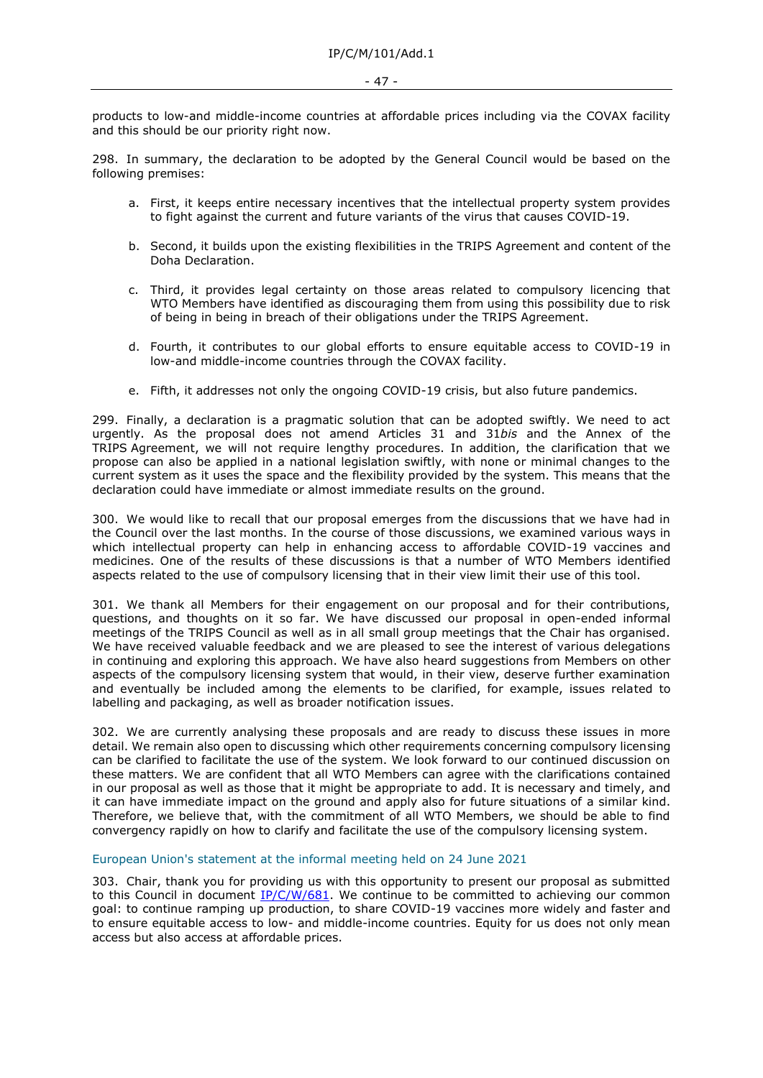products to low-and middle-income countries at affordable prices including via the COVAX facility and this should be our priority right now.

298. In summary, the declaration to be adopted by the General Council would be based on the following premises:

- a. First, it keeps entire necessary incentives that the intellectual property system provides to fight against the current and future variants of the virus that causes COVID-19.
- b. Second, it builds upon the existing flexibilities in the TRIPS Agreement and content of the Doha Declaration.
- c. Third, it provides legal certainty on those areas related to compulsory licencing that WTO Members have identified as discouraging them from using this possibility due to risk of being in being in breach of their obligations under the TRIPS Agreement.
- d. Fourth, it contributes to our global efforts to ensure equitable access to COVID-19 in low-and middle-income countries through the COVAX facility.
- e. Fifth, it addresses not only the ongoing COVID-19 crisis, but also future pandemics.

299. Finally, a declaration is a pragmatic solution that can be adopted swiftly. We need to act urgently. As the proposal does not amend Articles 31 and 31*bis* and the Annex of the TRIPS Agreement, we will not require lengthy procedures. In addition, the clarification that we propose can also be applied in a national legislation swiftly, with none or minimal changes to the current system as it uses the space and the flexibility provided by the system. This means that the declaration could have immediate or almost immediate results on the ground.

300. We would like to recall that our proposal emerges from the discussions that we have had in the Council over the last months. In the course of those discussions, we examined various ways in which intellectual property can help in enhancing access to affordable COVID-19 vaccines and medicines. One of the results of these discussions is that a number of WTO Members identified aspects related to the use of compulsory licensing that in their view limit their use of this tool.

301. We thank all Members for their engagement on our proposal and for their contributions, questions, and thoughts on it so far. We have discussed our proposal in open-ended informal meetings of the TRIPS Council as well as in all small group meetings that the Chair has organised. We have received valuable feedback and we are pleased to see the interest of various delegations in continuing and exploring this approach. We have also heard suggestions from Members on other aspects of the compulsory licensing system that would, in their view, deserve further examination and eventually be included among the elements to be clarified, for example, issues related to labelling and packaging, as well as broader notification issues.

302. We are currently analysing these proposals and are ready to discuss these issues in more detail. We remain also open to discussing which other requirements concerning compulsory licensing can be clarified to facilitate the use of the system. We look forward to our continued discussion on these matters. We are confident that all WTO Members can agree with the clarifications contained in our proposal as well as those that it might be appropriate to add. It is necessary and timely, and it can have immediate impact on the ground and apply also for future situations of a similar kind. Therefore, we believe that, with the commitment of all WTO Members, we should be able to find convergency rapidly on how to clarify and facilitate the use of the compulsory licensing system.

### European Union's statement at the informal meeting held on 24 June 2021

303. Chair, thank you for providing us with this opportunity to present our proposal as submitted to this Council in document [IP/C/W/681.](https://docs.wto.org/dol2fe/Pages/FE_Search/FE_S_S006.aspx?DataSource=Cat&query=@Symbol=%22IP/C/W/681%22%20OR%20@Symbol=%22IP/C/W/681/*%22&Language=English&Context=ScriptedSearches&languageUIChanged=true) We continue to be committed to achieving our common goal: to continue ramping up production, to share COVID-19 vaccines more widely and faster and to ensure equitable access to low- and middle-income countries. Equity for us does not only mean access but also access at affordable prices.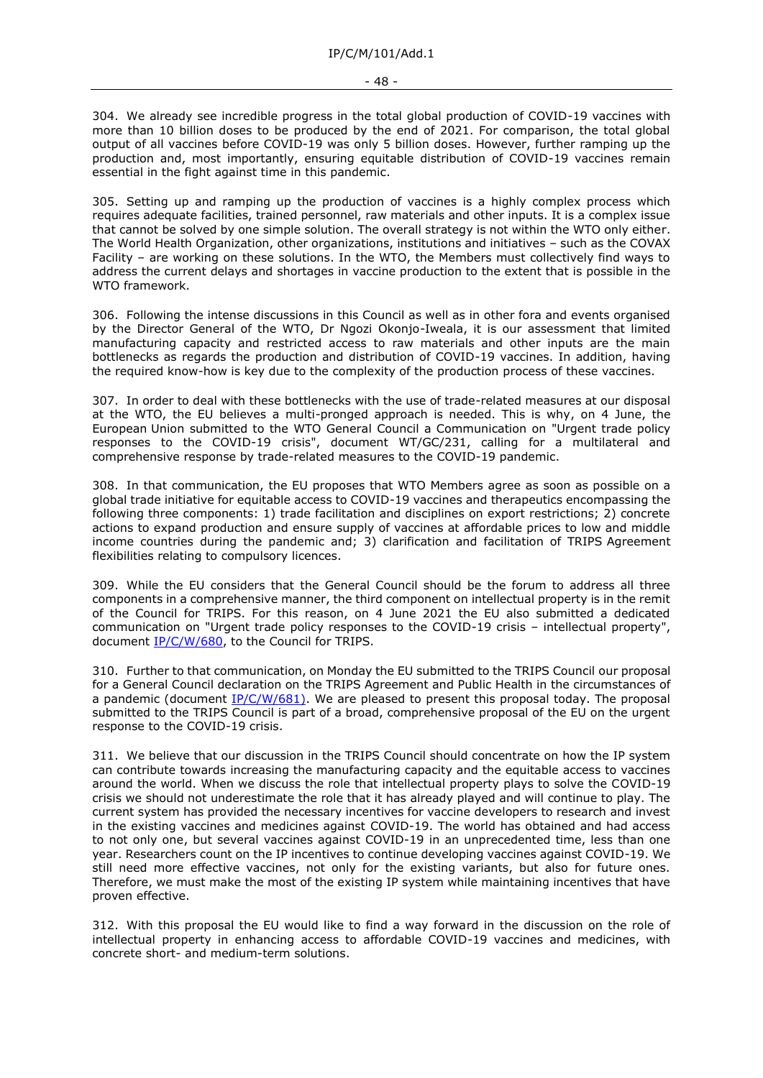304. We already see incredible progress in the total global production of COVID-19 vaccines with more than 10 billion doses to be produced by the end of 2021. For comparison, the total global output of all vaccines before COVID-19 was only 5 billion doses. However, further ramping up the production and, most importantly, ensuring equitable distribution of COVID-19 vaccines remain essential in the fight against time in this pandemic.

305. Setting up and ramping up the production of vaccines is a highly complex process which requires adequate facilities, trained personnel, raw materials and other inputs. It is a complex issue that cannot be solved by one simple solution. The overall strategy is not within the WTO only either. The World Health Organization, other organizations, institutions and initiatives – such as the COVAX Facility – are working on these solutions. In the WTO, the Members must collectively find ways to address the current delays and shortages in vaccine production to the extent that is possible in the WTO framework.

306. Following the intense discussions in this Council as well as in other fora and events organised by the Director General of the WTO, Dr Ngozi Okonjo-Iweala, it is our assessment that limited manufacturing capacity and restricted access to raw materials and other inputs are the main bottlenecks as regards the production and distribution of COVID-19 vaccines. In addition, having the required know-how is key due to the complexity of the production process of these vaccines.

307. In order to deal with these bottlenecks with the use of trade-related measures at our disposal at the WTO, the EU believes a multi-pronged approach is needed. This is why, on 4 June, the European Union submitted to the WTO General Council a Communication on "Urgent trade policy responses to the COVID-19 crisis", document WT/GC/231, calling for a multilateral and comprehensive response by trade-related measures to the COVID-19 pandemic.

308. In that communication, the EU proposes that WTO Members agree as soon as possible on a global trade initiative for equitable access to COVID-19 vaccines and therapeutics encompassing the following three components: 1) trade facilitation and disciplines on export restrictions; 2) concrete actions to expand production and ensure supply of vaccines at affordable prices to low and middle income countries during the pandemic and; 3) clarification and facilitation of TRIPS Agreement flexibilities relating to compulsory licences.

309. While the EU considers that the General Council should be the forum to address all three components in a comprehensive manner, the third component on intellectual property is in the remit of the Council for TRIPS. For this reason, on 4 June 2021 the EU also submitted a dedicated communication on "Urgent trade policy responses to the COVID-19 crisis – intellectual property", document [IP/C/W/680,](https://docs.wto.org/dol2fe/Pages/FE_Search/FE_S_S006.aspx?DataSource=Cat&query=@Symbol=%22IP/C/W/680%22%20OR%20@Symbol=%22IP/C/W/680/*%22&Language=English&Context=ScriptedSearches&languageUIChanged=true) to the Council for TRIPS.

310. Further to that communication, on Monday the EU submitted to the TRIPS Council our proposal for a General Council declaration on the TRIPS Agreement and Public Health in the circumstances of a pandemic (document  $IP/C/W/681$ ). We are pleased to present this proposal today. The proposal submitted to the TRIPS Council is part of a broad, comprehensive proposal of the EU on the urgent response to the COVID-19 crisis.

311. We believe that our discussion in the TRIPS Council should concentrate on how the IP system can contribute towards increasing the manufacturing capacity and the equitable access to vaccines around the world. When we discuss the role that intellectual property plays to solve the COVID-19 crisis we should not underestimate the role that it has already played and will continue to play. The current system has provided the necessary incentives for vaccine developers to research and invest in the existing vaccines and medicines against COVID-19. The world has obtained and had access to not only one, but several vaccines against COVID-19 in an unprecedented time, less than one year. Researchers count on the IP incentives to continue developing vaccines against COVID-19. We still need more effective vaccines, not only for the existing variants, but also for future ones. Therefore, we must make the most of the existing IP system while maintaining incentives that have proven effective.

312. With this proposal the EU would like to find a way forward in the discussion on the role of intellectual property in enhancing access to affordable COVID-19 vaccines and medicines, with concrete short- and medium-term solutions.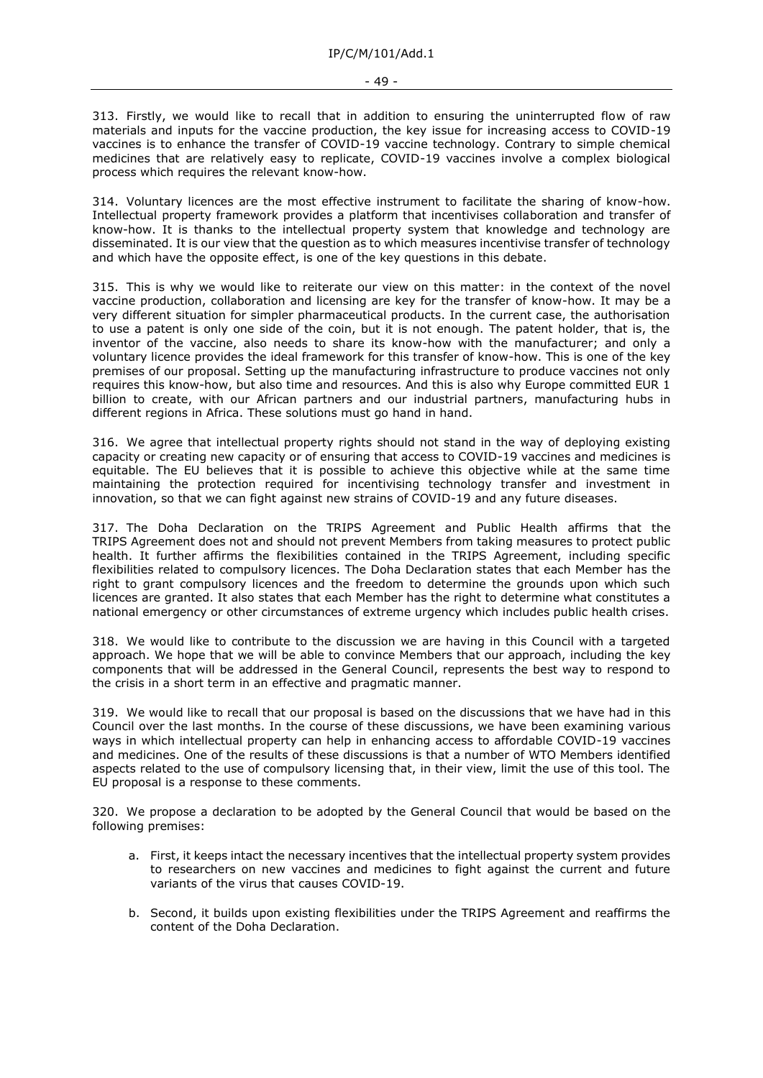313. Firstly, we would like to recall that in addition to ensuring the uninterrupted flow of raw materials and inputs for the vaccine production, the key issue for increasing access to COVID-19 vaccines is to enhance the transfer of COVID-19 vaccine technology. Contrary to simple chemical medicines that are relatively easy to replicate, COVID-19 vaccines involve a complex biological process which requires the relevant know-how.

314. Voluntary licences are the most effective instrument to facilitate the sharing of know-how. Intellectual property framework provides a platform that incentivises collaboration and transfer of know-how. It is thanks to the intellectual property system that knowledge and technology are disseminated. It is our view that the question as to which measures incentivise transfer of technology and which have the opposite effect, is one of the key questions in this debate.

315. This is why we would like to reiterate our view on this matter: in the context of the novel vaccine production, collaboration and licensing are key for the transfer of know-how. It may be a very different situation for simpler pharmaceutical products. In the current case, the authorisation to use a patent is only one side of the coin, but it is not enough. The patent holder, that is, the inventor of the vaccine, also needs to share its know-how with the manufacturer; and only a voluntary licence provides the ideal framework for this transfer of know-how. This is one of the key premises of our proposal. Setting up the manufacturing infrastructure to produce vaccines not only requires this know-how, but also time and resources. And this is also why Europe committed EUR 1 billion to create, with our African partners and our industrial partners, manufacturing hubs in different regions in Africa. These solutions must go hand in hand.

316. We agree that intellectual property rights should not stand in the way of deploying existing capacity or creating new capacity or of ensuring that access to COVID-19 vaccines and medicines is equitable. The EU believes that it is possible to achieve this objective while at the same time maintaining the protection required for incentivising technology transfer and investment in innovation, so that we can fight against new strains of COVID-19 and any future diseases.

317. The Doha Declaration on the TRIPS Agreement and Public Health affirms that the TRIPS Agreement does not and should not prevent Members from taking measures to protect public health. It further affirms the flexibilities contained in the TRIPS Agreement, including specific flexibilities related to compulsory licences. The Doha Declaration states that each Member has the right to grant compulsory licences and the freedom to determine the grounds upon which such licences are granted. It also states that each Member has the right to determine what constitutes a national emergency or other circumstances of extreme urgency which includes public health crises.

318. We would like to contribute to the discussion we are having in this Council with a targeted approach. We hope that we will be able to convince Members that our approach, including the key components that will be addressed in the General Council, represents the best way to respond to the crisis in a short term in an effective and pragmatic manner.

319. We would like to recall that our proposal is based on the discussions that we have had in this Council over the last months. In the course of these discussions, we have been examining various ways in which intellectual property can help in enhancing access to affordable COVID-19 vaccines and medicines. One of the results of these discussions is that a number of WTO Members identified aspects related to the use of compulsory licensing that, in their view, limit the use of this tool. The EU proposal is a response to these comments.

320. We propose a declaration to be adopted by the General Council that would be based on the following premises:

- a. First, it keeps intact the necessary incentives that the intellectual property system provides to researchers on new vaccines and medicines to fight against the current and future variants of the virus that causes COVID-19.
- b. Second, it builds upon existing flexibilities under the TRIPS Agreement and reaffirms the content of the Doha Declaration.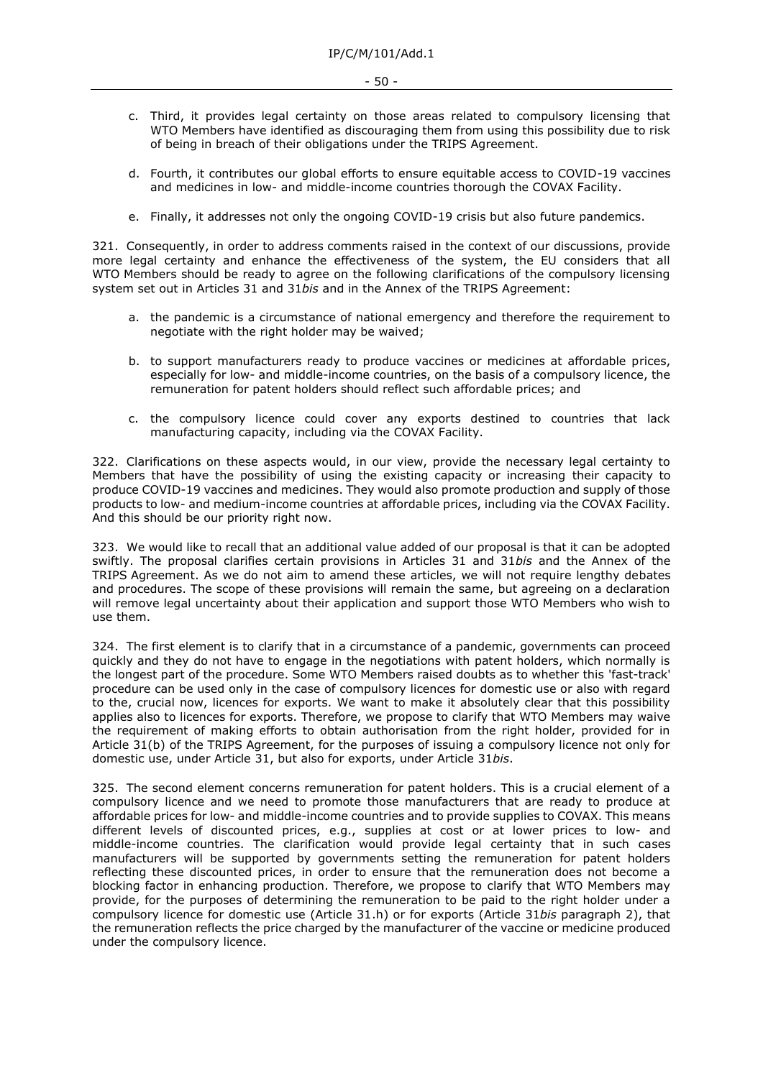- c. Third, it provides legal certainty on those areas related to compulsory licensing that WTO Members have identified as discouraging them from using this possibility due to risk of being in breach of their obligations under the TRIPS Agreement.
- d. Fourth, it contributes our global efforts to ensure equitable access to COVID-19 vaccines and medicines in low- and middle-income countries thorough the COVAX Facility.
- e. Finally, it addresses not only the ongoing COVID-19 crisis but also future pandemics.

321. Consequently, in order to address comments raised in the context of our discussions, provide more legal certainty and enhance the effectiveness of the system, the EU considers that all WTO Members should be ready to agree on the following clarifications of the compulsory licensing system set out in Articles 31 and 31*bis* and in the Annex of the TRIPS Agreement:

- a. the pandemic is a circumstance of national emergency and therefore the requirement to negotiate with the right holder may be waived;
- b. to support manufacturers ready to produce vaccines or medicines at affordable prices, especially for low- and middle-income countries, on the basis of a compulsory licence, the remuneration for patent holders should reflect such affordable prices; and
- c. the compulsory licence could cover any exports destined to countries that lack manufacturing capacity, including via the COVAX Facility.

322. Clarifications on these aspects would, in our view, provide the necessary legal certainty to Members that have the possibility of using the existing capacity or increasing their capacity to produce COVID-19 vaccines and medicines. They would also promote production and supply of those products to low- and medium-income countries at affordable prices, including via the COVAX Facility. And this should be our priority right now.

323. We would like to recall that an additional value added of our proposal is that it can be adopted swiftly. The proposal clarifies certain provisions in Articles 31 and 31*bis* and the Annex of the TRIPS Agreement. As we do not aim to amend these articles, we will not require lengthy debates and procedures. The scope of these provisions will remain the same, but agreeing on a declaration will remove legal uncertainty about their application and support those WTO Members who wish to use them.

324. The first element is to clarify that in a circumstance of a pandemic, governments can proceed quickly and they do not have to engage in the negotiations with patent holders, which normally is the longest part of the procedure. Some WTO Members raised doubts as to whether this 'fast-track' procedure can be used only in the case of compulsory licences for domestic use or also with regard to the, crucial now, licences for exports. We want to make it absolutely clear that this possibility applies also to licences for exports. Therefore, we propose to clarify that WTO Members may waive the requirement of making efforts to obtain authorisation from the right holder, provided for in Article 31(b) of the TRIPS Agreement, for the purposes of issuing a compulsory licence not only for domestic use, under Article 31, but also for exports, under Article 31*bis*.

325. The second element concerns remuneration for patent holders. This is a crucial element of a compulsory licence and we need to promote those manufacturers that are ready to produce at affordable prices for low- and middle-income countries and to provide supplies to COVAX. This means different levels of discounted prices, e.g., supplies at cost or at lower prices to low- and middle-income countries. The clarification would provide legal certainty that in such cases manufacturers will be supported by governments setting the remuneration for patent holders reflecting these discounted prices, in order to ensure that the remuneration does not become a blocking factor in enhancing production. Therefore, we propose to clarify that WTO Members may provide, for the purposes of determining the remuneration to be paid to the right holder under a compulsory licence for domestic use (Article 31.h) or for exports (Article 31*bis* paragraph 2), that the remuneration reflects the price charged by the manufacturer of the vaccine or medicine produced under the compulsory licence.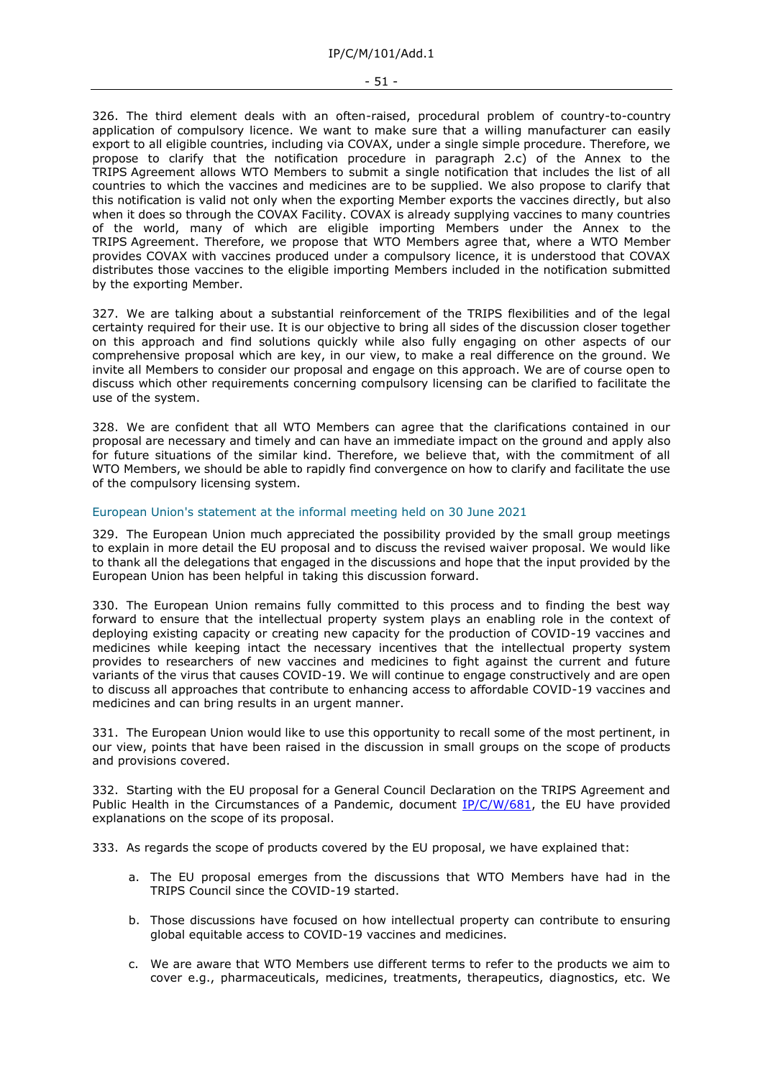#### - 51 -

326. The third element deals with an often-raised, procedural problem of country-to-country application of compulsory licence. We want to make sure that a willing manufacturer can easily export to all eligible countries, including via COVAX, under a single simple procedure. Therefore, we propose to clarify that the notification procedure in paragraph 2.c) of the Annex to the TRIPS Agreement allows WTO Members to submit a single notification that includes the list of all countries to which the vaccines and medicines are to be supplied. We also propose to clarify that this notification is valid not only when the exporting Member exports the vaccines directly, but also when it does so through the COVAX Facility. COVAX is already supplying vaccines to many countries of the world, many of which are eligible importing Members under the Annex to the TRIPS Agreement. Therefore, we propose that WTO Members agree that, where a WTO Member provides COVAX with vaccines produced under a compulsory licence, it is understood that COVAX distributes those vaccines to the eligible importing Members included in the notification submitted by the exporting Member.

327. We are talking about a substantial reinforcement of the TRIPS flexibilities and of the legal certainty required for their use. It is our objective to bring all sides of the discussion closer together on this approach and find solutions quickly while also fully engaging on other aspects of our comprehensive proposal which are key, in our view, to make a real difference on the ground. We invite all Members to consider our proposal and engage on this approach. We are of course open to discuss which other requirements concerning compulsory licensing can be clarified to facilitate the use of the system.

328. We are confident that all WTO Members can agree that the clarifications contained in our proposal are necessary and timely and can have an immediate impact on the ground and apply also for future situations of the similar kind. Therefore, we believe that, with the commitment of all WTO Members, we should be able to rapidly find convergence on how to clarify and facilitate the use of the compulsory licensing system.

# European Union's statement at the informal meeting held on 30 June 2021

329. The European Union much appreciated the possibility provided by the small group meetings to explain in more detail the EU proposal and to discuss the revised waiver proposal. We would like to thank all the delegations that engaged in the discussions and hope that the input provided by the European Union has been helpful in taking this discussion forward.

330. The European Union remains fully committed to this process and to finding the best way forward to ensure that the intellectual property system plays an enabling role in the context of deploying existing capacity or creating new capacity for the production of COVID-19 vaccines and medicines while keeping intact the necessary incentives that the intellectual property system provides to researchers of new vaccines and medicines to fight against the current and future variants of the virus that causes COVID-19. We will continue to engage constructively and are open to discuss all approaches that contribute to enhancing access to affordable COVID-19 vaccines and medicines and can bring results in an urgent manner.

331. The European Union would like to use this opportunity to recall some of the most pertinent, in our view, points that have been raised in the discussion in small groups on the scope of products and provisions covered.

332. Starting with the EU proposal for a General Council Declaration on the TRIPS Agreement and Public Health in the Circumstances of a Pandemic, document [IP/C/W/681,](https://docs.wto.org/dol2fe/Pages/FE_Search/FE_S_S006.aspx?DataSource=Cat&query=@Symbol=%22IP/C/W/681%22%20OR%20@Symbol=%22IP/C/W/681/*%22&Language=English&Context=ScriptedSearches&languageUIChanged=true) the EU have provided explanations on the scope of its proposal.

333. As regards the scope of products covered by the EU proposal, we have explained that:

- a. The EU proposal emerges from the discussions that WTO Members have had in the TRIPS Council since the COVID-19 started.
- b. Those discussions have focused on how intellectual property can contribute to ensuring global equitable access to COVID-19 vaccines and medicines.
- c. We are aware that WTO Members use different terms to refer to the products we aim to cover e.g., pharmaceuticals, medicines, treatments, therapeutics, diagnostics, etc. We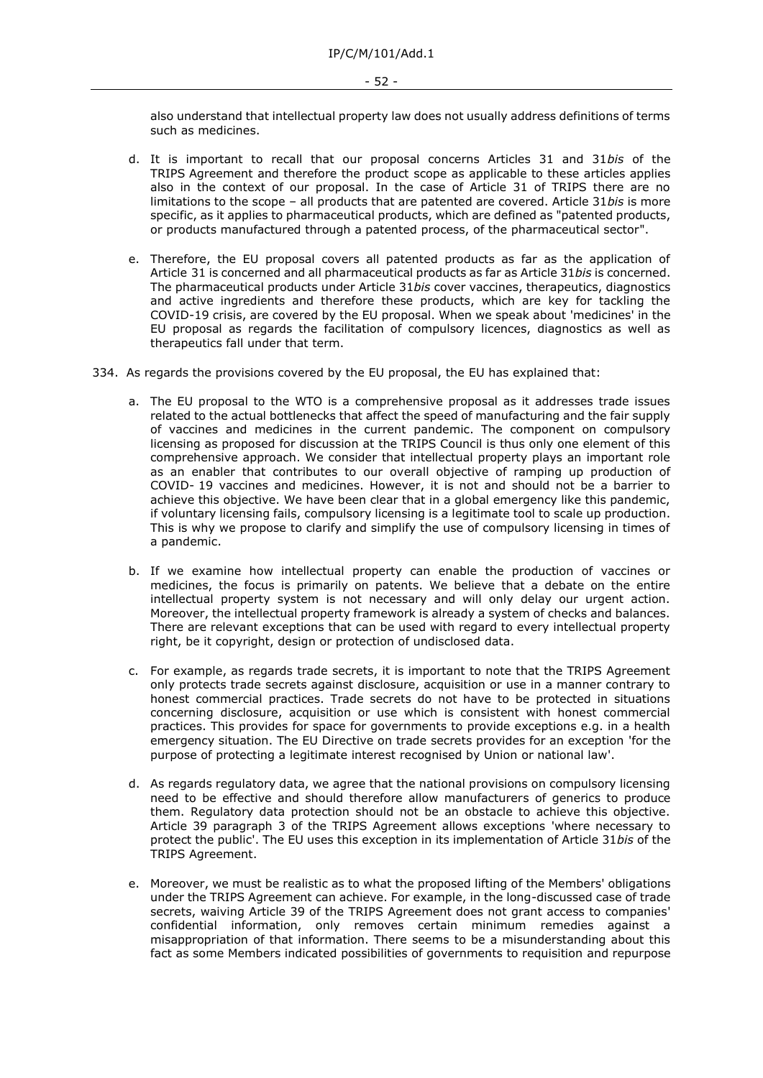also understand that intellectual property law does not usually address definitions of terms such as medicines.

- d. It is important to recall that our proposal concerns Articles 31 and 31*bis* of the TRIPS Agreement and therefore the product scope as applicable to these articles applies also in the context of our proposal. In the case of Article 31 of TRIPS there are no limitations to the scope – all products that are patented are covered. Article 31*bis* is more specific, as it applies to pharmaceutical products, which are defined as "patented products, or products manufactured through a patented process, of the pharmaceutical sector".
- e. Therefore, the EU proposal covers all patented products as far as the application of Article 31 is concerned and all pharmaceutical products as far as Article 31*bis* is concerned. The pharmaceutical products under Article 31*bis* cover vaccines, therapeutics, diagnostics and active ingredients and therefore these products, which are key for tackling the COVID-19 crisis, are covered by the EU proposal. When we speak about 'medicines' in the EU proposal as regards the facilitation of compulsory licences, diagnostics as well as therapeutics fall under that term.
- 334. As regards the provisions covered by the EU proposal, the EU has explained that:
	- a. The EU proposal to the WTO is a comprehensive proposal as it addresses trade issues related to the actual bottlenecks that affect the speed of manufacturing and the fair supply of vaccines and medicines in the current pandemic. The component on compulsory licensing as proposed for discussion at the TRIPS Council is thus only one element of this comprehensive approach. We consider that intellectual property plays an important role as an enabler that contributes to our overall objective of ramping up production of COVID- 19 vaccines and medicines. However, it is not and should not be a barrier to achieve this objective. We have been clear that in a global emergency like this pandemic, if voluntary licensing fails, compulsory licensing is a legitimate tool to scale up production. This is why we propose to clarify and simplify the use of compulsory licensing in times of a pandemic.
	- b. If we examine how intellectual property can enable the production of vaccines or medicines, the focus is primarily on patents. We believe that a debate on the entire intellectual property system is not necessary and will only delay our urgent action. Moreover, the intellectual property framework is already a system of checks and balances. There are relevant exceptions that can be used with regard to every intellectual property right, be it copyright, design or protection of undisclosed data.
	- c. For example, as regards trade secrets, it is important to note that the TRIPS Agreement only protects trade secrets against disclosure, acquisition or use in a manner contrary to honest commercial practices. Trade secrets do not have to be protected in situations concerning disclosure, acquisition or use which is consistent with honest commercial practices. This provides for space for governments to provide exceptions e.g. in a health emergency situation. The EU Directive on trade secrets provides for an exception 'for the purpose of protecting a legitimate interest recognised by Union or national law'.
	- d. As regards regulatory data, we agree that the national provisions on compulsory licensing need to be effective and should therefore allow manufacturers of generics to produce them. Regulatory data protection should not be an obstacle to achieve this objective. Article 39 paragraph 3 of the TRIPS Agreement allows exceptions 'where necessary to protect the public'. The EU uses this exception in its implementation of Article 31*bis* of the TRIPS Agreement.
	- e. Moreover, we must be realistic as to what the proposed lifting of the Members' obligations under the TRIPS Agreement can achieve. For example, in the long-discussed case of trade secrets, waiving Article 39 of the TRIPS Agreement does not grant access to companies' confidential information, only removes certain minimum remedies against a misappropriation of that information. There seems to be a misunderstanding about this fact as some Members indicated possibilities of governments to requisition and repurpose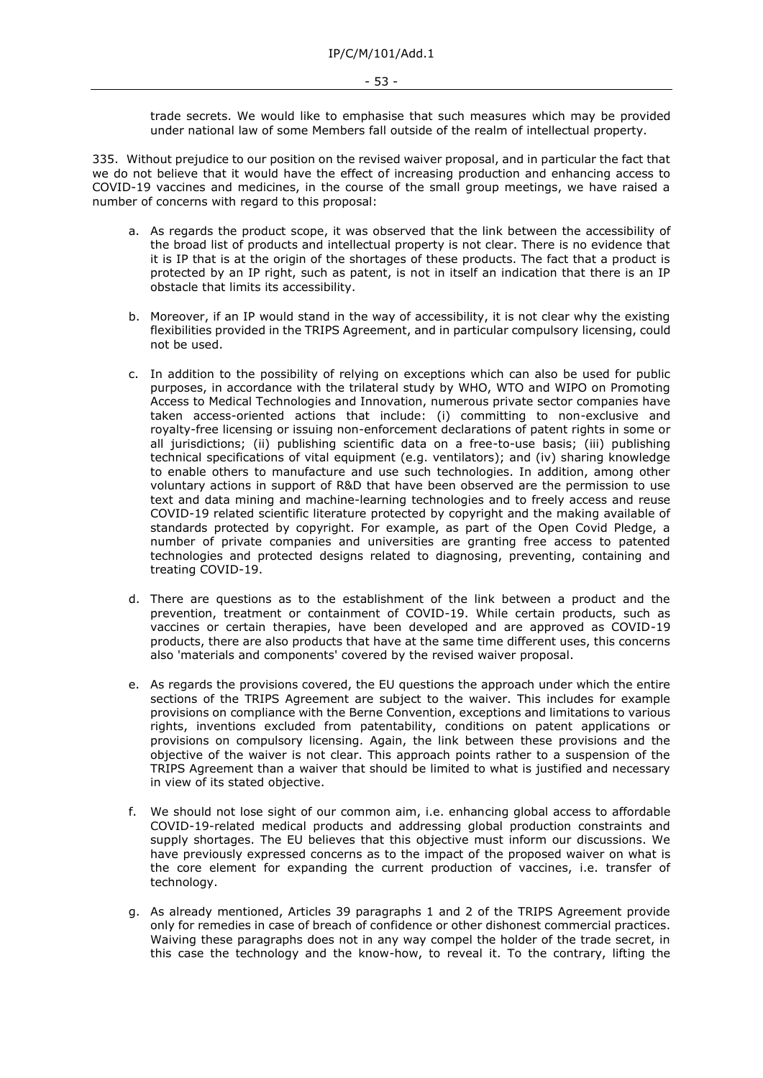trade secrets. We would like to emphasise that such measures which may be provided under national law of some Members fall outside of the realm of intellectual property.

335. Without prejudice to our position on the revised waiver proposal, and in particular the fact that we do not believe that it would have the effect of increasing production and enhancing access to COVID-19 vaccines and medicines, in the course of the small group meetings, we have raised a number of concerns with regard to this proposal:

- a. As regards the product scope, it was observed that the link between the accessibility of the broad list of products and intellectual property is not clear. There is no evidence that it is IP that is at the origin of the shortages of these products. The fact that a product is protected by an IP right, such as patent, is not in itself an indication that there is an IP obstacle that limits its accessibility.
- b. Moreover, if an IP would stand in the way of accessibility, it is not clear why the existing flexibilities provided in the TRIPS Agreement, and in particular compulsory licensing, could not be used.
- c. In addition to the possibility of relying on exceptions which can also be used for public purposes, in accordance with the trilateral study by WHO, WTO and WIPO on Promoting Access to Medical Technologies and Innovation, numerous private sector companies have taken access-oriented actions that include: (i) committing to non-exclusive and royalty-free licensing or issuing non-enforcement declarations of patent rights in some or all jurisdictions; (ii) publishing scientific data on a free-to-use basis; (iii) publishing technical specifications of vital equipment (e.g. ventilators); and (iv) sharing knowledge to enable others to manufacture and use such technologies. In addition, among other voluntary actions in support of R&D that have been observed are the permission to use text and data mining and machine-learning technologies and to freely access and reuse COVID-19 related scientific literature protected by copyright and the making available of standards protected by copyright. For example, as part of the Open Covid Pledge, a number of private companies and universities are granting free access to patented technologies and protected designs related to diagnosing, preventing, containing and treating COVID-19.
- d. There are questions as to the establishment of the link between a product and the prevention, treatment or containment of COVID-19. While certain products, such as vaccines or certain therapies, have been developed and are approved as COVID-19 products, there are also products that have at the same time different uses, this concerns also 'materials and components' covered by the revised waiver proposal.
- e. As regards the provisions covered, the EU questions the approach under which the entire sections of the TRIPS Agreement are subject to the waiver. This includes for example provisions on compliance with the Berne Convention, exceptions and limitations to various rights, inventions excluded from patentability, conditions on patent applications or provisions on compulsory licensing. Again, the link between these provisions and the objective of the waiver is not clear. This approach points rather to a suspension of the TRIPS Agreement than a waiver that should be limited to what is justified and necessary in view of its stated objective.
- f. We should not lose sight of our common aim, i.e. enhancing global access to affordable COVID-19-related medical products and addressing global production constraints and supply shortages. The EU believes that this objective must inform our discussions. We have previously expressed concerns as to the impact of the proposed waiver on what is the core element for expanding the current production of vaccines, i.e. transfer of technology.
- g. As already mentioned, Articles 39 paragraphs 1 and 2 of the TRIPS Agreement provide only for remedies in case of breach of confidence or other dishonest commercial practices. Waiving these paragraphs does not in any way compel the holder of the trade secret, in this case the technology and the know-how, to reveal it. To the contrary, lifting the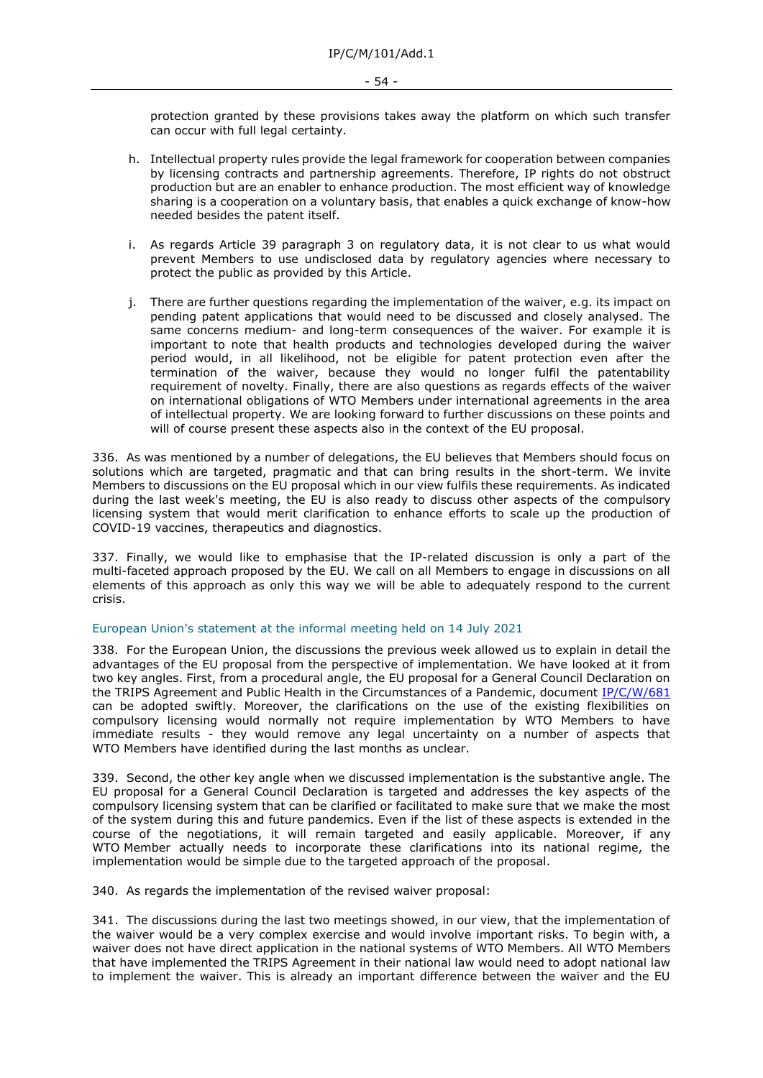#### - 54 -

protection granted by these provisions takes away the platform on which such transfer can occur with full legal certainty.

- h. Intellectual property rules provide the legal framework for cooperation between companies by licensing contracts and partnership agreements. Therefore, IP rights do not obstruct production but are an enabler to enhance production. The most efficient way of knowledge sharing is a cooperation on a voluntary basis, that enables a quick exchange of know-how needed besides the patent itself.
- i. As regards Article 39 paragraph 3 on regulatory data, it is not clear to us what would prevent Members to use undisclosed data by regulatory agencies where necessary to protect the public as provided by this Article.
- j. There are further questions regarding the implementation of the waiver, e.g. its impact on pending patent applications that would need to be discussed and closely analysed. The same concerns medium- and long-term consequences of the waiver. For example it is important to note that health products and technologies developed during the waiver period would, in all likelihood, not be eligible for patent protection even after the termination of the waiver, because they would no longer fulfil the patentability requirement of novelty. Finally, there are also questions as regards effects of the waiver on international obligations of WTO Members under international agreements in the area of intellectual property. We are looking forward to further discussions on these points and will of course present these aspects also in the context of the EU proposal.

336. As was mentioned by a number of delegations, the EU believes that Members should focus on solutions which are targeted, pragmatic and that can bring results in the short-term. We invite Members to discussions on the EU proposal which in our view fulfils these requirements. As indicated during the last week's meeting, the EU is also ready to discuss other aspects of the compulsory licensing system that would merit clarification to enhance efforts to scale up the production of COVID-19 vaccines, therapeutics and diagnostics.

337. Finally, we would like to emphasise that the IP-related discussion is only a part of the multi-faceted approach proposed by the EU. We call on all Members to engage in discussions on all elements of this approach as only this way we will be able to adequately respond to the current crisis.

#### European Union's statement at the informal meeting held on 14 July 2021

338. For the European Union, the discussions the previous week allowed us to explain in detail the advantages of the EU proposal from the perspective of implementation. We have looked at it from two key angles. First, from a procedural angle, the EU proposal for a General Council Declaration on the TRIPS Agreement and Public Health in the Circumstances of a Pandemic, document [IP/C/W/681](https://docs.wto.org/dol2fe/Pages/FE_Search/FE_S_S006.aspx?DataSource=Cat&query=@Symbol=%22IP/C/W/681%22%20OR%20@Symbol=%22IP/C/W/681/*%22&Language=English&Context=ScriptedSearches&languageUIChanged=true) can be adopted swiftly. Moreover, the clarifications on the use of the existing flexibilities on compulsory licensing would normally not require implementation by WTO Members to have immediate results - they would remove any legal uncertainty on a number of aspects that WTO Members have identified during the last months as unclear.

339. Second, the other key angle when we discussed implementation is the substantive angle. The EU proposal for a General Council Declaration is targeted and addresses the key aspects of the compulsory licensing system that can be clarified or facilitated to make sure that we make the most of the system during this and future pandemics. Even if the list of these aspects is extended in the course of the negotiations, it will remain targeted and easily applicable. Moreover, if any WTO Member actually needs to incorporate these clarifications into its national regime, the implementation would be simple due to the targeted approach of the proposal.

340. As regards the implementation of the revised waiver proposal:

341. The discussions during the last two meetings showed, in our view, that the implementation of the waiver would be a very complex exercise and would involve important risks. To begin with, a waiver does not have direct application in the national systems of WTO Members. All WTO Members that have implemented the TRIPS Agreement in their national law would need to adopt national law to implement the waiver. This is already an important difference between the waiver and the EU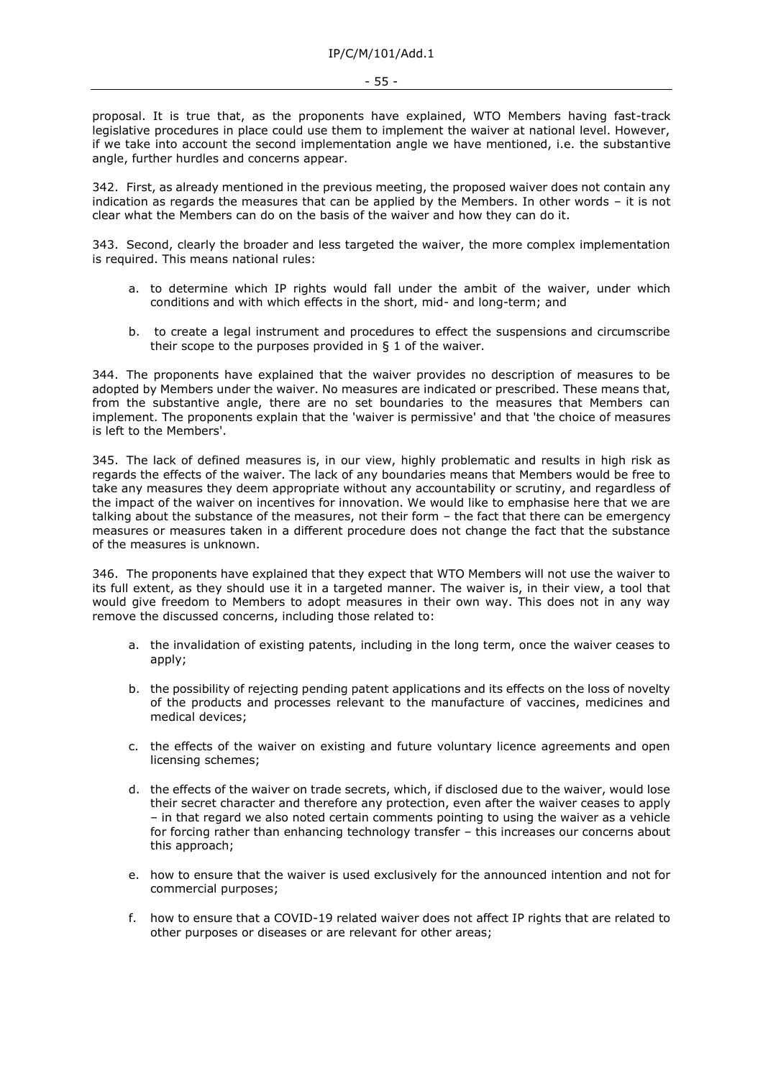proposal. It is true that, as the proponents have explained, WTO Members having fast-track legislative procedures in place could use them to implement the waiver at national level. However, if we take into account the second implementation angle we have mentioned, i.e. the substantive angle, further hurdles and concerns appear.

342. First, as already mentioned in the previous meeting, the proposed waiver does not contain any indication as regards the measures that can be applied by the Members. In other words – it is not clear what the Members can do on the basis of the waiver and how they can do it.

343. Second, clearly the broader and less targeted the waiver, the more complex implementation is required. This means national rules:

- a. to determine which IP rights would fall under the ambit of the waiver, under which conditions and with which effects in the short, mid- and long-term; and
- b. to create a legal instrument and procedures to effect the suspensions and circumscribe their scope to the purposes provided in  $\S$  1 of the waiver.

344. The proponents have explained that the waiver provides no description of measures to be adopted by Members under the waiver. No measures are indicated or prescribed. These means that, from the substantive angle, there are no set boundaries to the measures that Members can implement. The proponents explain that the 'waiver is permissive' and that 'the choice of measures is left to the Members'.

345. The lack of defined measures is, in our view, highly problematic and results in high risk as regards the effects of the waiver. The lack of any boundaries means that Members would be free to take any measures they deem appropriate without any accountability or scrutiny, and regardless of the impact of the waiver on incentives for innovation. We would like to emphasise here that we are talking about the substance of the measures, not their form – the fact that there can be emergency measures or measures taken in a different procedure does not change the fact that the substance of the measures is unknown.

346. The proponents have explained that they expect that WTO Members will not use the waiver to its full extent, as they should use it in a targeted manner. The waiver is, in their view, a tool that would give freedom to Members to adopt measures in their own way. This does not in any way remove the discussed concerns, including those related to:

- a. the invalidation of existing patents, including in the long term, once the waiver ceases to apply;
- b. the possibility of rejecting pending patent applications and its effects on the loss of novelty of the products and processes relevant to the manufacture of vaccines, medicines and medical devices;
- c. the effects of the waiver on existing and future voluntary licence agreements and open licensing schemes;
- d. the effects of the waiver on trade secrets, which, if disclosed due to the waiver, would lose their secret character and therefore any protection, even after the waiver ceases to apply – in that regard we also noted certain comments pointing to using the waiver as a vehicle for forcing rather than enhancing technology transfer – this increases our concerns about this approach;
- e. how to ensure that the waiver is used exclusively for the announced intention and not for commercial purposes;
- f. how to ensure that a COVID-19 related waiver does not affect IP rights that are related to other purposes or diseases or are relevant for other areas;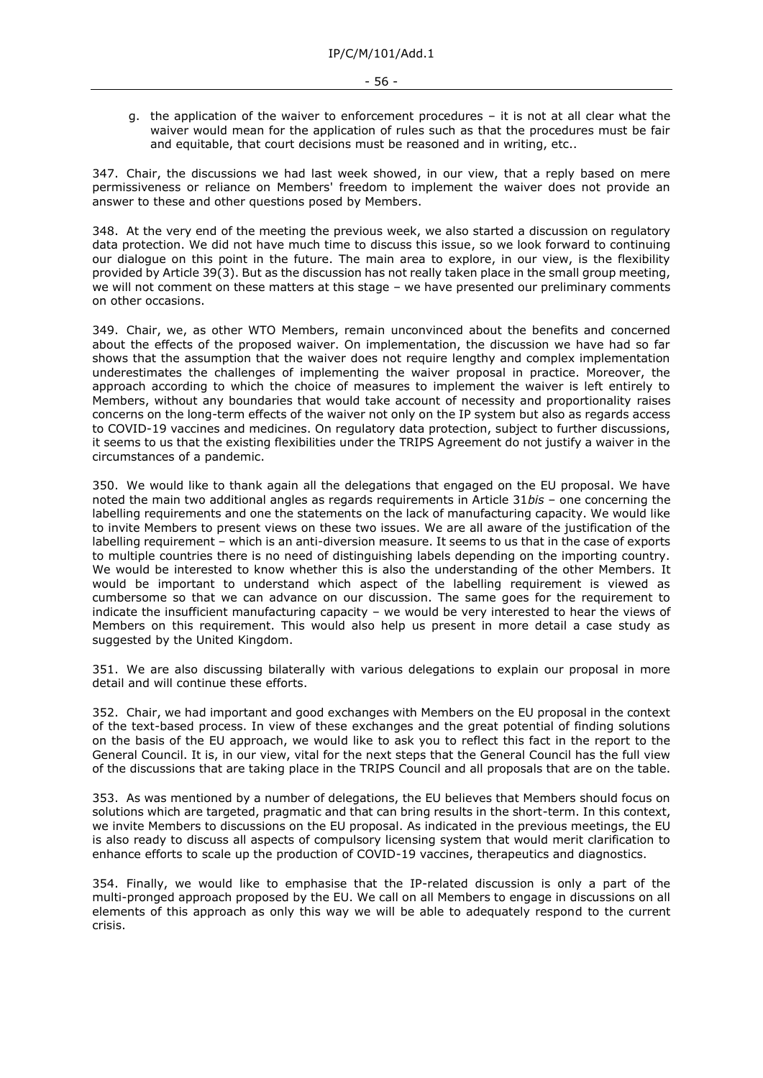g. the application of the waiver to enforcement procedures – it is not at all clear what the waiver would mean for the application of rules such as that the procedures must be fair and equitable, that court decisions must be reasoned and in writing, etc..

347. Chair, the discussions we had last week showed, in our view, that a reply based on mere permissiveness or reliance on Members' freedom to implement the waiver does not provide an answer to these and other questions posed by Members.

348. At the very end of the meeting the previous week, we also started a discussion on regulatory data protection. We did not have much time to discuss this issue, so we look forward to continuing our dialogue on this point in the future. The main area to explore, in our view, is the flexibility provided by Article 39(3). But as the discussion has not really taken place in the small group meeting, we will not comment on these matters at this stage – we have presented our preliminary comments on other occasions.

349. Chair, we, as other WTO Members, remain unconvinced about the benefits and concerned about the effects of the proposed waiver. On implementation, the discussion we have had so far shows that the assumption that the waiver does not require lengthy and complex implementation underestimates the challenges of implementing the waiver proposal in practice. Moreover, the approach according to which the choice of measures to implement the waiver is left entirely to Members, without any boundaries that would take account of necessity and proportionality raises concerns on the long-term effects of the waiver not only on the IP system but also as regards access to COVID-19 vaccines and medicines. On regulatory data protection, subject to further discussions, it seems to us that the existing flexibilities under the TRIPS Agreement do not justify a waiver in the circumstances of a pandemic.

350. We would like to thank again all the delegations that engaged on the EU proposal. We have noted the main two additional angles as regards requirements in Article 31*bis* – one concerning the labelling requirements and one the statements on the lack of manufacturing capacity. We would like to invite Members to present views on these two issues. We are all aware of the justification of the labelling requirement – which is an anti-diversion measure. It seems to us that in the case of exports to multiple countries there is no need of distinguishing labels depending on the importing country. We would be interested to know whether this is also the understanding of the other Members. It would be important to understand which aspect of the labelling requirement is viewed as cumbersome so that we can advance on our discussion. The same goes for the requirement to indicate the insufficient manufacturing capacity – we would be very interested to hear the views of Members on this requirement. This would also help us present in more detail a case study as suggested by the United Kingdom.

351. We are also discussing bilaterally with various delegations to explain our proposal in more detail and will continue these efforts.

352. Chair, we had important and good exchanges with Members on the EU proposal in the context of the text-based process. In view of these exchanges and the great potential of finding solutions on the basis of the EU approach, we would like to ask you to reflect this fact in the report to the General Council. It is, in our view, vital for the next steps that the General Council has the full view of the discussions that are taking place in the TRIPS Council and all proposals that are on the table.

353. As was mentioned by a number of delegations, the EU believes that Members should focus on solutions which are targeted, pragmatic and that can bring results in the short-term. In this context, we invite Members to discussions on the EU proposal. As indicated in the previous meetings, the EU is also ready to discuss all aspects of compulsory licensing system that would merit clarification to enhance efforts to scale up the production of COVID-19 vaccines, therapeutics and diagnostics.

354. Finally, we would like to emphasise that the IP-related discussion is only a part of the multi-pronged approach proposed by the EU. We call on all Members to engage in discussions on all elements of this approach as only this way we will be able to adequately respond to the current crisis.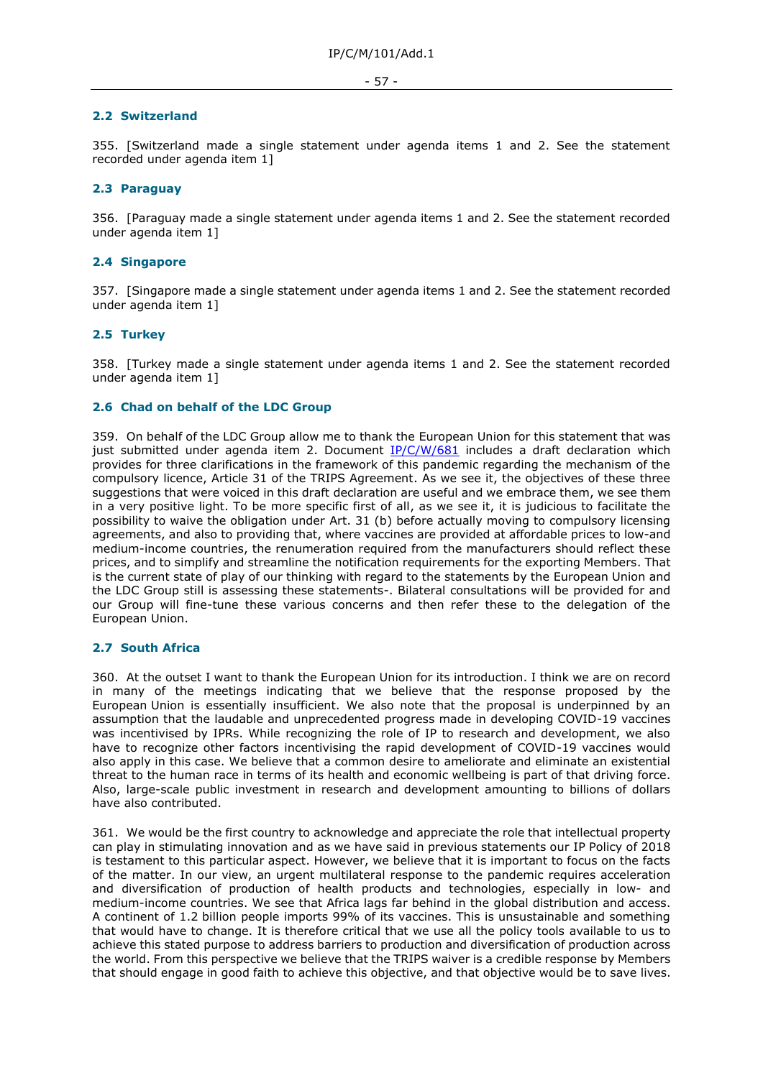# **2.2 Switzerland**

355. [Switzerland made a single statement under agenda items 1 and 2. See the statement recorded under agenda item 1]

### **2.3 Paraguay**

356. [Paraguay made a single statement under agenda items 1 and 2. See the statement recorded under agenda item 1]

# **2.4 Singapore**

357. [Singapore made a single statement under agenda items 1 and 2. See the statement recorded under agenda item 1]

# **2.5 Turkey**

358. [Turkey made a single statement under agenda items 1 and 2. See the statement recorded under agenda item 1]

### **2.6 Chad on behalf of the LDC Group**

359. On behalf of the LDC Group allow me to thank the European Union for this statement that was just submitted under agenda item 2. Document  $IP/C/W/681$  includes a draft declaration which provides for three clarifications in the framework of this pandemic regarding the mechanism of the compulsory licence, Article 31 of the TRIPS Agreement. As we see it, the objectives of these three suggestions that were voiced in this draft declaration are useful and we embrace them, we see them in a very positive light. To be more specific first of all, as we see it, it is judicious to facilitate the possibility to waive the obligation under Art. 31 (b) before actually moving to compulsory licensing agreements, and also to providing that, where vaccines are provided at affordable prices to low-and medium-income countries, the renumeration required from the manufacturers should reflect these prices, and to simplify and streamline the notification requirements for the exporting Members. That is the current state of play of our thinking with regard to the statements by the European Union and the LDC Group still is assessing these statements-. Bilateral consultations will be provided for and our Group will fine-tune these various concerns and then refer these to the delegation of the European Union.

# **2.7 South Africa**

360. At the outset I want to thank the European Union for its introduction. I think we are on record in many of the meetings indicating that we believe that the response proposed by the European Union is essentially insufficient. We also note that the proposal is underpinned by an assumption that the laudable and unprecedented progress made in developing COVID-19 vaccines was incentivised by IPRs. While recognizing the role of IP to research and development, we also have to recognize other factors incentivising the rapid development of COVID-19 vaccines would also apply in this case. We believe that a common desire to ameliorate and eliminate an existential threat to the human race in terms of its health and economic wellbeing is part of that driving force. Also, large-scale public investment in research and development amounting to billions of dollars have also contributed.

361. We would be the first country to acknowledge and appreciate the role that intellectual property can play in stimulating innovation and as we have said in previous statements our IP Policy of 2018 is testament to this particular aspect. However, we believe that it is important to focus on the facts of the matter. In our view, an urgent multilateral response to the pandemic requires acceleration and diversification of production of health products and technologies, especially in low- and medium-income countries. We see that Africa lags far behind in the global distribution and access. A continent of 1.2 billion people imports 99% of its vaccines. This is unsustainable and something that would have to change. It is therefore critical that we use all the policy tools available to us to achieve this stated purpose to address barriers to production and diversification of production across the world. From this perspective we believe that the TRIPS waiver is a credible response by Members that should engage in good faith to achieve this objective, and that objective would be to save lives.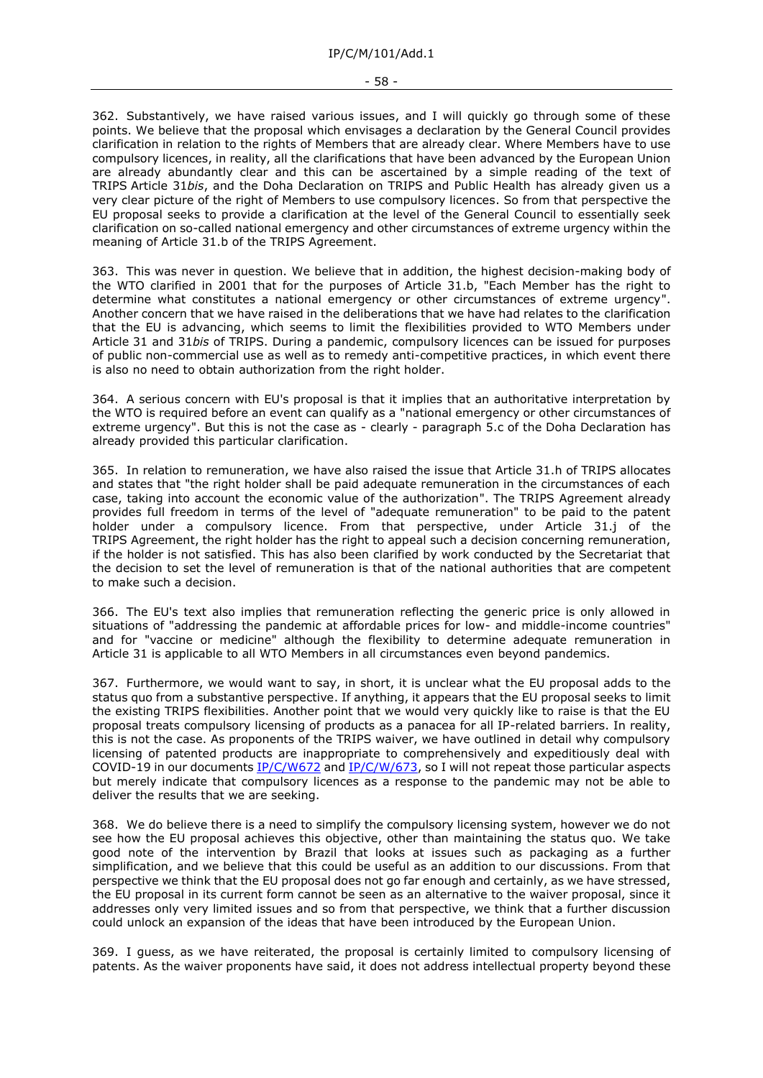362. Substantively, we have raised various issues, and I will quickly go through some of these points. We believe that the proposal which envisages a declaration by the General Council provides clarification in relation to the rights of Members that are already clear. Where Members have to use compulsory licences, in reality, all the clarifications that have been advanced by the European Union are already abundantly clear and this can be ascertained by a simple reading of the text of TRIPS Article 31*bis*, and the Doha Declaration on TRIPS and Public Health has already given us a very clear picture of the right of Members to use compulsory licences. So from that perspective the EU proposal seeks to provide a clarification at the level of the General Council to essentially seek clarification on so-called national emergency and other circumstances of extreme urgency within the meaning of Article 31.b of the TRIPS Agreement.

363. This was never in question. We believe that in addition, the highest decision-making body of the WTO clarified in 2001 that for the purposes of Article 31.b, "Each Member has the right to determine what constitutes a national emergency or other circumstances of extreme urgency". Another concern that we have raised in the deliberations that we have had relates to the clarification that the EU is advancing, which seems to limit the flexibilities provided to WTO Members under Article 31 and 31*bis* of TRIPS. During a pandemic, compulsory licences can be issued for purposes of public non-commercial use as well as to remedy anti-competitive practices, in which event there is also no need to obtain authorization from the right holder.

364. A serious concern with EU's proposal is that it implies that an authoritative interpretation by the WTO is required before an event can qualify as a "national emergency or other circumstances of extreme urgency". But this is not the case as - clearly - paragraph 5.c of the Doha Declaration has already provided this particular clarification.

365. In relation to remuneration, we have also raised the issue that Article 31.h of TRIPS allocates and states that "the right holder shall be paid adequate remuneration in the circumstances of each case, taking into account the economic value of the authorization". The TRIPS Agreement already provides full freedom in terms of the level of "adequate remuneration" to be paid to the patent holder under a compulsory licence. From that perspective, under Article 31.j of the TRIPS Agreement, the right holder has the right to appeal such a decision concerning remuneration, if the holder is not satisfied. This has also been clarified by work conducted by the Secretariat that the decision to set the level of remuneration is that of the national authorities that are competent to make such a decision.

366. The EU's text also implies that remuneration reflecting the generic price is only allowed in situations of "addressing the pandemic at affordable prices for low- and middle-income countries" and for "vaccine or medicine" although the flexibility to determine adequate remuneration in Article 31 is applicable to all WTO Members in all circumstances even beyond pandemics.

367. Furthermore, we would want to say, in short, it is unclear what the EU proposal adds to the status quo from a substantive perspective. If anything, it appears that the EU proposal seeks to limit the existing TRIPS flexibilities. Another point that we would very quickly like to raise is that the EU proposal treats compulsory licensing of products as a panacea for all IP-related barriers. In reality, this is not the case. As proponents of the TRIPS waiver, we have outlined in detail why compulsory licensing of patented products are inappropriate to comprehensively and expeditiously deal with COVID-19 in our documents [IP/C/W672](https://docs.wto.org/dol2fe/Pages/FE_Search/FE_S_S006.aspx?DataSource=Cat&query=@Symbol=%22IP/C/W672%22%20OR%20@Symbol=%22IP/C/W672/*%22&Language=English&Context=ScriptedSearches&languageUIChanged=true) and [IP/C/W/673,](https://docs.wto.org/dol2fe/Pages/FE_Search/FE_S_S006.aspx?DataSource=Cat&query=@Symbol=%22IP/C/W/673%22%20OR%20@Symbol=%22IP/C/W/673/*%22&Language=English&Context=ScriptedSearches&languageUIChanged=true) so I will not repeat those particular aspects but merely indicate that compulsory licences as a response to the pandemic may not be able to deliver the results that we are seeking.

368. We do believe there is a need to simplify the compulsory licensing system, however we do not see how the EU proposal achieves this objective, other than maintaining the status quo. We take good note of the intervention by Brazil that looks at issues such as packaging as a further simplification, and we believe that this could be useful as an addition to our discussions. From that perspective we think that the EU proposal does not go far enough and certainly, as we have stressed, the EU proposal in its current form cannot be seen as an alternative to the waiver proposal, since it addresses only very limited issues and so from that perspective, we think that a further discussion could unlock an expansion of the ideas that have been introduced by the European Union.

369. I guess, as we have reiterated, the proposal is certainly limited to compulsory licensing of patents. As the waiver proponents have said, it does not address intellectual property beyond these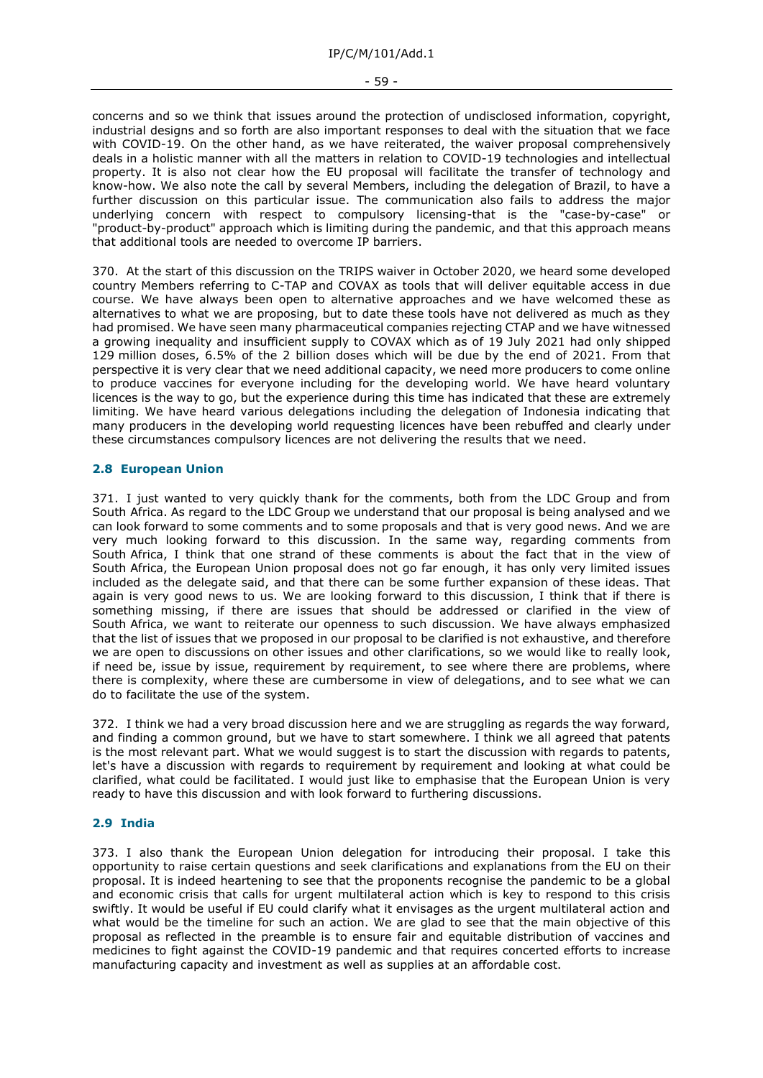- 59 -

concerns and so we think that issues around the protection of undisclosed information, copyright, industrial designs and so forth are also important responses to deal with the situation that we face with COVID-19. On the other hand, as we have reiterated, the waiver proposal comprehensively deals in a holistic manner with all the matters in relation to COVID-19 technologies and intellectual property. It is also not clear how the EU proposal will facilitate the transfer of technology and know-how. We also note the call by several Members, including the delegation of Brazil, to have a further discussion on this particular issue. The communication also fails to address the major underlying concern with respect to compulsory licensing-that is the "case-by-case" or "product-by-product" approach which is limiting during the pandemic, and that this approach means that additional tools are needed to overcome IP barriers.

370. At the start of this discussion on the TRIPS waiver in October 2020, we heard some developed country Members referring to C-TAP and COVAX as tools that will deliver equitable access in due course. We have always been open to alternative approaches and we have welcomed these as alternatives to what we are proposing, but to date these tools have not delivered as much as they had promised. We have seen many pharmaceutical companies rejecting CTAP and we have witnessed a growing inequality and insufficient supply to COVAX which as of 19 July 2021 had only shipped 129 million doses, 6.5% of the 2 billion doses which will be due by the end of 2021. From that perspective it is very clear that we need additional capacity, we need more producers to come online to produce vaccines for everyone including for the developing world. We have heard voluntary licences is the way to go, but the experience during this time has indicated that these are extremely limiting. We have heard various delegations including the delegation of Indonesia indicating that many producers in the developing world requesting licences have been rebuffed and clearly under these circumstances compulsory licences are not delivering the results that we need.

# **2.8 European Union**

371. I just wanted to very quickly thank for the comments, both from the LDC Group and from South Africa. As regard to the LDC Group we understand that our proposal is being analysed and we can look forward to some comments and to some proposals and that is very good news. And we are very much looking forward to this discussion. In the same way, regarding comments from South Africa, I think that one strand of these comments is about the fact that in the view of South Africa, the European Union proposal does not go far enough, it has only very limited issues included as the delegate said, and that there can be some further expansion of these ideas. That again is very good news to us. We are looking forward to this discussion, I think that if there is something missing, if there are issues that should be addressed or clarified in the view of South Africa, we want to reiterate our openness to such discussion. We have always emphasized that the list of issues that we proposed in our proposal to be clarified is not exhaustive, and therefore we are open to discussions on other issues and other clarifications, so we would like to really look, if need be, issue by issue, requirement by requirement, to see where there are problems, where there is complexity, where these are cumbersome in view of delegations, and to see what we can do to facilitate the use of the system.

372. I think we had a very broad discussion here and we are struggling as regards the way forward, and finding a common ground, but we have to start somewhere. I think we all agreed that patents is the most relevant part. What we would suggest is to start the discussion with regards to patents, let's have a discussion with regards to requirement by requirement and looking at what could be clarified, what could be facilitated. I would just like to emphasise that the European Union is very ready to have this discussion and with look forward to furthering discussions.

# **2.9 India**

373. I also thank the European Union delegation for introducing their proposal. I take this opportunity to raise certain questions and seek clarifications and explanations from the EU on their proposal. It is indeed heartening to see that the proponents recognise the pandemic to be a global and economic crisis that calls for urgent multilateral action which is key to respond to this crisis swiftly. It would be useful if EU could clarify what it envisages as the urgent multilateral action and what would be the timeline for such an action. We are glad to see that the main objective of this proposal as reflected in the preamble is to ensure fair and equitable distribution of vaccines and medicines to fight against the COVID-19 pandemic and that requires concerted efforts to increase manufacturing capacity and investment as well as supplies at an affordable cost.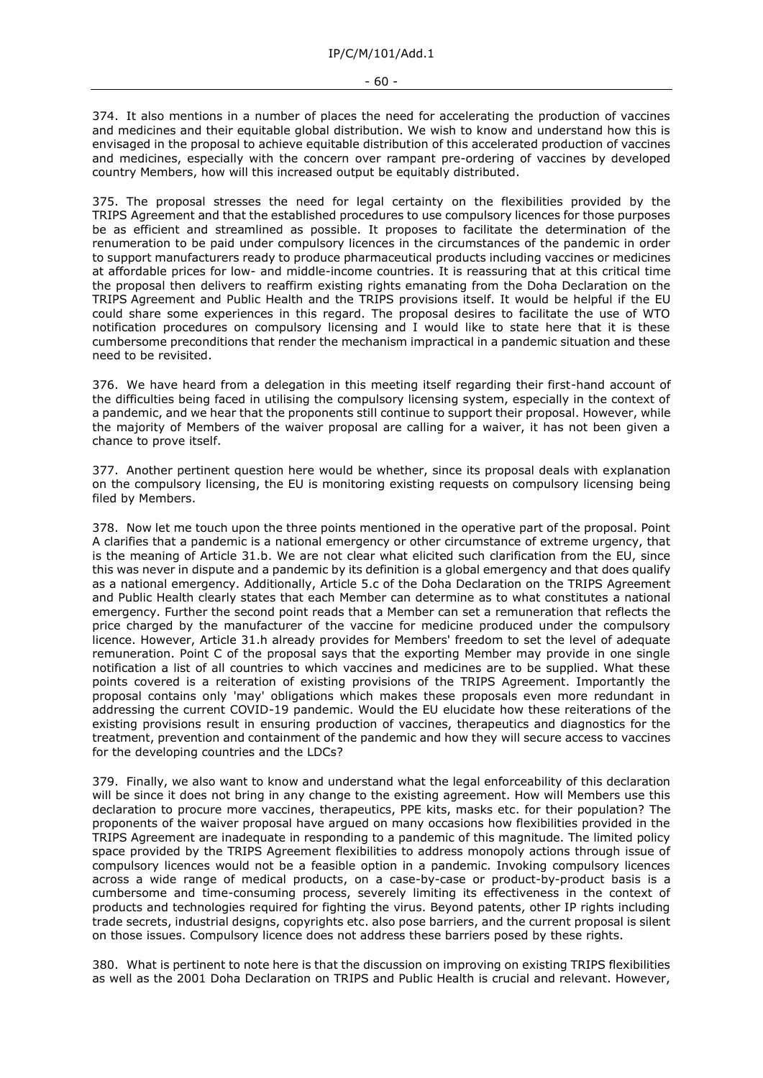#### - 60 -

374. It also mentions in a number of places the need for accelerating the production of vaccines and medicines and their equitable global distribution. We wish to know and understand how this is envisaged in the proposal to achieve equitable distribution of this accelerated production of vaccines and medicines, especially with the concern over rampant pre-ordering of vaccines by developed country Members, how will this increased output be equitably distributed.

375. The proposal stresses the need for legal certainty on the flexibilities provided by the TRIPS Agreement and that the established procedures to use compulsory licences for those purposes be as efficient and streamlined as possible. It proposes to facilitate the determination of the renumeration to be paid under compulsory licences in the circumstances of the pandemic in order to support manufacturers ready to produce pharmaceutical products including vaccines or medicines at affordable prices for low- and middle-income countries. It is reassuring that at this critical time the proposal then delivers to reaffirm existing rights emanating from the Doha Declaration on the TRIPS Agreement and Public Health and the TRIPS provisions itself. It would be helpful if the EU could share some experiences in this regard. The proposal desires to facilitate the use of WTO notification procedures on compulsory licensing and I would like to state here that it is these cumbersome preconditions that render the mechanism impractical in a pandemic situation and these need to be revisited.

376. We have heard from a delegation in this meeting itself regarding their first-hand account of the difficulties being faced in utilising the compulsory licensing system, especially in the context of a pandemic, and we hear that the proponents still continue to support their proposal. However, while the majority of Members of the waiver proposal are calling for a waiver, it has not been given a chance to prove itself.

377. Another pertinent question here would be whether, since its proposal deals with explanation on the compulsory licensing, the EU is monitoring existing requests on compulsory licensing being filed by Members.

378. Now let me touch upon the three points mentioned in the operative part of the proposal. Point A clarifies that a pandemic is a national emergency or other circumstance of extreme urgency, that is the meaning of Article 31.b. We are not clear what elicited such clarification from the EU, since this was never in dispute and a pandemic by its definition is a global emergency and that does qualify as a national emergency. Additionally, Article 5.c of the Doha Declaration on the TRIPS Agreement and Public Health clearly states that each Member can determine as to what constitutes a national emergency. Further the second point reads that a Member can set a remuneration that reflects the price charged by the manufacturer of the vaccine for medicine produced under the compulsory licence. However, Article 31.h already provides for Members' freedom to set the level of adequate remuneration. Point C of the proposal says that the exporting Member may provide in one single notification a list of all countries to which vaccines and medicines are to be supplied. What these points covered is a reiteration of existing provisions of the TRIPS Agreement. Importantly the proposal contains only 'may' obligations which makes these proposals even more redundant in addressing the current COVID-19 pandemic. Would the EU elucidate how these reiterations of the existing provisions result in ensuring production of vaccines, therapeutics and diagnostics for the treatment, prevention and containment of the pandemic and how they will secure access to vaccines for the developing countries and the LDCs?

379. Finally, we also want to know and understand what the legal enforceability of this declaration will be since it does not bring in any change to the existing agreement. How will Members use this declaration to procure more vaccines, therapeutics, PPE kits, masks etc. for their population? The proponents of the waiver proposal have argued on many occasions how flexibilities provided in the TRIPS Agreement are inadequate in responding to a pandemic of this magnitude. The limited policy space provided by the TRIPS Agreement flexibilities to address monopoly actions through issue of compulsory licences would not be a feasible option in a pandemic. Invoking compulsory licences across a wide range of medical products, on a case-by-case or product-by-product basis is a cumbersome and time-consuming process, severely limiting its effectiveness in the context of products and technologies required for fighting the virus. Beyond patents, other IP rights including trade secrets, industrial designs, copyrights etc. also pose barriers, and the current proposal is silent on those issues. Compulsory licence does not address these barriers posed by these rights.

380. What is pertinent to note here is that the discussion on improving on existing TRIPS flexibilities as well as the 2001 Doha Declaration on TRIPS and Public Health is crucial and relevant. However,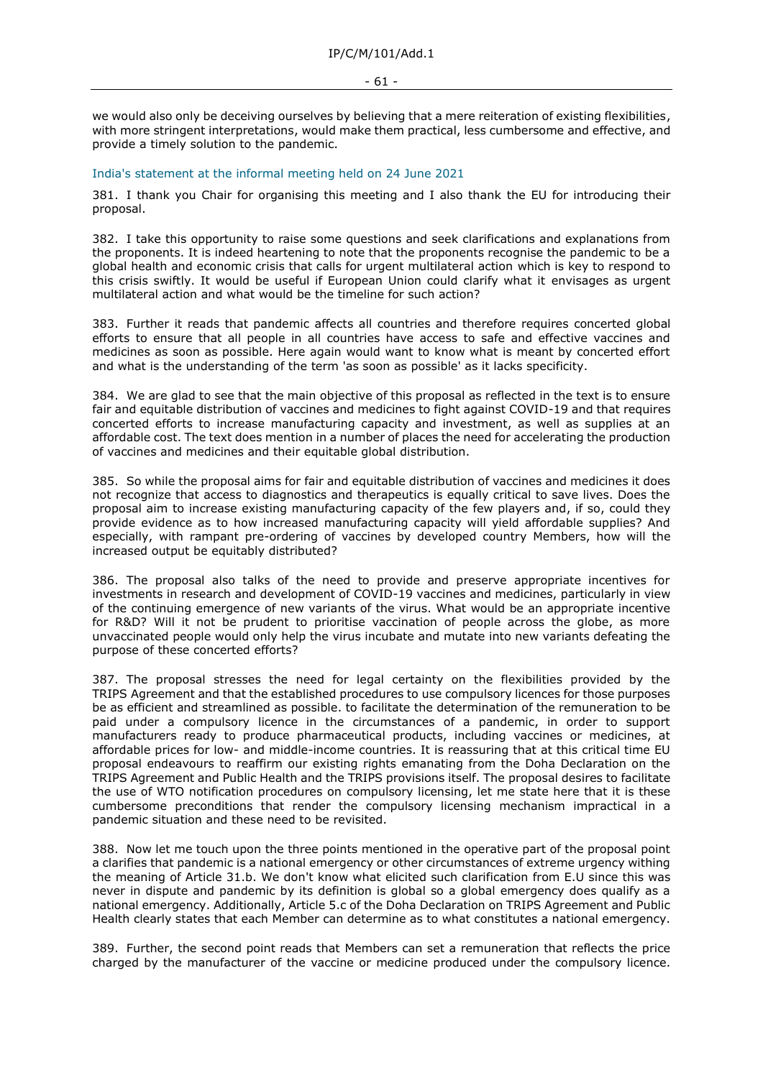we would also only be deceiving ourselves by believing that a mere reiteration of existing flexibilities, with more stringent interpretations, would make them practical, less cumbersome and effective, and provide a timely solution to the pandemic.

#### India's statement at the informal meeting held on 24 June 2021

381. I thank you Chair for organising this meeting and I also thank the EU for introducing their proposal.

382. I take this opportunity to raise some questions and seek clarifications and explanations from the proponents. It is indeed heartening to note that the proponents recognise the pandemic to be a global health and economic crisis that calls for urgent multilateral action which is key to respond to this crisis swiftly. It would be useful if European Union could clarify what it envisages as urgent multilateral action and what would be the timeline for such action?

383. Further it reads that pandemic affects all countries and therefore requires concerted global efforts to ensure that all people in all countries have access to safe and effective vaccines and medicines as soon as possible. Here again would want to know what is meant by concerted effort and what is the understanding of the term 'as soon as possible' as it lacks specificity.

384. We are glad to see that the main objective of this proposal as reflected in the text is to ensure fair and equitable distribution of vaccines and medicines to fight against COVID-19 and that requires concerted efforts to increase manufacturing capacity and investment, as well as supplies at an affordable cost. The text does mention in a number of places the need for accelerating the production of vaccines and medicines and their equitable global distribution.

385. So while the proposal aims for fair and equitable distribution of vaccines and medicines it does not recognize that access to diagnostics and therapeutics is equally critical to save lives. Does the proposal aim to increase existing manufacturing capacity of the few players and, if so, could they provide evidence as to how increased manufacturing capacity will yield affordable supplies? And especially, with rampant pre-ordering of vaccines by developed country Members, how will the increased output be equitably distributed?

386. The proposal also talks of the need to provide and preserve appropriate incentives for investments in research and development of COVID-19 vaccines and medicines, particularly in view of the continuing emergence of new variants of the virus. What would be an appropriate incentive for R&D? Will it not be prudent to prioritise vaccination of people across the globe, as more unvaccinated people would only help the virus incubate and mutate into new variants defeating the purpose of these concerted efforts?

387. The proposal stresses the need for legal certainty on the flexibilities provided by the TRIPS Agreement and that the established procedures to use compulsory licences for those purposes be as efficient and streamlined as possible. to facilitate the determination of the remuneration to be paid under a compulsory licence in the circumstances of a pandemic, in order to support manufacturers ready to produce pharmaceutical products, including vaccines or medicines, at affordable prices for low- and middle-income countries. It is reassuring that at this critical time EU proposal endeavours to reaffirm our existing rights emanating from the Doha Declaration on the TRIPS Agreement and Public Health and the TRIPS provisions itself. The proposal desires to facilitate the use of WTO notification procedures on compulsory licensing, let me state here that it is these cumbersome preconditions that render the compulsory licensing mechanism impractical in a pandemic situation and these need to be revisited.

388. Now let me touch upon the three points mentioned in the operative part of the proposal point a clarifies that pandemic is a national emergency or other circumstances of extreme urgency withing the meaning of Article 31.b. We don't know what elicited such clarification from E.U since this was never in dispute and pandemic by its definition is global so a global emergency does qualify as a national emergency. Additionally, Article 5.c of the Doha Declaration on TRIPS Agreement and Public Health clearly states that each Member can determine as to what constitutes a national emergency.

389. Further, the second point reads that Members can set a remuneration that reflects the price charged by the manufacturer of the vaccine or medicine produced under the compulsory licence.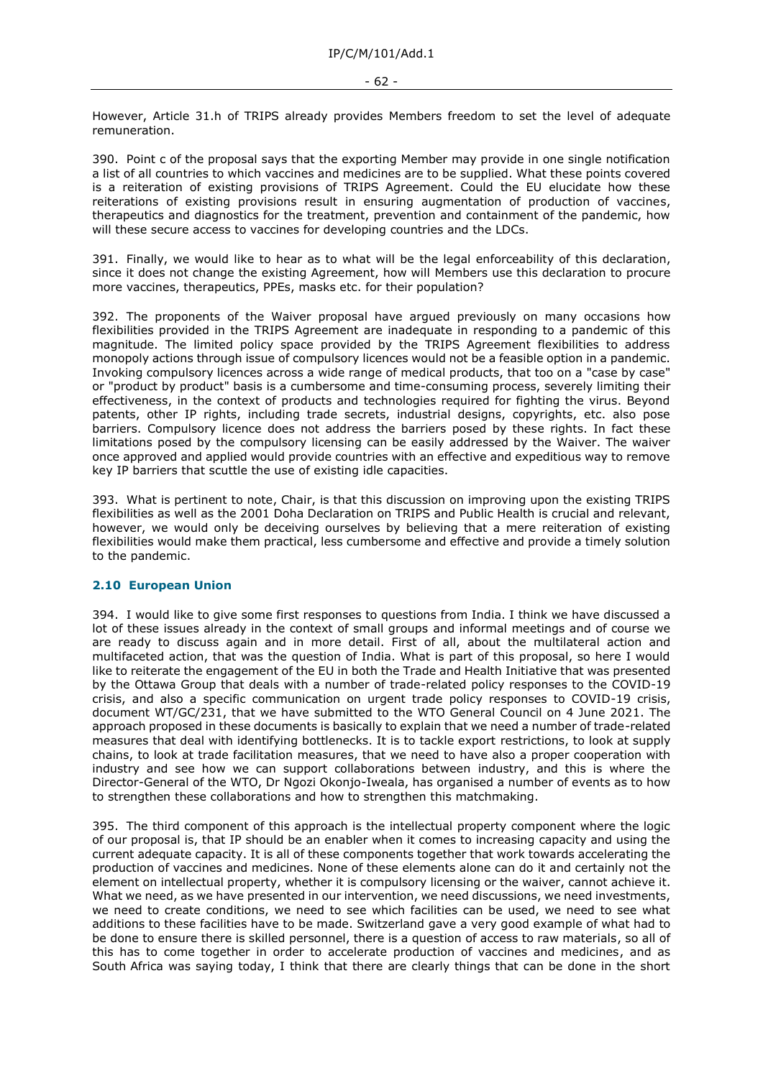However, Article 31.h of TRIPS already provides Members freedom to set the level of adequate remuneration.

390. Point c of the proposal says that the exporting Member may provide in one single notification a list of all countries to which vaccines and medicines are to be supplied. What these points covered is a reiteration of existing provisions of TRIPS Agreement. Could the EU elucidate how these reiterations of existing provisions result in ensuring augmentation of production of vaccines, therapeutics and diagnostics for the treatment, prevention and containment of the pandemic, how will these secure access to vaccines for developing countries and the LDCs.

391. Finally, we would like to hear as to what will be the legal enforceability of this declaration, since it does not change the existing Agreement, how will Members use this declaration to procure more vaccines, therapeutics, PPEs, masks etc. for their population?

392. The proponents of the Waiver proposal have argued previously on many occasions how flexibilities provided in the TRIPS Agreement are inadequate in responding to a pandemic of this magnitude. The limited policy space provided by the TRIPS Agreement flexibilities to address monopoly actions through issue of compulsory licences would not be a feasible option in a pandemic. Invoking compulsory licences across a wide range of medical products, that too on a "case by case" or "product by product" basis is a cumbersome and time-consuming process, severely limiting their effectiveness, in the context of products and technologies required for fighting the virus. Beyond patents, other IP rights, including trade secrets, industrial designs, copyrights, etc. also pose barriers. Compulsory licence does not address the barriers posed by these rights. In fact these limitations posed by the compulsory licensing can be easily addressed by the Waiver. The waiver once approved and applied would provide countries with an effective and expeditious way to remove key IP barriers that scuttle the use of existing idle capacities.

393. What is pertinent to note, Chair, is that this discussion on improving upon the existing TRIPS flexibilities as well as the 2001 Doha Declaration on TRIPS and Public Health is crucial and relevant, however, we would only be deceiving ourselves by believing that a mere reiteration of existing flexibilities would make them practical, less cumbersome and effective and provide a timely solution to the pandemic.

# **2.10 European Union**

394. I would like to give some first responses to questions from India. I think we have discussed a lot of these issues already in the context of small groups and informal meetings and of course we are ready to discuss again and in more detail. First of all, about the multilateral action and multifaceted action, that was the question of India. What is part of this proposal, so here I would like to reiterate the engagement of the EU in both the Trade and Health Initiative that was presented by the Ottawa Group that deals with a number of trade-related policy responses to the COVID-19 crisis, and also a specific communication on urgent trade policy responses to COVID-19 crisis, document WT/GC/231, that we have submitted to the WTO General Council on 4 June 2021. The approach proposed in these documents is basically to explain that we need a number of trade-related measures that deal with identifying bottlenecks. It is to tackle export restrictions, to look at supply chains, to look at trade facilitation measures, that we need to have also a proper cooperation with industry and see how we can support collaborations between industry, and this is where the Director-General of the WTO, Dr Ngozi Okonjo-Iweala, has organised a number of events as to how to strengthen these collaborations and how to strengthen this matchmaking.

395. The third component of this approach is the intellectual property component where the logic of our proposal is, that IP should be an enabler when it comes to increasing capacity and using the current adequate capacity. It is all of these components together that work towards accelerating the production of vaccines and medicines. None of these elements alone can do it and certainly not the element on intellectual property, whether it is compulsory licensing or the waiver, cannot achieve it. What we need, as we have presented in our intervention, we need discussions, we need investments, we need to create conditions, we need to see which facilities can be used, we need to see what additions to these facilities have to be made. Switzerland gave a very good example of what had to be done to ensure there is skilled personnel, there is a question of access to raw materials, so all of this has to come together in order to accelerate production of vaccines and medicines, and as South Africa was saying today, I think that there are clearly things that can be done in the short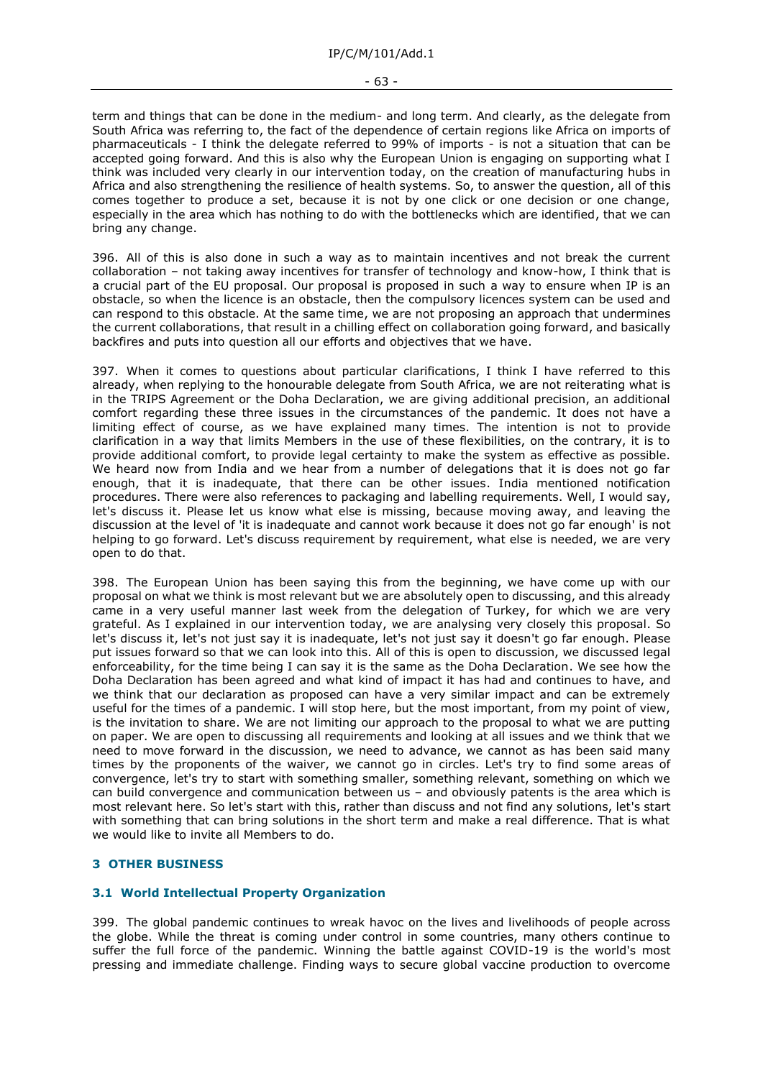term and things that can be done in the medium- and long term. And clearly, as the delegate from South Africa was referring to, the fact of the dependence of certain regions like Africa on imports of pharmaceuticals - I think the delegate referred to 99% of imports - is not a situation that can be accepted going forward. And this is also why the European Union is engaging on supporting what I think was included very clearly in our intervention today, on the creation of manufacturing hubs in Africa and also strengthening the resilience of health systems. So, to answer the question, all of this comes together to produce a set, because it is not by one click or one decision or one change, especially in the area which has nothing to do with the bottlenecks which are identified, that we can bring any change.

396. All of this is also done in such a way as to maintain incentives and not break the current collaboration – not taking away incentives for transfer of technology and know-how, I think that is a crucial part of the EU proposal. Our proposal is proposed in such a way to ensure when IP is an obstacle, so when the licence is an obstacle, then the compulsory licences system can be used and can respond to this obstacle. At the same time, we are not proposing an approach that undermines the current collaborations, that result in a chilling effect on collaboration going forward, and basically backfires and puts into question all our efforts and objectives that we have.

397. When it comes to questions about particular clarifications, I think I have referred to this already, when replying to the honourable delegate from South Africa, we are not reiterating what is in the TRIPS Agreement or the Doha Declaration, we are giving additional precision, an additional comfort regarding these three issues in the circumstances of the pandemic. It does not have a limiting effect of course, as we have explained many times. The intention is not to provide clarification in a way that limits Members in the use of these flexibilities, on the contrary, it is to provide additional comfort, to provide legal certainty to make the system as effective as possible. We heard now from India and we hear from a number of delegations that it is does not go far enough, that it is inadequate, that there can be other issues. India mentioned notification procedures. There were also references to packaging and labelling requirements. Well, I would say, let's discuss it. Please let us know what else is missing, because moving away, and leaving the discussion at the level of 'it is inadequate and cannot work because it does not go far enough' is not helping to go forward. Let's discuss requirement by requirement, what else is needed, we are very open to do that.

398. The European Union has been saying this from the beginning, we have come up with our proposal on what we think is most relevant but we are absolutely open to discussing, and this already came in a very useful manner last week from the delegation of Turkey, for which we are very grateful. As I explained in our intervention today, we are analysing very closely this proposal. So let's discuss it, let's not just say it is inadequate, let's not just say it doesn't go far enough. Please put issues forward so that we can look into this. All of this is open to discussion, we discussed legal enforceability, for the time being I can say it is the same as the Doha Declaration. We see how the Doha Declaration has been agreed and what kind of impact it has had and continues to have, and we think that our declaration as proposed can have a very similar impact and can be extremely useful for the times of a pandemic. I will stop here, but the most important, from my point of view, is the invitation to share. We are not limiting our approach to the proposal to what we are putting on paper. We are open to discussing all requirements and looking at all issues and we think that we need to move forward in the discussion, we need to advance, we cannot as has been said many times by the proponents of the waiver, we cannot go in circles. Let's try to find some areas of convergence, let's try to start with something smaller, something relevant, something on which we can build convergence and communication between us – and obviously patents is the area which is most relevant here. So let's start with this, rather than discuss and not find any solutions, let's start with something that can bring solutions in the short term and make a real difference. That is what we would like to invite all Members to do.

# <span id="page-62-0"></span>**3 OTHER BUSINESS**

# **3.1 World Intellectual Property Organization**

399. The global pandemic continues to wreak havoc on the lives and livelihoods of people across the globe. While the threat is coming under control in some countries, many others continue to suffer the full force of the pandemic. Winning the battle against COVID-19 is the world's most pressing and immediate challenge. Finding ways to secure global vaccine production to overcome